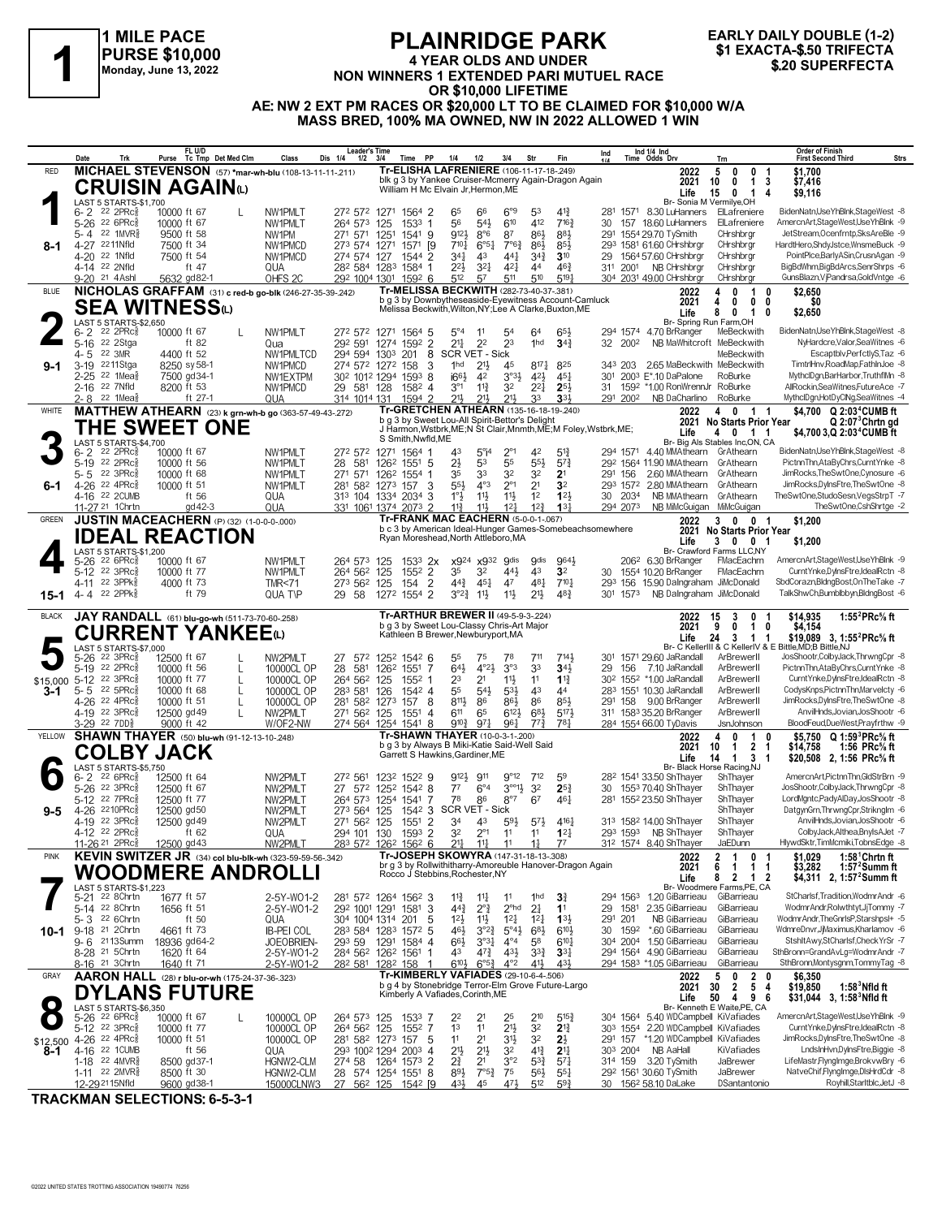

# **PLAINRIDGE PARK 4 YEAR OLDS AND UNDER NON WINNERS 1 EXACTA-\$.50 TRIFECTA**<br>
Monday, June 13, 2022<br>
Monday, June 13, 2022<br> **NON WINNERS 1 EXTENDED PARI MUTUEL RACE**<br> **1 SALL CREATED PARI MUTUEL RACE**<br> **1 SALL CREATED PARI MUTUEL RACE OR \$10,000 LIFETIME AE: NW 2 EXT PM RACES OR \$20,000 LT TO BE CLAIMED FOR \$10,000 W/A MASS BRED, 100% MA OWNED, NW IN 2022 ALLOWED 1 WIN**



**Date Trk Purse FL U/D Tc Tmp Det Med Clm Class Dis 1/4 1/2 3/4 Time PP 1/4 1/2 3/4 Str Fin Ind Leader's Time Ind 1/4 Ind 1/4 Time Odds Drv Order of Finish Trn First Second Third Strs** 65 66 6°9 281 6- 2 8.30 LuHanners ElLafreniere BidenNatn,UseYhBlnk,StageWest -8 22 2PRcÁ 10000 ft 67 L NW1PMLT 272 572 1271 1564 2 53 41¾ 1571 Br- Sonia M Vermilye,OH  **15 0 1 4 \$9,116 Life** 6-2 <sup>22</sup> 2PRc៖ 10000 ft 67 L NW1PMLT 272 572 1271 1564 2 65 6<sup>c</sup> 6<sup>c</sup> 5<sup>3</sup> 41 $\frac{30}{4}$  281 1571 8.30 LuHanners ElLafreniere BidenNatn,UseYhBlnk,StageWest, 85-26 22 6PRc៖ 10000 ft 67 NW1PMLT 264 573 125 1533 1 56 54 $\frac{1}{$ 5-4 <sup>22</sup> 1MVR§ 9500 ft 58 NW1PM 271 571 1251 1541 9 912½ 8°6 87 86½ 291 1554 29.70 TySmith CHrshbrgr JetStream,Ocenfrntp,SksAreBle 9<br>4-27 <sup>22</sup>11Nfld 7500 ft 54 NW1 22½ 32¼ 42¼ 311 4-14 NB CHrshbrgr CHrshbrgr BigBdWhm,BigBdArcs,SenrShrps -6 22 2Nfld ft 47 QUA 282 584 1283 1584 1 44 46¾ 2001 304 2031 49.00 CHrshbrgr CHrsh<br>2022 4 0 **MICHAEL STEVENSON** (57) **\*mar-wh-blu** (108-13-11-11-.211) RED **2022 8-1** blk g 3 by Yankee Cruiser-Mcmerry Again-Dragon Again William H Mc Elvain Jr,Hermon,ME  **10 0 1 3 \$7,416 5 0 0 1 \$1,700 2021 Tr-ELISHA LAFRENIERE** (106-11-17-18-.249) **CRUISIN AGAIN**(L) **1** LAST 5 STARTS-\$1,700 6- 2 22 2PRc៖ 10000 ft 67 L NW1PMLT 272 572 1271 1564 5 5°4 11 54 64 65½ 294 1574 4.70 BrRanger MeBeckwith BidenNath,UseYhBlnk,StageWest 8<br>5-16 <sup>22</sup> 2Stga ft 82 Qua 292 591 1274 1592 2 21 23 1hd **3**4½ 32 2002 N 1hd 21½ 45 343 3-19 2.65 MaBeckwith MeBeckwith TimtrlHnv,RoadMap,FathInJoe -8 2211Stga 8250 sy 58-1 NW1PMCD 274 572 1272 158 3 817¼ 825 203 2-25 <sup>22 1</sup>Mea៖ 7500 gd34-1 MW1EXTPM 30<sup>2</sup> 101<sup>2</sup> 1294 1593 8 i6<sup>61</sup> 4<sup>2</sup> 3°3½ 4<sup>2½</sup> 45½ 301 2003 E\*.10 DaPalone RoBurke MythclDgn,BarHarbor,TruthflMn 8<br>2-16 <sup>22</sup> 7Nfld 8200 ft 53 MW1PMCD 29 581 128 158<sup>2</sup> 4 3°1 11¾ 2- 8 <sup>22</sup> 1Mea<sub>ð</sub> - ft 27-1 - QUA - 314 1014 131 1594 2 - 21½ 21½ 33 **3**3½ - 291 200<sup>2</sup> NB DaCharlino RoBurke - MythclDgn,HotDyClNg,SeaWitnes 4 **NICHOLAS GRAFFAM** (31) **c red-b go-blk** (246-27-35-39-.242) BLUE **2022 9-1** Br- Spring Run Farm, OH<br>294 1574 4.70 Br Ranger MeBeckwith b g 3 by Downbytheseaside-Eyewitness Account-Camluck Melissa Beckwith,Wilton,NY;Lee A Clarke,Buxton,ME  **4 0 0 0 \$0 4 0 1 0 \$2,650 8 0 1 0 \$2,650 2021 Life Tr-MELISSA BECKWITH** (282-73-40-37-.381) **SEA WITNESS**(L)<br> **2 LAST 5 STARTS-\$2.650**<br>
6-2 **22 22 22 20**<br>
5-16 22 **3MR**<br>
4400 ft 52 LAST 5 STARTS-\$2,650<br>6-2 <sup>22</sup> 2PRc 3 10 43 43,**700 3,Q 2:03<sup>4</sup>CUMB ft مسالة المسلم المسلم المسلم المسلم المسلم المسلم المسلم المسلم المسلم المسلم المسلم المسلم المسلم المسلم المسلم المسلم المسلم المسلم المسلم المسلم المسلم المسلم المسلم المسلم المسلم المسلم الم**  $\frac{6 \cdot 2}{6 \cdot 2}$  22 2PRc $\frac{8}{8}$  10000 ft 67 MW1PMLT 272 572 1271 1564 1 43 5°14 2°1 42 51 $\frac{3}{4}$  294 1571 4.40 MMAthearn GrAthearn BidenNathUseYhBlnk,StageWest 8<br>5-19 22 2PRc (10000 ft 56 NW1PMLT 28 581 1262 1551 126 35 32 3PRc 3PRC 10000 ft 68 MW1PMLT 271 571 1262 1554 1 35 33 32 32 21 291 156 2.60 MMAthearn GrAthearn JimRocks,TheSwtOne,Cynosure -6 2.52 3PRc 4.22 4PRc 4.22 4PRc 4.22 4PRc 4.22 4PRc 4.22 4PRc 4.22 4PRc 4.22 4PRc 4.22 4P 1. 55% 56% 10000 ft 51 MW1PMLT 281 582 1273 157 3 554 4<sup>o</sup>3 2<sup>o4</sup> 21 32 293 1572 280 MMAthearn GrAthearn JimRocks,DylnsFtre,TheSwtOne -8 22 223 1572 280 MMAthearn GrAthearn JimRocks,DylnsFtre,TheSwtOne -8 22 2031 1572 28 1°½ 11½ 11½ 30 4-16 NB MMAthearn GrAthearn TheSwtOne,StudoSesn,VegsStrpT -7 22 2CUMB ft 56 QUA 313 104 1334 2034 3 12 **1**2½ 2034 11¾ 11½ 12¼ 294 NB MiMcGuigan MiMcGuigan TheSwtOne,CshShrtge -2 11-27 21 1Chrtn gd42-3 QUA 331 1061 1374 2073 2 12¾ **1**3¼ 2073 **MATTHEW ATHEARN** (23) **k grn-wh-b go** (363-57-49-43-.272) WHITE **2022 6-1** b g 3 by Sweet Lou-All Spirit-Bettor's Delight J Harmon,Wstbrk,ME;N St Clair,Mnmth,ME;M Foley,Wstbrk,ME; S Smith, Nwfld, ME **Q 2:07<sup>3</sup>Chrtn gd 4 0 1 1 \$4,700 2:03<sup>4</sup>CUMB ft Q 4 0 1 1 \$4,700 2:03<sup>4</sup>CUMB ft 2021 No Starts Prior Year Tr-GRETCHEN ATHEARN** (135-16-18-19-.240) **THE SWEET ONE 3** LAST 5 STARTS-\$4,700<br>6- 2 <sup>22</sup> 2PRc 8 10000 ft 67 x926 22 6PRci 20000 ft 67 MW1PMLT 264 573 125 1533 2x x924 x932 9dis 964 2062 6.30 BrRanger FMacEachrn AmercnArt,StageWest,UseYhBlnk -9<br>5-12 22 3PRc 10000 ft 77 MW1PMLT 264 562 125 1552 2 35 32 44½ 43 32 30 1554 10.20 BrRa 3-12 22 3PRc 10000 ft 77 MW1PMLT 264 562 125 1552 2 35 32 441 43 32 30 1554 10.20 BrRanger FMacEachrn CurntYnke,DynsFtre,IdealRctn 8<br>4-11 22 3PPk 4000 ft 73 TMR<71 273 562 125 154 2 44 451 47 481 7<sup>101</sup> 293 156 15.90 Dalng 44¾ 45¼ 47 293 4-11 15.90 DaIngraham JiMcDonald SbdCorazn,BldngBost,OnTheTake -7 22 3PPkÁ 4000 ft 73 TMR<71 273 562 125 154 2 48¼ 710¼ 156 3°2¾ 11½ 11½ 301 4- 4 NB DaIngraham JiMcDonald TalkShwCh,Bumblbbyn,BldngBost -6 22 2PPkÁ ft 79 QUA T\P 29 58 1272 1554 2 21½ 48¾ 1573 GREEN **JUSTIN MACEACHERN** (P) (32) (1-0-0-0-.000) **TE-FRANK MAC EACHERN** (5-0-0-1-.067) **2022** 3 0 0 1 **\$1,200 15-1 Life 3 0 0 1 \$1,200**<br>Br- Crawford Farms LLC,NY b c 3 by American Ideal-Hunger Games-Somebeachsomewhere Ryan Moreshead,North Attleboro,MA **2021 No Starts Prior Year Tr-FRANK MAC EACHERN** (5-0-0-1-.067) **IDEAL REACTION 4** LAST 5 STARTS-\$1,200<br>5-26 <sup>22</sup> 6PRc<sub>8</sub> 10 55 26 22 3PRc 11 12500 ft 67 L NW2PMLT 27 572 1252 1542 6 55 75 78 711 714 301 1571 29.60 JaRandall ArBrewerII JosShootr,ColbyJack,ThrwngCpr -8<br>519 22 2PRc 10000 ft 56 L 10000CLOP 28 581 1262 1551 7 644 4°24 3°3 33 344 29 64½ 4°2½ 3°3 29 5-19 7.10 JaRandall ArBrewerII PictnnThn,AtaByChrs,CurntYnke -8 22 2PRcÁ 10000 ft 56 L 10000CL OP 28 581 1262 1551 7 33 **3**4½ 156 23 2000 ft 77 L 10000CL OP 264 562 125 1552 1 23 21 11½ 11 11 12¥ 302 1552 \*1.00 JaRandall ArBrewerII CumtYnke,DylnsFtre,IdealRctn -8<br>10000 ft 68 L 10000CL OP 283 581 126 1542 4 55 54} 53} 43 44 283 1551 10.30 JaRandall 5- 5 22 5PRcई 10000 ft 68 L 10000CL OP 283 581 126 1542 4 55 544 534 43 44 283 1551 10.30 JaRandall ArBrewerII CodysKnps,PictnnThn,Marvelcty -6<br>4-26 22 4PRcई 10000 ft 51 L 10000CL OP 281 582 1273 157 8 8114 86 864 86 854 2 4-26 22 4PRc 8 10000 ft 51 L 10000CL OP 281 582 1273 157 8 8111 86 854 854 291 158 9.00 BrRanger ArBrewerII JimRocks,DylnsFtre,TheSwtOne 8<br>4-19 22 3PRc 8 12500 gd 49 L NW2PMLT 271 562 125 1551 4 61 65 6121 681 5171 311 158 4-19 <sup>22</sup> 3PRc<sub></sub>š 12500 gd49 L NW2PMLT 271 562 125 1551 4 6<sup>11</sup> 65 6<sup>12</sup>½ 6<sup>81</sup> 5<sup>17½</sup> 31<sup>1</sup> 1583 35.20 BrRanger ArBrewerII AnvilHnds,Jovian,JosShootr 6  $3\text{-}29$   $^{22}$   $700\frac{3}{8}$   $9000$  ft 42 W/OF2-NW  $274\,564$   $1254\,1541$   $8$   $9^{10}\frac{3}{4}$   $97\frac{1}{4}$   $96\frac{1}{4}$   $77\frac{3}{4}$   $78\frac{1}{4}$   $284\,1554\,66.00$  TyDavis JsnJohnson BloodFeud,DueWest,Prayfrthw  $\cdot$ 9 **BLACK JAY RANDALL** (61) **blu-go-wh** (511-73-70-60-258) **Tr-ARTHUR BREWER II** (49-5-9-3-224) **2022** \$15,000 **3-1** Br- C KellerIII & C KellerIV & E Bittle,MD;B Bittle,NJ **Life 3,** b g 3 by Sweet Lou-Classy Chris-Art Major Kathleen B Brewer,Newburyport,MA 15 3 0 1 \$14,935<br>9 0 1 0 \$4,154<br>24 3 1 1 \$19,089  **15 3 0 1 \$14,935 1:55<sup>2</sup>PRc⅝ ft 24 3 1 1 \$19,089 1:55<sup>2</sup>PRc⅝ ft 2021 Tr-ARTHUR BREWER II** (49-5-9-3-.224) **CURRENT YANKEE**(L)<br>5 5-26 23 3PRG 12500 ft 67<br>23 3PRG 12500 ft 67 LAST 5 STARTS-\$7,000<br>5-26 <sup>22</sup> 3PRc 12500 ft 67 Garrett S Hawkins,Gardiner,ME<br>MST 55TARTS\$5,750 DELITE 14 1 3 1 \$20,508 2, 1:56 PRc<sup>%</sup> ft<br>G- 2 <sup>22</sup> 6PRc∮ 12500 ft 64 NW2PMLT 27<sup>2</sup> 561 123<sup>2</sup> 152<sup>2</sup> 9 9<sup>121</sup> 9<sup>12</sup> 7<sup>12</sup> 5<sup>9</sup> 28<sup>2</sup> 1541 3:50 ShThayer Sharibayer AmercnArt  $\begin{array}{lllllllll} \widehat{6}\text{-}2 & 22&6\text{Prc}_8^8 & 12500\text{ ft }64 & \text{NW2PMLT} & 27&2561&123&152&9&912&911&9^{912}&712&59&28&154&133.50&8\text{hTlayer} & 8\text{hTlayer} & \text{AmeronArtPicumTm,GdSfrbm-9}& 22&2&32&25&30&155&70.40&8\text{hTlayer} & 12500\text{ ft }67 & \text{NW2PMLT} & 26&4&57&12$ 12 22 7PRc§ 12500 ft 77 MW2PMLT 264 573 1254 1541 7 78 86 8°7 67 461 281 1552 23.50 ShThayer ShThayer LordMgntcPadyAlDay,JosShootr 8 23 1654 264 573 1254 1542 3 SCR VET - Sick 31 1552 23.50 ShThayer ShThayer DatgynGm,Thrwn 4-26 2210PRc 12500 gd50 MW2PMLT 273 564 125 1542 3 SCR VET - Sick ShThayer BatgynGm,ThrwngCpr,StrikngIm -6 22<br>4-19 22 3PRc 12500 gd49 NW2PMLT 271 562 125 1551 2 34 43 5<sup>91</sup> 571 4161 313 1582 14.00 ShThayer ShThayer AnvilHn 4-49 24 MHT 12500 9030<br>4-19 22 3PRc≸ 12500 9049 NW2PMLT 271 562 125 1551 2 34 43 594 574 4164 313 1582 14.00 ShThayer ShThayer<br>4-12 22 2PRc≸ 1° 1582 10UA 294 101 130 1593 2 32 2<sup>61</sup> 1<sup>1</sup> 11 12∯ 293 1593 NBShThayer ShThaye 32 2°1 11 293 4-12 NB ShThayer ShThayer ColbyJack,Althea,BnyIsAJet -7 22 2PRcÁ ft 62 QUA 294 101 130 1593 2 11 **1**2¼ 1593 1<br>2022 2 1 0 1 \$1,029 1:58<sup>1</sup> Christian Hayer Jacque -8 11-26 2022 2 1 0 1 \$3,029 1:58<sup>1</sup> Christ 1t<br>2021 6 1 1 1 \$3.282 1:57<sup>2</sup> Summ ft **SHAWN THAYER** (50) **blu-wh** (91-12-13-10-.248) YELLOW **2022 9-5** b g 3 by Always B Miki-Katie Said-Well Said Garrett S Hawkins,Gardiner,ME  **10 1 2 1 \$14,758 1:56 PRc⅝ ft 4 0 1 0 \$5,750 1:59<sup>3</sup>PRc⅝ ft 14 1 3 1 \$20,508 1:56 PRc⅝ ft 2021 Tr-SHAWN THAYER** (10-0-3-1-200) **Q**<br> **Dreps** 3 by Always B Miki-Katie Said-Well Said<br> **Q021 10 1 2 1 \$14,758 COLBY JACK**<br> **6-2** <sup>22</sup> 6PRG<sub>8</sub> 12500 ft 64<br>
5-26 <sup>22</sup> 3PRG<sub>8</sub> 12500 ft 67<br>
12500 ft 67 LAST 5 STARTS-\$5,750 5-21 <sup>22</sup> 8Chrtn 1677 ft 57 2-5Y-W01-2 281 57<sup>2</sup> 1264 156<sup>2</sup> 3 114 114 1<sup>nd</sup> **3**4 294 156<sup>3</sup> 1.20 GiBarrieau GiBarrieau SiCharlsf,Tradition,WodmrAndr 6<br>5-14 <sup>22</sup> 8Chrtn 1656 12½ 11½ 12¼ 291 5- 3 NB GiBarrieau GiBarrieau WodmrAndr,TheGnrlsP,Starshpsl+ -5 22 6Chrtn ft 50 QUA 304 1004 1314 201 5 12¼ **1**3½ 201 46½ 3°2¾ 5°4½ 30 9-18 \*.60 GiBarrieau GiBarrieau WdmreDnvr,JjMaximus,Kharlamov -6 21 2Chrtn 4661 ft 73 IB-PEI COL 283 584 1283 1572 5 68½ 610½ 1592  $\frac{6}{6}$  3113Summ 18936 gd64-2  $\frac{10EOBREN-}{29359}$  1291 1584 4 66 $\frac{3}{2}$   $\frac{3}{4}$   $\frac{4}{4}$   $\frac{5}{6}$   $\frac{5}{6}$   $\frac{23}{4}$   $\frac{1}{4}$   $\frac{4}{4}$   $\frac{5}{4}$   $\frac{23}{4}$   $\frac{3}{4}$   $\frac{3}{4}$  294 1564 4.90 GiBarrieau GiBarrie 24 5Chrtn 1620 ft 64 2-5Y-WO1-2 284 562 1262 156<sup>1</sup> 1 43 473 431 333 334 294 1564 4.90 GiBarrieau GiBarrieau SthBronn=GrandAvLg=WodmrAndr -7 294 562 1262 1561 1 43 473 431 333 294 1564 4.90 GiBarrieau GiBarrieau SthBronnM  $\frac{62u}{\text{e} \cdot \text{S}} = \frac{3 \cdot \text{Stb}}{2 \cdot \text{Stb}} = \frac{64.350 \cdot \text{Stb}}{2 \cdot \text{Stb}} = \frac{1}{2} \cdot \frac{1}{2} \cdot \frac{1}{2} \cdot \frac{1}{2} \cdot \frac{1}{2} \cdot \frac{1}{2} \cdot \frac{1}{2} \cdot \frac{1}{2} \cdot \frac{1}{2} \cdot \frac{1}{2} \cdot \frac{1}{2} \cdot \frac{1}{2} \cdot \frac{1}{2} \cdot \frac{1}{2} \cdot \frac{1}{2} \cdot \frac{1}{2} \cdot \frac{1}{$ **KEVIN SWITZER JR** (34) **col blu-blk-wh** (323-59-59-56-.342) PINK **2022 10-1** Br- Woodmere Farms, PE, CA<br>1.20 GiBarrieau GiBarrieau br g 3 by Rollwithitharry-Amoreuble Hanover-Dragon Again Rocco J Stebbins,Rochester,NY  **6 1 1 1 \$3,282 1:57<sup>2</sup>Summ ft 2 1 0 1 \$1,029 1:58<sup>1</sup>Chrtn ft 8 2 1 2 \$4,311 1:57<sup>2</sup>Summ ft Life 2, 2021 Tr-JOSEPH SKOWYRA** (147-31-18-13-.308) **WOODMERE ANDROLLI**<br>
5-21 <sup>22</sup> 8Chrtn 1677 ft 57<br>
5-14 <sup>22</sup> 8Chrtn 1656 ft 51 2-5Y-W01-2 LAST 5 STARTS-\$1,223 22 21 **DEARTS AMBELL ART AMERICA MEDIA AMERICA MERICA SURFARE STAGES UP THE SO 4 9 6 \$31,044 3, 1:58<sup>3</sup>Nfld ft<br>DAST 5 STARTS \$6,350 AmercnArt,StageWest,UseYhBlnk -9 264 573 125 153<sup>3</sup> 7 2<sup>2</sup> 2<sup>1</sup> 25 2<sup>10</sup> 515¾ 304 1564 5.** 13 11 21½ 303 5-12 2.20 WDCampbell KiVafiades CurntYnke,DylnsFtre,IdealRctn -8 22 3PRcÁ 10000 ft 77 10000CL OP 264 562 125 1552 7 32 **2**1¾ 1554 4-26 <sup>22</sup> 4PRc≹ 10000 ft 51 10000CL OP 281 58<sup>2</sup> 1273 157 5 11 21 31½ 32 **2**½ 291 157 \*1.20 WDCampbell KiVafiades JimRocks,DylnsFtre,TheSwtOne 8<br>4-16 <sup>22</sup> 1CUMB ft 56 2¾ 21 3°2 314 3.20 TySmith JaBrewer LifeMastr,FlyngImge,BrokvwBry -6 1-18 22 4MVRÁ 8500 gd 37-1 HGNW2-CLM 274 58 1264 1573 2 53¾ 57¼ 159 89½ 7°5¾ 75 292 30.60 TySmith JaBrewer NatveChif,FlyngImge,DlsHrdCdr -8 1-11 22 2MVRÁ 8500 ft 30 HGNW2-CLM 28 574 1254 1551 8 56½ 55¼ 1561  $12$ -29<sup>21</sup>15Nfld 9600 gd38-1 15000CLNW3 27 56<sup>2</sup> 125 154<sup>2</sup> [9 43 $\frac{43}{4}$  4<sup>5</sup> 4<sup>71</sup> 5<sup>12</sup> 59 $\frac{3}{4}$  30 156<sup>2</sup> 58.10 DaLake DSantantonio Royhill,Starltblc,JetJ -8 **AARON HALL** (28) **r blu-or-wh** (175-24-37-36-.323) GRAY **2022** \$12,500 4-26 22 4PRc **8-1** b g 4 by Stonebridge Terror-Elm Grove Future-Largo Kimberly A Vafiades,Corinth,ME  **30 2 5 4 \$19,850 1:58<sup>3</sup>Nfld ft 5 0 2 0 \$6,350 2021 50 4 9 6 \$31,044 1:58<sup>3</sup>Nfld ft Tr-KIMBERLY VAFIADES** (29-10-6-4-.506) **DYLANS FUTURE**<br> **8 BAST & STARTS-\$6,350**<br> **8 BAST 22 3PD**<br> **8 BAST 22 3PD** LAST 5 STARTS-\$6,350<br>5-26 22 6PRc 10000 ft 67

**TRACKMAN SELECTIONS: 6-5-3-1**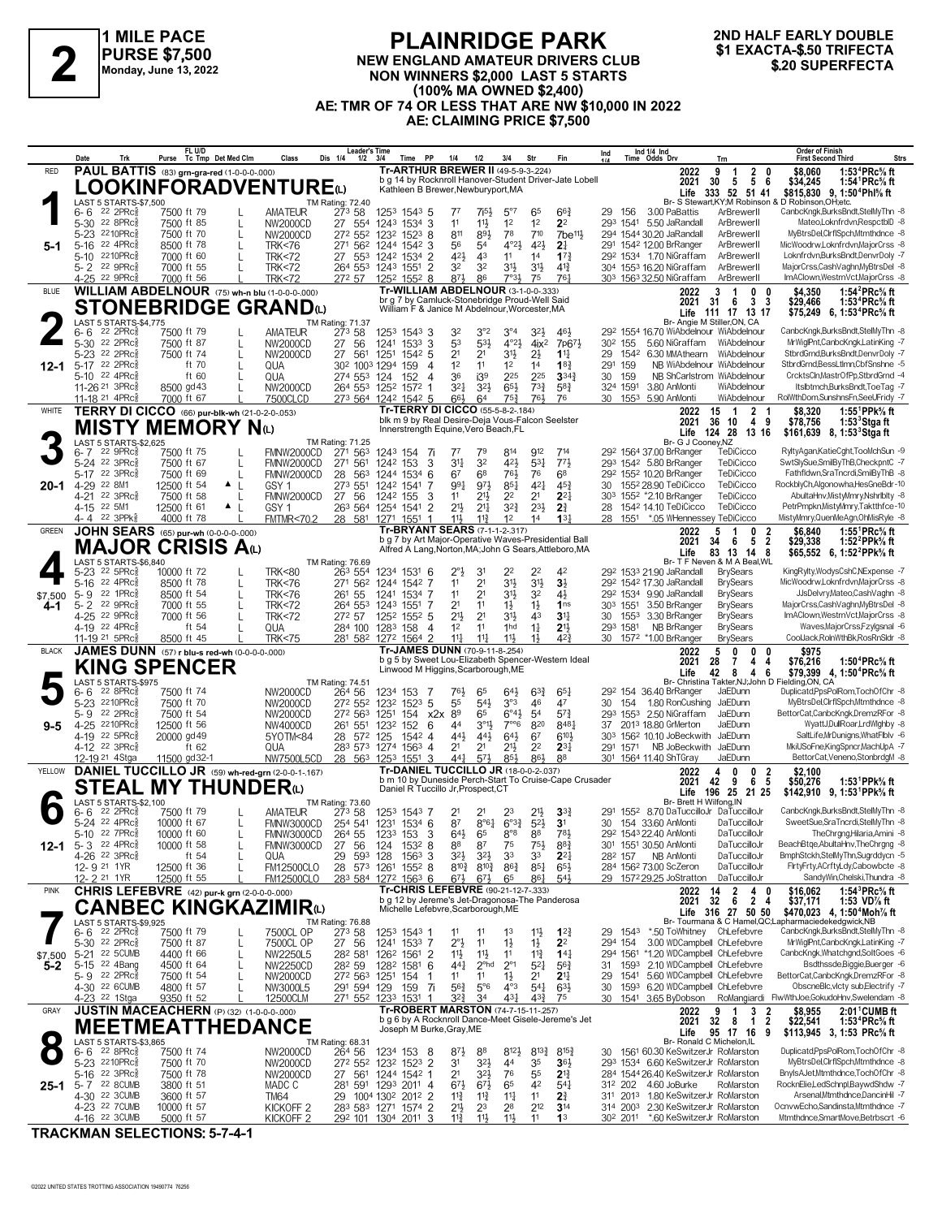

### **PLAINRIDGE PARK NEW ENGLAND AMATEUR DRIVERS CLUB NON WINNERS \$2,000 LAST 5 STARTS (100% MA OWNED \$2,400) AE: TMR OF 74 OR LESS THAT ARE NW \$10,000 IN 2022 AE: CLAIMING PRICE \$7,500 \$1 EXACTA-\$.50 TRIFECTA 2 \$.20 SUPERFECTA**

# **2ND HALF EARLY DOUBLE**

|                | Trk<br>Date                                                            | FL U/D<br>Purse Tc Tmp Det Med Clm | Class                                                     | <b>Leader's Time</b><br>Dis 1/4<br>$1/2$ $3/4$     | PP<br>Time                                                                                       | 1/4<br>1/2                                                       | 3/4<br>Str                                                   | Fin                                | Ind 1/4 Ind<br>Time Odds Drv<br>Ind<br>Trn                                                          | <b>Order of Finish</b><br><b>Strs</b><br><b>First Second Third</b>                                                                   |
|----------------|------------------------------------------------------------------------|------------------------------------|-----------------------------------------------------------|----------------------------------------------------|--------------------------------------------------------------------------------------------------|------------------------------------------------------------------|--------------------------------------------------------------|------------------------------------|-----------------------------------------------------------------------------------------------------|--------------------------------------------------------------------------------------------------------------------------------------|
| <b>RED</b>     | PAUL BATTIS (83) grn-gra-red (1-0-0-0-.000)                            |                                    |                                                           |                                                    | Tr-ARTHUR BREWER II (49-5-9-3-224)                                                               |                                                                  |                                                              |                                    | 2022<br>9<br>$\begin{array}{cc} 2 & 0 \\ 5 & 6 \end{array}$<br>-1                                   | 1:53 <sup>4</sup> PRc <sup>5</sup> / <sub>8</sub> ft<br>\$8,060                                                                      |
|                |                                                                        |                                    | <b>LOOKINFORADVENTURE(L)</b>                              |                                                    | b g 14 by Rocknroll Hanover-Student Driver-Jate Lobell<br>Kathleen B Brewer, Newburyport, MA     |                                                                  |                                                              |                                    | 30<br>2021<br>5<br>Life 333 52 51 41                                                                | 1:54 <sup>1</sup> PRc <sup>5</sup> / <sub>8</sub> ft<br>\$34,245<br>\$815.830 9.1:50 <sup>4</sup> Phl <sup>5</sup> / <sub>8</sub> ft |
|                | LAST 5 STARTS-\$7,500                                                  |                                    |                                                           | TM Rating: 72.40                                   |                                                                                                  |                                                                  |                                                              |                                    | Br- S Stewart, KY; M Robinson & D Robinson, OH; etc.                                                |                                                                                                                                      |
|                | 22 2PRc3<br>6- 6<br>5-30 22 8PRc                                       | 7500 ft 79<br>7500 ft 85           | <b>AMATEUR</b><br>NW2000CD<br>L                           | 273 58<br>27 554                                   | 1253 1543 5<br>1243 1534 3                                                                       | 7i5}<br>77<br>11<br>$11\frac{1}{2}$                              | $5^{\circ}7$<br>65<br>1 <sup>2</sup><br>1 <sup>2</sup>       | $66\frac{3}{4}$<br>2 <sup>2</sup>  | 3.00 PaBattis<br>ArBrewerll<br>29<br>156<br>293 1541<br>5.50 JaRandall<br>ArBrewerll                | CanbcKngk,BurksBndt,StelMyThn -8<br>Mateo,Loknfrdvn,RespctblD -8                                                                     |
|                | 2210PRc<br>5-23                                                        | 7500 ft 70                         | NW2000CD<br>L                                             | 272 552                                            | 1232 1523 8                                                                                      | 893<br>811                                                       | 78<br>710                                                    | $7$ be <sup>11}</sup>              | 294 1544 30.20 JaRandall<br>ArBrewerll                                                              | MyBtrsDel,ClrflSpch,Mtmthdnce -8                                                                                                     |
|                | 22 4PRc<br>$5 - 16$<br>2210PRc<br>5-10                                 | 8500 ft 78<br>7000 ft 60           | <b>TRK&lt;76</b><br><b>TRK&lt;72</b>                      | 271 562<br>27 553                                  | 1244 1542 3<br>1242 1534 2                                                                       | 56<br>54<br>42}<br>43                                            | $4^{\circ}2\frac{1}{2}$<br>421<br>11<br>1 <sup>4</sup>       | 2 <sup>1</sup><br>$17\frac{3}{4}$  | 291 1542 12.00 BrRanger<br>ArBrewerll<br>292 1534 1.70 NiGraffam<br>ArBrewerll                      | MicWoodrw.Loknfrdvn.MajorCrss -8<br>Loknfrdvn.BurksBndt.DenvrDolv -7                                                                 |
|                | 5-2 22 9PRc                                                            | 7000 ft 55                         | <b>TRK&lt;72</b>                                          | 264 553                                            | $\overline{2}$<br>1243 1551                                                                      | 32<br>3 <sup>2</sup>                                             | 31}<br>$3^{11}$                                              | $4^{13}$                           | 304 1553 16.20 NiGraffam<br>ArBrewerll                                                              | MajorCrss,CashVaghn,MyBtrsDel -8                                                                                                     |
|                | $4 - 25$<br>22 9PRc3                                                   | 7000 ft 56                         | <b>TRK&lt;72</b>                                          | 272 57                                             | 1252 1552 8                                                                                      | 873<br>86                                                        | $7°3\frac{1}{2}$<br>75                                       | 761                                | 303 1563 32.50 NiGraffam<br>ArBrewerll                                                              | ImAClown, Westrn Vct, MajorCrss -8                                                                                                   |
| <b>BLUE</b>    |                                                                        |                                    | <b>WILLIAM ABDELNOUR</b> $(75)$ wh-n blu $(1-0-0-0.000)$  |                                                    | Tr-WILLIAM ABDELNOUR (3-1-0-0-.333)<br>br g 7 by Camluck-Stonebridge Proud-Well Said             |                                                                  |                                                              |                                    | 3<br>2022<br>-1<br>$\mathbf 0$<br>0<br>3 <sub>3</sub><br>31<br>2021<br>- 6                          | 1:54 ${}^2$ PRc ${}^5\!$ ft<br>\$4,350<br>\$29,466<br>1:53 <sup>4</sup> PRc <sup>5</sup> / <sub>8</sub> ft                           |
|                |                                                                        |                                    | <b>STONEBRIDGE GRAND</b> W                                |                                                    | William F & Janice M Abdelnour, Worcester, MA                                                    |                                                                  |                                                              |                                    | Life 111 17 13 17                                                                                   | \$75.249 6. 1:53 <sup>4</sup> PRc <sup>5</sup> / <sub>8</sub> ft                                                                     |
|                | LAST 5 STARTS-\$4.775<br>$6 - 6$ 22 2PRc                               | 7500 ft 79                         | <b>AMATEUR</b>                                            | TM Rating: 71.37<br>27 <sup>3</sup> 58             | 1253 1543 3                                                                                      | 32<br>3°2                                                        | $3^{\circ 4}$<br>3 <sup>2</sup>                              | 461                                | Br- Angie M Stiller, ON, CA<br>292 1554 16.70 WiAbdelnour WiAbdelnour                               | CanbcKngk,BurksBndt,StelMyThn -8                                                                                                     |
|                | 5-30 22 2PRc                                                           | 7500 ft 87                         | NW2000CD                                                  | 27 56                                              | 1241 1533 3                                                                                      | 53<br>53}                                                        | $4^{\circ}2\frac{1}{2}$<br>4ix <sup>2</sup>                  | 7p67}                              | 30 <sup>2</sup> 155<br>5.60 NiGraffam<br>WiAbdelnour                                                | MrWiglPnt,CanbcKngk,LatinKing -7                                                                                                     |
| 12-1           | 22 2PRc<br>$5 - 23$<br>22 2PRc<br>5-17                                 | 7500 ft 74<br>ft 70                | NW2000CD<br>L<br>L<br>QUA                                 | 27<br>561<br>30 <sup>2</sup> 100 <sup>3</sup> 1294 | 1251<br>1542 5<br>159<br>$\overline{4}$                                                          | 2 <sup>1</sup><br>2 <sup>1</sup><br>1 <sup>2</sup><br>11         | 31}<br>$2\frac{1}{2}$<br>1 <sup>2</sup><br>1 <sup>4</sup>    | $11\frac{1}{4}$<br>$18\frac{3}{4}$ | 29<br>1542 6.30 MMAthearn<br>WiAbdelnour<br>291<br>159<br>NB WiAbdelnour WiAbdelnour                | StbrdGrnd,BurksBndt,DenvrDoly -7<br>StbrdGrnd,BessLtImn,CbfSnshne -5                                                                 |
|                | 22 4PRc<br>5-10                                                        | ft 60                              | QUA                                                       | 274 553                                            | 124<br>152<br>4                                                                                  | 36<br>i3 <sup>9</sup>                                            | 225<br>225                                                   | $3^{34}\frac{3}{4}$                | NB ShCarlstrom WiAbdelnour<br>159<br>30                                                             | CrcktsCln,MastrOfPp,StbrdGrnd -4                                                                                                     |
|                | 11-26 <sup>21</sup> 3PRc<br>11-18 <sup>21</sup> 4PRc                   | 8500 gd 43<br>7000 ft 67           | NW2000CD<br>7500CLCD                                      | 264 553                                            | 1252 1572<br>273 564 1242 1542 5                                                                 | $3^{21}$<br>32}<br>66}<br>64                                     | $65\frac{1}{2}$<br>$73\frac{3}{4}$<br>$75\frac{3}{4}$<br>761 | $5^{8}3$<br>76                     | 324 1591<br>3.80 AnMonti<br>WiAbdelnour<br>30 1553 5.90 AnMonti<br>WiAbdelnour                      | Itsibtmch, Burks Bndt, ToeTag -7<br>RolWthDom,SunshnsFn,SeeUFridy -7                                                                 |
| WHITE          | <b>TERRY DI CICCO</b> (66) pur-blk-wh (21-0-2-0-.053)                  |                                    |                                                           |                                                    | <b>Tr-TERRY DI CICCO (55-5-8-2-184)</b>                                                          |                                                                  |                                                              |                                    | 15<br>$\overline{2}$<br>2022<br>- 1                                                                 | \$8,320<br>1:55 $^1$ PPk $\%$ ft                                                                                                     |
|                |                                                                        | MISTY MEMORY Nധ                    |                                                           |                                                    | blk m 9 by Real Desire-Deja Vous-Falcon Seelster<br>Innerstrength Equine, Vero Beach, FL         |                                                                  |                                                              |                                    | 36 10<br>49<br>2021                                                                                 | \$78,756<br>1:53 Stgaft                                                                                                              |
|                | LAST 5 STARTS-\$2.625                                                  |                                    |                                                           | TM Rating: 71.25                                   |                                                                                                  |                                                                  |                                                              |                                    | Life 124 28 13 16<br>Br- G J Cooney, NZ                                                             | \$161,639 8, 1:53 Stga ft                                                                                                            |
|                | $6 - 7$ 22 9PRc $\frac{5}{8}$<br>5-24 22 3PRc                          | 7500 ft 75<br>7500 ft 67           | <b>FMNW2000CD</b><br>FMNW2000CD                           | 271 563<br>271<br>561                              | 124 <sup>3</sup> 154 7i<br>3<br>1242 153                                                         | $7^7$<br>79<br>$3^{11}$<br>32                                    | 814<br>912<br>421<br>$5^{3}$                                 | 714<br>773                         | TeDiCicco<br>29 <sup>2</sup> 1564 37.00 BrRanger<br>293 1542 5.80 BrRanger<br>TeDiCicco             | RyltyAgan,KatieCght,TooMchSun -9<br>SwtSlySue,SmilByThB,CheckpntC -7                                                                 |
|                | 5-17 22 3PRc                                                           | 7500 ft 69                         | L<br>FMNW2000CD                                           | 28<br>563                                          | 1244 1534 6                                                                                      | 67<br>6 <sup>8</sup>                                             | 76}<br>76                                                    | 6 <sup>8</sup>                     | 292 1552 10.20 BrRanger<br>TeDiCicco                                                                | Fathfldwn,SraTncrdi,SmilByThB -8                                                                                                     |
| 20-1           | 4-29 22 8M1<br>$22 \t3PRc8$                                            | 12500 ft 54                        | $\blacktriangle$  <br>GSY <sub>1</sub>                    | 273 551                                            | 1242 1541                                                                                        | 991<br>971                                                       | $4^{2}$<br>$85\frac{1}{4}$                                   | $45\frac{3}{4}$                    | 30 1552 28.90 TeDiCicco<br>TeDiCicco<br>TeDiCicco                                                   | RockblyCh,Algonowha,HesGneBdr-10<br>AbultaHnv.MistvMmrv.Nshrlbltv -8                                                                 |
|                | 4-21<br>4-15 22 5M1                                                    | 7500 ft 58<br>12500 ft 61          | FMNW2000CD<br>L<br>$\blacktriangle$  <br>GSY <sub>1</sub> | 27<br>56<br>263 564                                | 1242 155<br>3<br>$\overline{2}$<br>1254 1541                                                     | 21}<br>11<br>213<br>$2^{11}$                                     | 22<br>2 <sup>1</sup><br>$3^{2^{3}}$<br>$2^{3}\frac{1}{2}$    | $2^{2}$<br>2 <sup>3</sup>          | 303 1552 *2.10 BrRanger<br>1542 14.10 TeDiCicco<br>TeDiCicco<br>28                                  | PetrPmpkn, MistyMmry, Taktthfce-10                                                                                                   |
|                | 22 3PPk<br>4- 4                                                        | 4000 ft 78                         | <b>FMTMR&lt;70.2</b>                                      | 28 581 1271                                        | 1551<br>-1                                                                                       | 11,<br>$11\frac{3}{4}$                                           | 1 <sup>2</sup><br>14                                         | 13 <sup>1</sup>                    | 1551 *.05 WHennessey TeDiCicco<br>28                                                                | MistyMmry,QuenMeAgn,OhMisRyle -8                                                                                                     |
| <b>GREEN</b>   | <b>JOHN SEARS</b> (65) pur-wh (0-0-0-0-000)                            |                                    |                                                           |                                                    | Tr-BRYANT SEARS (7-1-1-2-.317)<br>b g 7 by Art Maior-Operative Waves-Presidential Ball           |                                                                  |                                                              |                                    | 2022<br>5<br>-1<br>0<br>-2<br>5 <sub>2</sub><br>2021<br>34<br>6                                     | 1:55 ${}^1$ PRc ${}^5\!$ ft<br>\$6.840<br>1:52 <sup>2</sup> PPk <sup>5</sup> / <sub>8</sub> ft<br>\$29,338                           |
|                |                                                                        | MAJOR CRISIS Aധ                    |                                                           |                                                    | Alfred A Lang, Norton, MA; John G Sears, Attleboro, MA                                           |                                                                  |                                                              |                                    | 83<br>13 14 8<br>Life                                                                               | \$65,552 6, 1:52 <sup>2</sup> PPk% ft                                                                                                |
|                | LAST 5 STARTS-\$6.840<br>5-23 22 5PRcs                                 | 10000 ft 72                        | <b>TRK&lt;80</b>                                          | TM Rating: 76.69<br>263 554                        | 1234 1531 6                                                                                      | $2^{\circ}$<br>31                                                | 22<br>2 <sup>2</sup>                                         | 42                                 | Br- T F Neven & M A Beal, WL<br>29 <sup>2</sup> 153 <sup>3</sup> 21.90 JaRandall<br><b>BrySears</b> | KingRylty,WodysCshC,NExpense -7                                                                                                      |
|                | 22 4PRc<br>$5 - 16$                                                    | 8500 ft 78                         | <b>TRK&lt;76</b>                                          | 271 562                                            | 1244 1542 7                                                                                      | 2 <sup>1</sup><br>11                                             | 31}<br>3 <sup>1</sup>                                        | 3 <sup>1</sup>                     | 29 <sup>2</sup> 154 <sup>2</sup> 17.30 JaRandall<br><b>BrySears</b>                                 | MicWoodrw.Loknfrdvn.MajorCrss -8                                                                                                     |
| \$7,500<br>4-1 | 22 1PRc<br>5-9<br>22 9PRc<br>$5 - 2$                                   | 8500 ft 54<br>7000 ft 55           | <b>TRK&lt;76</b><br>L<br>$\mathsf{L}$<br><b>TRK&lt;72</b> | 261 55<br>264 553                                  | 1241<br>1534 7<br>1243<br>1551 7                                                                 | 11<br>2 <sup>1</sup><br>2 <sup>1</sup><br>11                     | 34<br>3 <sup>2</sup><br>$1\frac{1}{2}$<br>$1\frac{1}{2}$     | 4}<br>1 <sub>ns</sub>              | 292 1534 9.90 JaRandall<br><b>BrySears</b><br>3.50 BrRanger<br><b>BrySears</b><br>303 1551          | JJsDelvry,Mateo,CashVaghn -8<br>MajorCrss,CashVaghn,MyBtrsDel -8                                                                     |
|                | 4-25 22 9PRc                                                           | 7000 ft 56                         | <b>TRK&lt;72</b>                                          | 272 57                                             | 1252 1552 5                                                                                      | $21\frac{1}{2}$<br>2 <sup>1</sup>                                | 34<br>43                                                     | 3 <sup>11</sup>                    | <b>BrySears</b><br>1553<br>3.30 BrRanger<br>30                                                      | ImAClown, Westrn Vct, MajorCrss -8                                                                                                   |
|                | 4-19 22 4PRc<br>11-19 <sup>21</sup> 5PRc                               | ft $54$<br>8500 ft 45              | L<br>QUA<br><b>TRK&lt;75</b>                              | 284 100                                            | 1283 158<br>4<br>281 582 1272 1564 2                                                             | 11<br>1 <sup>2</sup><br>$11\frac{1}{4}$<br>$11\frac{1}{4}$       | 1hd<br>$1\frac{1}{4}$<br>11}<br>$1\frac{1}{2}$               | $21\frac{1}{2}$<br>42 <sup>3</sup> | 293 1581<br>NB BrRanger<br><b>BrySears</b><br>30 1572 *1.00 BrRanger<br><b>BrySears</b>             | Waves, MajorCrss, Fzylgsnal -6<br>CoolJack,RolnWthBk,RosRnSldr -8                                                                    |
| <b>BLACK</b>   | JAMES DUNN (57) r blu-s red-wh (0-0-0-0-000)                           |                                    |                                                           |                                                    | Tr-JAMES DUNN (70-9-11-8-.254)                                                                   |                                                                  |                                                              |                                    | 2022<br>5<br>0<br>0<br>0                                                                            | \$975                                                                                                                                |
|                | <b>KING SPENCER</b>                                                    |                                    |                                                           |                                                    |                                                                                                  |                                                                  |                                                              |                                    |                                                                                                     |                                                                                                                                      |
|                |                                                                        |                                    |                                                           |                                                    | b g 5 by Sweet Lou-Elizabeth Spencer-Western Ideal                                               |                                                                  |                                                              |                                    | 28<br>4<br>2021<br>7<br>4                                                                           | 1:50 ${}^4$ PRc ${}^5\!$ ft<br>\$76,216                                                                                              |
|                | LAST 5 STARTS-\$975                                                    |                                    |                                                           | TM Rating: 74.51                                   | Linwood M Higgins, Scarborough, ME                                                               |                                                                  |                                                              |                                    | Life<br>42<br>8<br>4<br>6<br>Br- Christina Takter, NJ; John D Fielding, ON, CA                      | \$79,399 4, 1:50 <sup>4</sup> PRc <sup>5</sup> / <sub>8</sub> ft                                                                     |
|                | $22$ 8PR $c_{8}^{5}$<br>6- 6                                           | 7500 ft 74                         | NW2000CD                                                  | 264 56                                             | 1234 153 7                                                                                       | 76}<br>65                                                        | $64\frac{1}{2}$<br>$63\frac{3}{4}$                           | $65\frac{1}{4}$<br>47              | 29 <sup>2</sup> 154 36.40 BrRanger<br>JaEDunn<br>30<br>JaEDunn                                      | Duplicatd, PpsPolRom, TochOfChr -8<br>MyBtrsDel,ClrflSpch,Mtmthdnce -8                                                               |
|                | $5 - 23$<br>2210PRc<br>22 2PRc<br>$5 - 9$                              | 7500 ft 70<br>7500 ft 54           | NW2000CD<br>NW2000CD                                      | 272 552<br>272 563                                 | $152^3$ 5<br>1232<br>1251<br>$154$ $x2x$                                                         | 55<br>543<br>89<br>65                                            | 3°3<br>46<br>$6^{\circ}4\frac{1}{2}$<br>5 <sup>4</sup>       | $5^{7}$ <sub>4</sub>               | 154<br>1.80 RonCushing<br>293 1553 2.50 NiGraffam<br>JaEDunn                                        | BettorCat,CanbcKngk,DremzRFor -8                                                                                                     |
| 9-5            | 2210PRc<br>$4 - 25$                                                    | 12500 ft 56                        | NW4000CD                                                  | 261 551                                            | 1232<br>152<br>6                                                                                 | $3^{\circ}13$<br>44                                              | $7^{\circ\circ}6$<br>820                                     | 8483                               | 37 2013 18.80 GrMerton<br>JaEDunn                                                                   | WyattJ,DullRoar,LrdWlghby -8                                                                                                         |
|                | 4-19 22 5PRc<br>4-12 22 3PRc                                           | 20000 gd 49<br>ft 62               | 5YOTM<84<br>QUA                                           | 28<br>572 125                                      | $154^2$ 4<br>283 573 1274 1563 4                                                                 | 44}<br>$44\frac{1}{2}$<br>2 <sup>1</sup><br>2 <sup>1</sup>       | $64\frac{1}{2}$<br>67<br>$21\frac{1}{2}$<br>2 <sup>2</sup>   | $6^{10}$<br>$2^{3\frac{1}{4}}$     | 303 1562 10.10 JoBeckwith JaEDunn<br>291<br>NB JoBeckwith JaEDunn<br>1571                           | SaltLife,MrDunigns,WhatFlblv -6<br>MkiUSoFne,KingSpncr,MachUpA -7                                                                    |
|                | 12-19 <sup>21</sup> 4 Stga                                             | 11500 gd32-1                       | <b>NW7500L5CD</b>                                         |                                                    | 28 563 1253 1551 3                                                                               | 441<br>$5^{7}$                                                   | 86}<br>85}                                                   | 88                                 | 301 1564 11.40 ShTGray<br>JaEDunn                                                                   | BettorCat.Veneno.StonbrdgM -8                                                                                                        |
| YELLOW         |                                                                        |                                    | DANIEL TUCCILLO JR (59) wh-red-grn (2-0-0-1-.167)         |                                                    | Tr-DANIEL TUCCILLO JR (18-0-0-2-.037)<br>b m 10 by Duneside Perch-Start To Cruise-Cape Crusader  |                                                                  |                                                              |                                    | 2022<br>4<br>0<br>0<br>2<br>6<br>42<br>9<br>- 5<br>2021                                             | \$2,100<br>1:53 <sup>1</sup> PPk% ft<br>\$50,276                                                                                     |
|                |                                                                        | <b>STEAL MY THUNDER</b> ധ          |                                                           |                                                    | Daniel R Tuccillo Jr, Prospect, CT                                                               |                                                                  |                                                              |                                    | 196 25 21 25<br>Life                                                                                | \$142,910 9, 1:53 <sup>1</sup> PPk <sup>5</sup> / <sub>8</sub> ft                                                                    |
|                | LAST 5 STARTS-\$2,100<br>6-6 22 2PRcs                                  | 7500 ft 79                         | <b>AMATEUR</b>                                            | TM Rating: 73.60<br>273 58                         | 1253 1543 7                                                                                      | 2 <sup>1</sup>                                                   | 23<br>$21\frac{1}{2}$                                        | $3^{3}_{4}$                        | Br- Brett H Wilfong, IN<br>291 1552 8.70 DaTuccilloJr DaTuccilloJr                                  | CanbcKngk,BurksBndt,StelMyThn -8                                                                                                     |
|                | 5-24 22 4PRc <sup>5</sup>                                              | 10000 ft 67                        | FMNW3000CD<br>L                                           |                                                    | 254 541 1231 1534 6                                                                              | 87                                                               | $8^{\circ}64$ $6^{\circ}34$ $5^{\circ}24$                    | 3 <sup>1</sup>                     | 30 154 33.60 AnMonti<br>DaTuccilloJr                                                                | SweetSue,SraTncrdi,StelMyThn -8                                                                                                      |
|                | 5-10 22 7PRc <sup>5</sup><br>12-1 5-3 $22$ 4PRc $_8^5$                 | 10000 ft 60<br>10000 ft 58         | FMNW3000CD<br>FMNW3000CD                                  | 264 55<br>27<br>56                                 | 1233 153 3<br>124<br>1532 8                                                                      | $6^{4\frac{1}{2}}$ 6 <sup>5</sup><br>87<br>88                    | $8^{\circ}8$<br>88<br>75<br>$75\frac{1}{2}$                  | 78}<br>$8^{8}$ <sub>4</sub>        | 292 1543 22.40 AnMonti<br>DaTuccilloJr<br>301 1551 30.50 AnMonti<br>DaTuccilloJr                    | TheChrgng,Hilaria,Amini -8<br>BeachBtge, AbultaHnv, The Chrgng -8                                                                    |
|                | 4-26 22 3PRc <sup>5</sup>                                              | ft $54$                            | QUA                                                       | 29<br>593 128                                      | $1563$ 3                                                                                         | $3^{2}\frac{1}{2}$<br>$3^{21}$                                   | 33<br>3 <sup>3</sup>                                         | $2^{2}$                            | DaTuccilloJr<br>28 <sup>2</sup> 157 NB AnMonti                                                      | BmphStckh,StelMyThn,Sugrddycn -5                                                                                                     |
|                | 12-9 21 1YR<br>12-2 <sup>21</sup> 1YR                                  | 12500 ft 36<br>12500 ft 55         | FM12500CLO<br>$\mathbf{L}$<br><b>FM12500CLO</b>           |                                                    | 28 573 1261 1552 8                                                                               | $8^{10\frac{3}{4}}$<br>$8^{10}\frac{3}{4}$<br>$6^{7}\frac{1}{2}$ | $86\frac{3}{4}$<br>$85\frac{1}{4}$<br>861<br>65              | $65\frac{1}{2}$<br>$54\frac{1}{2}$ | 284 1562 73.00 ScZeron<br>DaTuccilloJr<br>29 1572 29.25 JoStratton<br>DaTuccilloJr                  | FirtyFrty,ACrftyLdy,Cabowbcte -8<br>SandyWin,Chelski,Thundra -8                                                                      |
| <b>PINK</b>    | <b>CHRIS LEFEBVRE</b> (42) pur-k grn (2-0-0-0-000)                     |                                    |                                                           |                                                    | 283 584 1272 1563 6<br><b>Tr-CHRIS LEFEBVRE (90-21-12-7-.333)</b>                                | $6^{7}\frac{1}{2}$                                               |                                                              |                                    | 2022<br>$\overline{2}$<br>4<br>0                                                                    | 1:54 ${}^{3}$ PRc ${}^{5}$ sft<br>\$16,062                                                                                           |
|                |                                                                        |                                    | CANBEC KINGKAZIMIRധ                                       |                                                    | b g 12 by Jereme's Jet-Dragonosa-The Panderosa<br>Michelle Lefebvre, Scarborough, ME             |                                                                  |                                                              |                                    | $\frac{14}{32}$<br>6 2 4<br>2021                                                                    | \$37,171<br>1:53 VD% ft                                                                                                              |
|                | LAST 5 STARTS-\$9,925                                                  |                                    |                                                           |                                                    |                                                                                                  |                                                                  |                                                              |                                    | Life 316 27 50 50<br>Br- Tourmana & C Hamel, QC; Lapharmaciedekedgwick, NB                          | \$470,023 4, 1:50 <sup>4</sup> Moh <sup>7</sup> / <sub>8</sub> ft                                                                    |
|                | $6 - 6$ 22 2PRc $\frac{5}{8}$<br>5-30 <sup>22</sup> 2PRc <sup>5</sup>  | 7500 ft 79<br>7500 ft 87           | 7500CL OP<br>L<br>7500CL OP<br>L                          | TM Rating: 76.88<br>P 273 58<br>27 56              | 1253 1543 1<br>1241 1533 7                                                                       | 11<br>11<br>$2^{\circ}$<br>11                                    | 11물<br>1 <sup>3</sup><br>$1\frac{1}{2}$<br>$1\frac{1}{2}$    | $12\frac{3}{4}$<br>2 <sup>2</sup>  | 29 1543 *.50 ToWhitney ChLefebvre<br>3.00 WDCampbell ChLefebvre<br>294 154                          | CanbcKngk,BurksBndt,StelMyThn -8<br>MrWiglPnt,CanbcKngk,LatinKing -7                                                                 |
| \$7,500        | 5-21 22 5 CUMB                                                         | 4400 ft 66                         | NW2250L5<br>L                                             | 282 581                                            | 126 <sup>2</sup> 1561 2                                                                          | $11\frac{1}{2}$<br>$11\frac{1}{2}$                               | $11\frac{3}{4}$<br>11                                        | $14\frac{1}{4}$                    | 294 1561 *1.20 WDCampbell ChLefebvre                                                                | CanbcKngk, Whatchgnd, SoltGoes -6                                                                                                    |
| $5 - 2$        | 5-15 22 4Bang<br>5-9 22 $2PRc_{8}^{5}$                                 | 4500 ft 64<br>7500 ft 54           | NW2250CD<br>L                                             | 282 59                                             | 128 <sup>2</sup> 1581 6<br>-1                                                                    | $2^{\circ}$ hd<br>441<br>11<br>11                                | $2^{\circ}1$<br>$5^{21}$<br>2 <sup>1</sup>                   | $56\frac{3}{4}$<br>2 <sup>11</sup> | 31 1593 2.10 WDCampbell ChLefebvre<br>1541 5.60 WDCampbell ChLefebvre<br>29                         | Bsdthssde,Biggie,Buerger -6<br>BettorCat,CanbcKngk,DremzRFor -8                                                                      |
|                | 4-30 <sup>22</sup> 6CUMB                                               | 4800 ft 57                         | NW2000CD<br>NW3000L5                                      | 272 563 1251<br>291 594 129                        | 154<br>159 7i                                                                                    | $56\frac{3}{4}$<br>$5^{\circ}6$                                  | $1\frac{1}{2}$<br>$4^{\circ}3$<br>$5^{41}$                   | $63\frac{1}{2}$                    | 1593 6.20 WDCampbell ChLefebvre<br>30                                                               | ObscneBlc, vlcty sub, Electrify -7                                                                                                   |
|                | 4-23 <sup>22</sup> 1Stga                                               | 9350 ft 52                         | 12500CLM                                                  |                                                    | 271 552 1233 1531<br>$\overline{1}$                                                              | 32½<br>34                                                        | 431<br>$4^{3}\frac{3}{4}$                                    | 75                                 | 30 1541 3.65 ByDobson RoMangiardi FlwWthJoe,GokudoHnv,Swelendam -8                                  |                                                                                                                                      |
| GRAY           | JUSTIN MACEACHERN (P) (32) (1-0-0-0-000)                               |                                    |                                                           |                                                    | <b>Tr-ROBERT MARSTON (74-7-15-11-257)</b><br>b g 6 by A Rocknroll Dance-Meet Gisele-Jereme's Jet |                                                                  |                                                              |                                    | 2022<br>9<br>3<br>-2<br>-1<br>$\overline{2}$<br>$32 \quad 8$<br>$\mathbf{1}$<br>2021                | $2:011$ CUMB ft<br>\$8,955<br>\$22,541<br>1:53 <sup>4</sup> PRc% ft                                                                  |
|                |                                                                        |                                    | <b>MEETMEATTHEDANCE</b>                                   |                                                    | Joseph M Burke, Gray, ME                                                                         |                                                                  |                                                              |                                    | 95 17 16 9<br>Life                                                                                  | \$113,945 3, 1:53 PRc <sup>5</sup> / <sub>8</sub> ft                                                                                 |
|                | LAST 5 STARTS-\$3,865<br>$6 - 6$ 22 8PRc $\frac{5}{8}$                 | 7500 ft 74                         | NW2000CD                                                  | TM Rating: 68.31<br>264 56                         | 1234 153 8                                                                                       | $8^{7}\frac{1}{2}$<br>88                                         | 812}<br>$8^{13}\frac{3}{4}$                                  | $8^{15}\frac{3}{4}$                | Br- Ronald C Michelon, IL<br>30 1561 60.30 KeSwitzerJr RoMarston                                    | Duplicatd, PpsPolRom, TochOfChr -8                                                                                                   |
|                | 5-23 2210PRc                                                           | 7500 ft 70                         | NW2000CD                                                  |                                                    | 272 552 1232 1523 2                                                                              | 31<br>$3^{2}\frac{1}{2}$                                         | 35<br>44                                                     | $36\frac{1}{2}$                    | 293 1534 6.60 KeSwitzerJr RoMarston                                                                 | MyBtrsDel,ClrflSpch,Mtmthdnce -8                                                                                                     |
| 25-1           | 5-16 $22 \text{ } 3 \text{ } \text{ } PRc\frac{5}{8}$<br>5-7 22 8 CUMB | 7500 ft 78<br>3800 ft 51           | NW2000CD<br>MADC C                                        | 27 561                                             | 1244 1542 1<br>281 591 1293 2011 4                                                               | $3^{2}$<br>2 <sup>1</sup><br>$6^{71}$<br>$6^{7}\frac{1}{2}$      | 76<br>55<br>42<br>65                                         | $2^{13}$<br>$5^{41}$               | 284 1544 26.40 KeSwitzerJr RoMarston<br>312 202 4.60 JoBurke<br>RoMarston                           | BnyIsAJet,Mtmthdnce,TochOfChr -8<br>RocknElie,LedSchnpl,BaywdShdw -7                                                                 |
|                | 4-30 22 3CUMB<br>4-23 22 7 CUMB                                        | 3600 ft 57<br>10000 ft 57          | <b>TM64</b><br>KICKOFF <sub>2</sub>                       |                                                    | 29 1004 1302 2012 2<br>283 583 1271 1574 2                                                       | $11\frac{3}{4}$<br>$11\frac{3}{4}$<br>$21\frac{1}{2}$<br>23      | $11\frac{1}{4}$<br>11<br>28<br>$2^{12}$                      | $2\frac{3}{4}$<br>$3^{14}$         | 311 2013 1.80 KeSwitzerJr RoMarston<br>314 2003 2.30 KeSwitzerJr RoMarston                          | Arsenal,Mtmthdnce,DancinHil -7<br>OcnvwEcho,Sandinsta,Mtmthdnce -7                                                                   |

**TRACKMAN SELECTIONS: 5-7-4-1**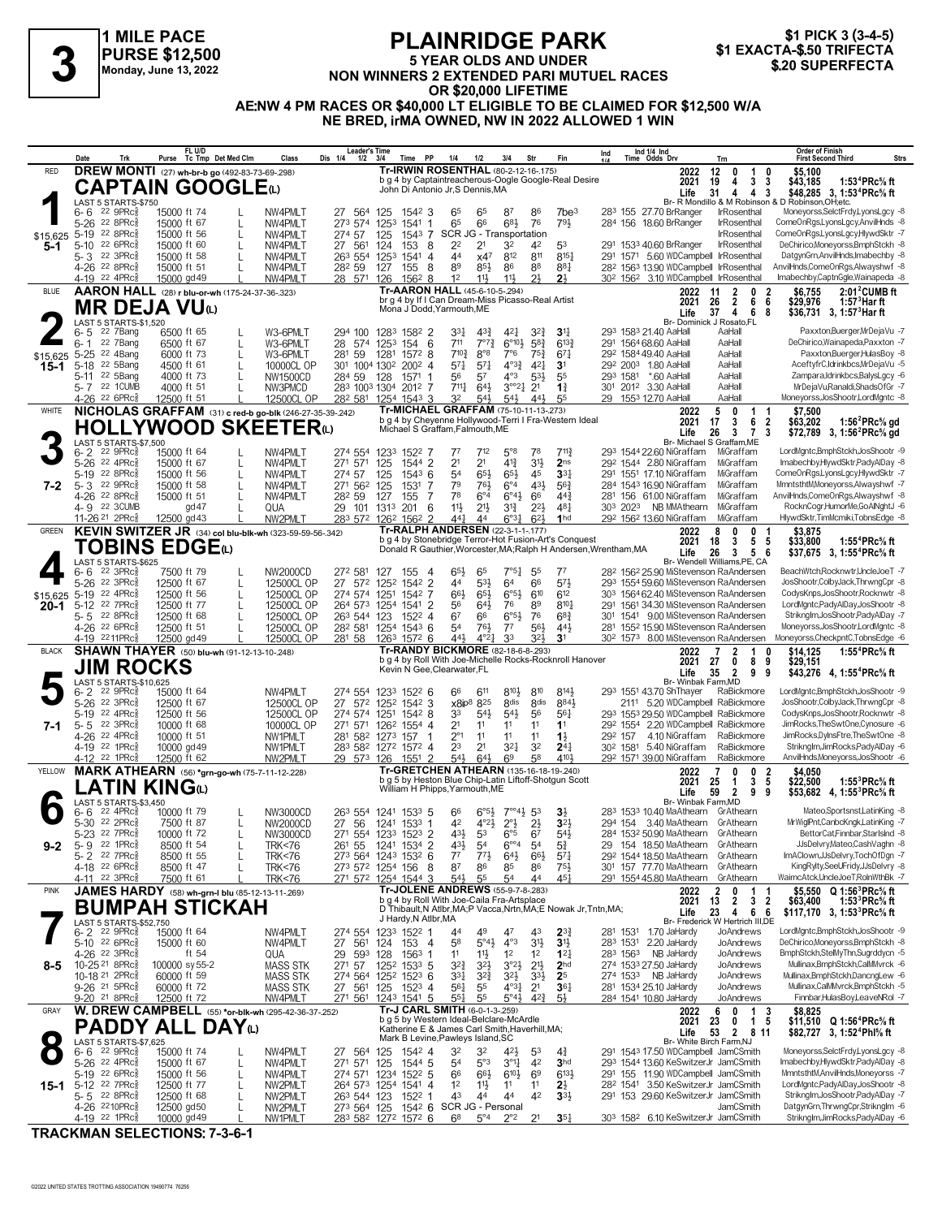## **1 MILE PACE PURSE \$12,500 Monday, June 13, 2022**

## **PLAINRIDGE PARK 5 YEAR OLDS AND UNDER NON WINNERS 2 EXTENDED PART MUTUEL RACES**<br>
Monday, June 13, 2022<br>
Monday, June 13, 2022<br> **31 EXACTA-\$.50 TRIFECTA**<br> **31 EXACTA-\$.50 TRIFECTA**<br> **31 EXACTA-\$.50 TRIFECTA**<br> **320 SUPERFECTA OR \$20,000 LIFETIME AE:NW 4 PM RACES OR \$40,000 LT ELIGIBLE TO BE CLAIMED FOR \$12,500 W/A NE BRED, irMA OWNED, NW IN 2022 ALLOWED 1 WIN**

\$1 PICK 3 (3-4-5)<br>\$1 EXACTA-\$.50 TRIFECTA

**Date Trk Purse FL U/D Tc Tmp Det Med Clm Class Dis 1/4 1/2 3/4 Time PP 1/4 1/2 3/4 Str Fin Ind Leader's Time Ind 1/4 Ind 1/4 Time Odds Drv Order of Finish Trn First Second Third Strs** LAST 5 STARTS-\$750<br>6- 6 <sup>22</sup> 9PRcේ 15000 ft 74 L NW4PMLT 27 564 125 1542 3 6<sup>5</sup> 8<sup>7</sup> 8<sup>6</sup> 7be<sup>3</sup> 283 155 27.70 BrRanger IrRosenthal Moneyorss,SelctFrdy,LyonsLgcy -8 6-6 <sup>22 gPRc‱ 15000 ft 74 L NW4PMLT 27 564 125 1542 3 65 65 87 86 7be<sup>3</sup> 283 155 27.70 BrRanger IrRosenthal Moneyorss,SelctFrdy⊥yonsLgcy, 3<br>5-26 <sup>22 gPRc▒ 15000 ft 67 L NW4PMLT 273 574 1253 1541 1 65 66 68½ 76 79½ 284 156</sup></sup> 5-19 SCR JG - Transportation IrRosenthal ComeOnRgs,LyonsLgcy,HlywdSktr -7 22 8PRcÁ 15000 ft 56 L NW4PMLT 274 57 125 1543 7 22 21 32 291 5-10 40.60 BrRanger IrRosenthal DeChirico,Moneyorss,BmphStckh -8 22 6PRcÁ 15000 ft 60 L NW4PMLT 27 561 124 153 8 42 53 1533 44 x47 812 32 3PRc MOST BOOD ft 58 L NW4PMLT 263 554 1253 1541 4 x47 812 811 8154 291 1571 560 WDCampbell IrRosenthal DatgynGrn,AnvilHnds,Imabechby -8 23 22 3PRc Á 15000 ft 58 L NW4PMLT 282 554 1253 1541 4 811 8154 8121 81  $\frac{4}{26}$  22 8PRc $\frac{8}{8}$  15000 ft 51 L NW4PMLT 28<sup>2</sup> 59 127 155 8 8<sup>9</sup> 85 $\frac{1}{2}$  86 88 85 $\frac{1}{4}$  28<sup>2</sup> 1563 13.90 WDCampbell IrRosenthal AnvilHnds,ComeOnRgs,Alwayshwf -8<br>4-19 <sup>22</sup> 4PRc $\frac{8}{8}$  15000 gd 49 L NW4PML 12 12 12 1362 3.10 WDCampbell IrRosenthal Imabechby,Captainapeda - 2022 11 2 0 2 **DREW MONTI** (27) **wh-br-b go** (492-83-73-69-.298) RED **2022** \$15,625 **5-1** b g 4 by Captaintreacherous-Oogle Google-Real Desire John Di Antonio Jr,S Dennis,MA  **19 4 3 3 \$43,185 1:53<sup>4</sup>PRc⅝ ft 31 4 4 3 \$48,285 1:53<sup>4</sup>PRc⅝ ft Life 3, 12 0 1 0 \$5,100 2021**<br>**Life**<br>R Mon **Tr-IRWIN ROSENTHAL** (80-2-12-16-.175) **CAPTAIN GOOGLE**(L) **1** LAST 5 STARTS-\$750<br>6- 6 <sup>22</sup> 9PRc<sup>5</sup> 15000 ft 74 33¼ 43¾ 42¼ 293 6- 5 21.40 AaHall AaHall Paxxton,Buerger,MrDejaVu -7 22 7Bang 6500 ft 65 L W3-6PMLT 294 100 1283 1582 2 32¾ **3**1¼ 1583 711 7°7¾ 6°10½ 291 6- 1 68.60 AaHall AaHall DeChirico,Wainapeda,Paxxton -7 22 7Bang 6500 ft 67 L W3-6PMLT 28 574 1253 154 6 58¾ 613¾ 1564 710¾ 8°8 7°6 292 5-25 49.40 AaHall AaHall Paxxton,Buerger,HulasBoy -8 22 4Bang 6000 ft 73 L W3-6PMLT 281 59 1281 1572 8 75¾ 67¼ 1584 57¼ 57¼ 4°3¾ 292 5-18 1.80 AaHall AaHall AceftyfrC,Idrinkbcs,MrDejaVu -5 22 5Bang 4500 ft 61 L 10000CL OP 301 1004 1302 2002 4 42¼ **3**1 2003  $5$ -11 <sup>22</sup> 5Bang 4000 ft 73 L NW1500CD 284 59 128 1571 1 56 57 4°3 53 $\frac{1}{2}$  55 293 1581 \*.60 AaHall AaHall<br>5-7 <sup>22</sup> 1CUMB 4000 ft 51 L NW3PMCD 283 1003 1304 2012 7 711 $\frac{1}{4}$  64 $\frac{1}{2}$  3°°2 $\frac{1}{4}$  21 13 $\frac{1}{4}$ 711¼ 64½ 3°°2¼ 301 5- 7 3.30 AaHall AaHall MrDejaVu,Ranaldi,ShadsOfGr -7 22 1CUMB 4000 ft 51 L NW3PMCD 283 1003 1304 2012 7 21 **1**¾ 2012 <u>4–26 22 6PRc‱ 12500 ft 51 L 12500CL OP 282 581 1254 1543 3 32 54½ 54½ 44½ 55 29 1553 12.70 AaHall Moneyorss,JosShootrLordMgntc 8</u> **AARON HALL** (28) **r blu-or-wh** (175-24-37-36-.323) BLUE **2022** \$15,625 **15-1** Br- Dominick J Rosato,FL<br>293 1583 21.40 AaHall AaHall br g 4 by If I Can Dream-Miss Picasso-Real Artist Mona J Dodd,Yarmouth,ME  **26 2 6 6 \$29,976 1:57<sup>3</sup>Har ft 11 2 0 2 \$6,755 2:01<sup>2</sup>CUMB ft 37 4 6 8 \$36,731 1:57<sup>3</sup>Har ft Life 3,** 2022 11 2<br>
2021 26 2<br>
Life 37 4 **Tr-AARON HALL** (45-6-10-5-.294) **MR DEJA VU**(L)<br>
6-5 22 7Bang 6500 ft 65<br>
6-5 22 7Bang 6500 ft 67<br>
15.625 5-25 22 4Bang 6000 ft 73 LAST 5 STARTS-\$1,520<br>6-5 <sup>22</sup> 7Bang 6 8r-MichaelSGraffam,ME<br>1997 - 1997 - 1997 - 1997 1544 15000 ft 64 L NW4PMLT 274 554 1233 1522 7 77 7<sup>12</sup> 5°<sup>8</sup> 7<sup>8</sup> 7<sup>11</sup> 29<sup>3</sup> 1544 22.60 NiGraffam MiGraffam LordMgntc,BmphStckh,JosShootr ج 16-c 2 24 9PRcﷺ 15000 ft 64 L 22 9 PRc 15000 ft 64 L NW4PMLT 274 554 1233 1522 7 77 712 5° 78 711 293 1544 2260 NiGraffam MiGraffam LordMgntcBmphStckh,JosShootr 9<br>21 22 8 PRc 15000 ft 67 L NW4PMLT 271 571 125 1543 6 54 65½ 45% 291 151 17.10 NiGraffam M 5-19 <sup>22</sup> 8PRc៖ 15000 ft 56 L NW4PMLT 274 57 125 1543 6 54 65½ 65½ 45 **3**3½ 291 1551 17.10 NiGraffam MiGraffam ComeOnRgsLyonsLgcy.HlywdSktr 7<br>5-3 <sup>22</sup> 9PRc៖ 15000 ft 58 L NW4PMLT 271 562 125 1531 7 79 76½ 6°4 43½ 56¾ 284 1 14.26 22 8PRc 15000 ft 51 L NW4PMLT 282 59 127 155 7 78 6°4 6°4 6° 443 281 156 61.00 NiGraffam MiGraffam AnvilHnds,ComeOnRgs,Alwayshwf 8<br>14.9 22 3CUMB 9d47 L QUA 29 101 1313 201 6 111 212 313 222 481 303 2023 NB MMAthearn 11→26 22 3CUMB 12500 gd47 L CUA 29 101 1313 201 6 113 214 314 214 314 303 2023 NB MMAthearn MiGraffam RocknCogr,HumorMe,GoANghtJ -6 2021 6 125 2024 48 2024 48 303 2023 NB MMAthearn MiGraffam RocknCogr,HumorMe,GoANghtJ -6 11-26<sup>21</sup> 2PRc<sub>3</sub> 12500 gd43 L NW2PMLT 283 572 1262 1562 2 44 $\frac{44}{1}$  44 6°3 $\frac{1}{4}$  62½ 1hd 292 1562 13.60 NiGraffam MiGraffam HlywdSktr,TimMcmiki,TobnsEdge -8 WHITE **NICHOLAS GRAFFAM** (31) **c** red-b go-blk (246-27-35-39-.242) Tr-MICHAEL GRAFFAM (75-10-11-13-273) 2022 **7-2** Life 26 3 7<br>Br- Michael S Graffam, ME<br>293 1544 22.60 NiGraffam MiGraffam b g 4 by Cheyenne Hollywood-Terri I Fra-Western Ideal Michael S Graffam,Falmouth,ME  **17 3 6 2 \$63,202 1:56<sup>2</sup>PRc⅝ gd 5 0 1 1 \$7,500 26 3 7 3 \$72,789 1:56<sup>2</sup>PRc⅝ gd Life 3, 2021 Tr-MICHAEL GRAFFAM** (75-10-11-13-.273) **HOLLYWOOD SKEETER(L)**<br>
6- 2 22 9PRG8 15000 ft 64 1 NW4PM T 274 554 66 22 3PRc 7500 ft 79 L NW2000CD 272 581 127 155 4 65 65 7°54 55 77 282 1562 25.90 MiStevenson RaAndersen BeachWtch,Rocknwtr,UncleJoeT -7<br>5-26 22 3PRc 12500 ft 67 L 12500CL OP 27 572 1252 1542 2 44 53 64 66 57 293 1554 59. 12500 ft 67 L 12500CL OP 27 572 1252 1342 2 44 531 64 6571 293 1554 5960 MiStevenson RaAndersen JosShootr,ColbyJack,ThrwngCpr -8 2021 1566 574 293 1554 5980 MiStevenson RaAndersen JosShootr,ColbyJack,ThrwngCpr -8 22 500 ft 12500 ft 56 L 12500CL OP 274 574 1251 1542 7 661 651 665 610 612 303 1564 6240 MiStevenson RaAndersen CodysKnps,JosShootrRocknwtr -8 23 1254 7 574 1251 1251 1251 1252 1251 1251 12500 ft 574 274 574 1251 1542 7 610 612 1564 5-12 22 7PRc 12500 ft 77 L 125000L OP 264 573 1254 1541 2 56 644 76 89 8104 291 1561 34.30 MiStevenson RaAndersen LordMgntcPadyAlDay,JosShootr -8 22 8PRc 12500 ft 77 L 12500 CL 12500 CL 12500 CL 12500 CL 12500 CL 263 544 1 5- 5 22 8PRc៖ 12500 ft 68 L 12500CL OP 263 544 123 1522 4 67 66° 6°54 76 683 301 1541 9.00 MiStevenson RaAndersen StrikngIm,JosShootr,PadyAlDay 7<br>4-26 22 6PRc៖ 12500 ft 51 L 12500CL OP 282 581 1254 1543 6 54 76½ 77 56½ 44 54 54 26 79 12500 ft 51 L 125000 P 282 581 1254 1543 6 54 764 77 564 44 281 1552 1559 MiStevenson RaAndersen Moneyorss,JosShootr,LordMgntc -8 22 6PRc 12500 ft 51 L 125000 LOR 282 581 1254 1543 6 54 764 77 564 44<br>19 2211PRc 44½ 4°2¼ 33 302 4-19 8.00 MiStevenson RaAndersen Moneyorss,CheckpntC,TobnsEdge -6 2211PRcÁ 12500 gd49 L 12500CL OP 281 58 1263 1572 6 32½ **3**1 1573 **KEVIN SWITZER JR** (34) **col blu-blk-wh** (323-59-59-56-.342) GREEN **2022** \$15,625 **20-1** Br- Wendell Williams,PE, CA b g 4 by Stonebridge Terror-Hot Fusion-Art's Conquest Donald R Gauthier,Worcester,MA;Ralph H Andersen,Wrentham,MA  **18 3 5 5 \$33,800 1:55<sup>4</sup>PRc⅝ ft 8 0 0 1 \$3,875 26 3 5 6 \$37,675 1:55<sup>4</sup>PRc⅝ ft 2021 Life 3, Tr-RALPH ANDERSEN** (22-3-1-1-.177) **TOBINS EDGE**(L) LAST 5 STARTS-\$625<br>6-6 22 3PRc 66 611 810½ 293 6- 2 43.70 ShThayer RaBickmore LordMgntc,BmphStckh,JosShootr -9 22 9PRcÁ 15000 ft 64 NW4PMLT 274 554 1233 1522 6 810 814½ 1551 Br- Winbak Farm,MD  $\frac{6 \cdot 2}{6 \cdot 2}$  22 9PRc  $\frac{3}{15000}$  ft 64 MW4PMLT  $274\,554\,1253\,152\,6$  66 611 810 814 293 1551 43.70 ShThayer RaBickmore LordMgntcBmphStckh,JosShootr -9<br>
5-26 22 3PRc 12500 ft 67 12500CL OP 271 574 1252 1542 3 x8j 5-19 22 4PRc 12500 ft 56 12500CL OP 1274 574 1251 1542 8 33 544 544 56 564 293 1553 29.50 WDCampbell RaBickmore CodysKnps,JosShootrRocknwtr -8 25 1542 6 12500 ft 56 12500 ft 56 12500 ft 574 1251 1542 8 1554 1554 220 MDCamp 5-5 <sup>22</sup> 3PRc<sub>8</sub> 10000 ft 68 10000CL OP 271 571 1262 1554 4 21 11 11 11 1292 1554 2.20 WDCampbell RaBickmore JimRocks,TheSwtOne,Cynosure 6<br>4-26 <sup>22</sup> 4PRc<sub>8</sub> 10000 ft 51 NW1PMLT 281 582 1273 157 1 2<sup>9</sup> 22 1PRc∯ 10000 gd49 MW1PMLT 283 582 1272 1572 4 23 21 321 32 244 302 1581 5.40 NiGraffam RaBickmore StrikngIm,JimRocks,PadyAlDay 6<br>4-12 <sup>22</sup> 1PRc∯ 12500 ft 62 MW2PMLT 29 573 126 1551 2 541 6<sup>41</sup> 6<sup>9</sup> 58 4<sup>101</sup>½ 292 1571 5.45% raffam RaBickmore AnvilHnds,Moneyorss,JosShootr -6 2022 7 0 0 2 \$4,050 **SHAWN THAYER** (50) **blu-wh** (91-12-13-10-.248) BLACK **2022 7-1** b g 4 by Roll With Joe-Michelle Rocks-Rocknroll Hanover Kevin N Gee,Clearwater,FL  **27 0 8 9 \$29,151 7 2 1 0 \$14,125 1:55<sup>4</sup>PRc⅝ ft 35 2 9 9 \$43,276 1:55<sup>4</sup>PRc⅝ ft Life 4,** 2022<br>2021 27<br>Life 35 **Tr-RANDY BICKMORE** (82-18-6-8-.293) **JIM ROCKS**<br> **5**  $^{LAST S \, STARTS$ 10,625}_{6-2}$   $^{6-2}$   $^{22}$   $^{9PRc}_{8}$   $^{15000}$  ft<br>  $^{5-26}$   $^{22}$   $^{3PRc}_{8}$   $^{12500}$  ft LAST 5 STARTS-\$10,625 6- 6 <sup>22</sup> 4PRc총 10000 ft 79 L NW3000CD 263 554 1241 1533 5 6<sup>6 6°51</sup>z 7°°41 53 **3**½ 283 1533 10.40 MaAthearn GrAthearn Mateo,Sportsnst,LatinKing 8 42 4°2½ 2°½ 294 5-30 3.40 MaAthearn GrAthearn MrWiglPnt,CanbcKngk,LatinKing -7 22 2PRcÁ 7500 ft 87 L NW2000CD 27 56 1241 1533 1 2½ **3**2½ 154 5-23 <sup>22</sup> 7PRc<sub>∛</sub> 10000 ft 72 L NW3000CD 271 554 1233 1523 2 43½ 53 6°5 67 54½ 284 153<sup>2</sup> 50.90 MaAthearn GrAthearn BettorCat,Finnbar,StarIslnd -8 43½ 54 6°°4 29 5- 9 18.50 MaAthearn GrAthearn JJsDelvry,Mateo,CashVaghn -8 22 1PRcÁ 8500 ft 54 L TRK<76 261 55 1241 1534 2 54 5¾ 154 5- 2 22 7PRc៖ 8500 ft 55 L TRK<76 273 564 1243 1532 6 77 771 641 661 571 292 1544 18.50 MaAthearn GrAthearn ImAClown,JJsDelvry,TochOfDgn 7<br>4-18 22 6PRc៖ 8500 ft 47 L TRK<76 273 572 1254 156 8 87 86 85 86 751 301 157 77.70 4-18 <sup>22</sup> 6PRc<sub>∛</sub> 8500 ft 47 L TRK<76 273 572 1254 156 8 87 8<sup>6</sup> 85 86 75½ 301 157 77.70 MaAthearn GrAthearn KingRylty,SeeUFridy,JJsDelvry 8 54 5500 ft 61 L TRK≺76 271 572 1254 1544 3 54 35 54 44 45‡ 291 1554 4580 MaAthearn GrAthearn WaimcAtck,UncleJoeT,RolnWthBk 7 **MARK ATHEARN** (56) **\*grn-go-wh** (75-7-11-12-.228) YELLOW **2022 9-2** Br- Winbak Farm, MD<br>283 1533 10.40 MaAthearn GrAthearn b g 5 by Heston Blue Chip-Latin Liftoff-Shotgun Scott William H Phipps,Yarmouth,ME  **25 1 3 5 \$22,500 1:55<sup>3</sup>PRc⅝ ft**  $$4.050$  **59 2 9 9 \$53,682 1:55<sup>3</sup>PRc⅝ ft Life 4, 2021 Tr-GRETCHEN ATHEARN** (135-16-18-19-.240) **LATIN KING**(L)<br>
6-6 <sup>22</sup> 4PRC 10000 ft 79<br>
5-30 <sup>22</sup> 2PRC 10000 ft 87<br>
7500 ft 87 LAST 5 STARTS-\$3,450 44 49 47 43 Br- Frederick W Hertrich III,DE<br>6- 2 22 9PRcﷺ 15000 ft 64 NW4PMLT 274 554 1233 1522 1 44 49 47 43 23¾ 281 1531 1.70 JaHardy JoAndrews LordMgntc,BmphStckh,JosShootr 9 5.1 22 9PRc<sup>§1</sup> 15000 ft 64 MW4PMLT 274 554 1233 1522 1 44 49 47 43 283 281 1531 1.70 JaHardy JoAndrews LordMgntcBmphStckh,JosShootr 9<br>5-10 <sup>22</sup> 8PRc§ 15000 ft 60 MW4PMLT 27 561 124 153 4 5<sup>8</sup> 5°4½ 4°3 31½ 283 1531 220 JaH 11 12 12 23 19 12 12 12 12 12 12 12 12 12 12 12 13 128 1563 1 1602 128 1563 THE Jahardy JoAndrews BmphStckh,StelMyThn,Sugrddycn 5 29 593 128 1563 1 11 11 12 12 12 12 283 1563 NB JaHardy JoAndrews BmphStckh,StelMyThn,Sugrdd 32¾ 32½ 3°2½ 274 27.50 JaHardy JoAndrews Mullinax,BmphStckh,CalMMvrck -6 10-25 21 8PRcÁ 100000 sy 55-2 MASS STK 271 57 1252 1533 5 21½ **2**hd 1533 33¼ 32¾ 32½ 274 NB JaHardy JoAndrews Mullinax,BmphStckh,DancngLew -6 10-18 21 2PRcÁ 60000 ft 59 MASS STK 274 564 1252 1523 6 33½ **2**5 1533 56¼ 55 4°3¼ 281 9-26 25.10 JaHardy JoAndrews Mullinax,CalMMvrck,BmphStckh -5 21 5PRcÁ 60000 ft 72 MASS STK 27 561 125 1523 4 21 **3**6¼ 1534 55¼ 55 5°4½ 284 9-20 10.80 JaHardy JoAndrews Finnbar,HulasBoy,LeaveNRol -7 21 8PRcÁ 12500 ft 72 NW4PMLT 271 561 1243 1541 5 42¾ 5½ 1541 **JAMES HARDY** (58) **wh-grn-l blu** (85-12-13-11-.269) PINK **2022 8-5** Br- Frederick W Hertrich III,DE **Life 3,** b g 4 by Roll With Joe-Caila Fra-Artsplace D Thibault,N Atlbr,MA;P Vacca,Nrtn,MA;E Nowak Jr,Tntn,MA; J Hardy,N Atlbr,MA  **13 2 3 2 \$63,400 1:53<sup>3</sup>PRc⅝ ft 2 0 1 1 \$5,550 1:56<sup>3</sup>PRc⅝ ft 23 4 6 6 \$117,170 1:53<sup>3</sup>PRc⅝ ft 2021 Tr-JOLENE ANDREWS** (55-9-7-8-283) **2022 2 0 1 1<br>b g 4 by Roll With Joe-Calla Fra-Artsplace 2021 13 2 3 2 BUMPAH STICKAH 7** 32 3 3 41 \$**12/27 3, 1:52 ADLIFE AND TAMP** Math Money Stall Money Stall Money Stall Junes Can Stand State Money<br>1999 LAST 5 20 ADMAN Money -8 2000 ft 74 L NW4PMLT 27 564 125 154<sup>2</sup> 4 3<sup>2</sup> 3<sup>2</sup> 4<sup>21</sup> 5<sup>3</sup> 43 29<sup>1</sup> 154<sup>3</sup> 1 5-26 22 4PRc 15000 ft 67 Live Hull 1 271 571 125 1544 5 54 5°3 3° 44 2 3hd 293 1544 1360 KeSwitzerJr JamCSmith Imabechby,HlywdSktrPadyAlDay 8<br>19 22 6PRc 15000 ft 56 L NW4PMLT 274 571 1234 1522 5 66 661 6<sup>01</sup> 69 6131 291 15  $\frac{654}{100}$  EXPRET  $\frac{274}{571}$   $\frac{1234}{152^2}$   $\frac{52}{5}$   $\frac{56}{6}$   $\frac{664}{6}$   $\frac{61}{6}$   $\frac{1}{6}$   $\frac{69}{6}$   $\frac{613}{6}$   $\frac{291}{155}$  11.90 WDCampbell JamCSmith MmntsthtMAnvilHnds,Moneyorss -7 12 11½ 11 282 5-12 3.50 KeSwitzerJr JamCSmith LordMgntc,PadyAlDay,JosShootr -8 22 7PRcÁ 12500 ft 77 L NW2PMLT 264 573 1254 1541 4 11 **2**½ 1541 5- 5 22 8PRc 12500 ft 68 L NW2PMLT 263 544 123 1522 1 43 44 42 334 291 153 29.60 KeSwitzerJr JamCSmith StrikngIm,JosShootr,PadyAlDay 7<br>4-26 <sup>2210PRc</sup> 12500 gd50 L NW2PMLT 273 564 125 1542 6 SCR JG Personal SCR - Personal 1990 L WIZPMLT 273 564 125 1542 6 SCRJG Personal 2011 272 23 130 2300 November JamCSmith DatgynGm,ThrwngCpr,StrikngIm 6<br>4-19 22 1PRcﷺ 10000 gd49 L NW1PMLT 283 582 1272 1572 6 68 5°4 2°2 21 35 $\frac{1}{4}$  303 1 68 5°4 2°2 303 4-19 6.10 KeSwitzerJr JamCSmith StrikngIm,JimRocks,PadyAlDay -6 22 1PRcÁ 10000 gd49 L NW1PMLT 283 582 1272 1572 6 21 **3**5¼ 1582 **W. DREW CAMPBELL** (55) **\*or-blk-wh** (295-42-36-37-.252) GRAY **2022 15-1** b g 5 by Western Ideal-Belclare-McArdle Katherine E & James Carl Smith,Haverhill,MA; Mark B Levine, Pawleys Island, SC  **23 0 1 5 \$11,510 Q 1:56<sup>4</sup>PRc⅝ ft 6 0 1 3 \$8,825 2021 53 2 8 11 \$82,727 1:52<sup>4</sup>Phl⅝ ft Tr-J CARL SMITH** (6-0-1-3-.259) **PADDY ALL DAY**(L) **8** LAST 5 STARTS \$7,625<br>**8** 6-6 22 9PRGs 15000 ft 74 L LAST 5 STARTS-\$7,625<br>6- 6 <sup>22</sup> 9PRc<sup>§</sup> 15000 ft 74

**TRACKMAN SELECTIONS: 7-3-6-1**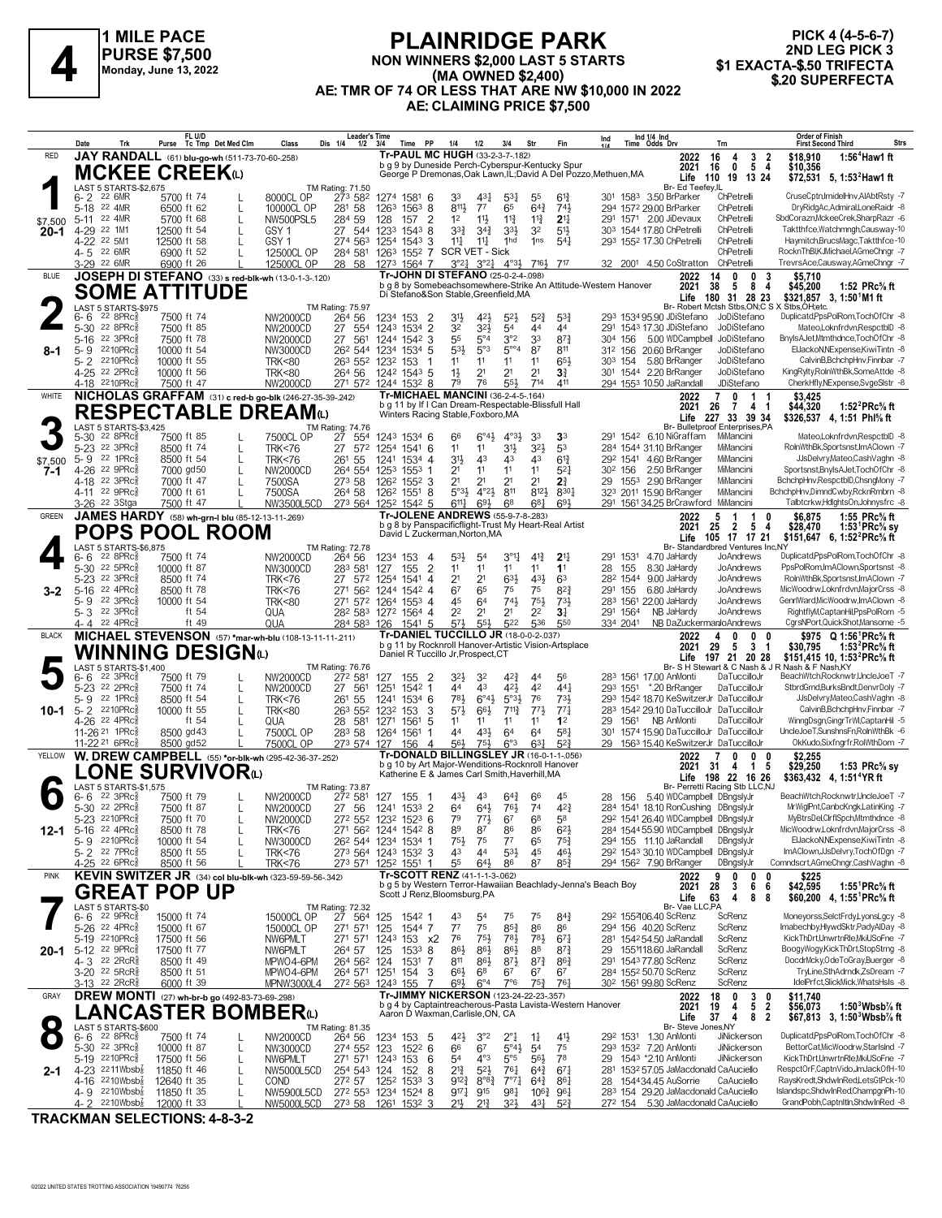

#### **PLAINRIDGE PARK NON WINNERS \$2,000 LAST 5 STARTS (MA OWNED \$2,400) AE: TMR OF 74 OR LESS THAT ARE NW \$10,000 IN 2022 AE: CLAIMING PRICE \$7,500 ELAINNIDUL PARK**<br>PURSE \$7,500 MON WINNERS \$2,000 LAST 5 STARTS \$1 EXACTA-\$.50 TRIFECTA<br>Monday, June 13, 2022 (MA OWNED \$2,400) AF: TMP OF 74 OR LESS THAT ARE NW \$10,000 IN 2022

**PICK 4 (4-5-6-7)** 2ND LEG PICK 3<br>\$1 EXACTA-\$.50 TRIFECTA

|              | Date<br>Trk                                                                  | FL U/D<br>Purse Tc Tmp Det Med Clm                       | Class                                | <b>Leader's Time</b><br>Dis 1/4<br>$1/2$ $3/4$ | PP<br>Time                                                                                                         | 1/4<br>1/2                                                     | 3/4                                                       | Str                                | Fin                                   | Ind                 | Ind 1/4 Ind<br>Time Odds Drv |                                                                | Trn                                                                          | <b>Order of Finish</b><br><b>First Second Third</b>                                                          | <b>Strs</b> |
|--------------|------------------------------------------------------------------------------|----------------------------------------------------------|--------------------------------------|------------------------------------------------|--------------------------------------------------------------------------------------------------------------------|----------------------------------------------------------------|-----------------------------------------------------------|------------------------------------|---------------------------------------|---------------------|------------------------------|----------------------------------------------------------------|------------------------------------------------------------------------------|--------------------------------------------------------------------------------------------------------------|-------------|
| <b>RED</b>   |                                                                              | JAY RANDALL (61) blu-go-wh (511-73-70-60-.258)           |                                      |                                                | Tr-PAUL MC HUGH (33-2-3-7-182)                                                                                     |                                                                |                                                           |                                    |                                       |                     |                              | 2022                                                           | 3 <sub>2</sub><br>16<br>4                                                    | \$18,910<br>1:56 <sup>4</sup> Haw 1 ft                                                                       |             |
|              |                                                                              | <b>MCKEE CREEK</b> to                                    |                                      |                                                | b g 9 by Duneside Perch-Cyberspur-Kentucky Spur<br>George P Dremonas, Oak Lawn, IL; David A Del Pozzo, Methuen, MA |                                                                |                                                           |                                    |                                       |                     |                              | 2021                                                           | $\mathbf 0$<br>5 <sub>4</sub><br>16<br>Life 110 19 13 24                     | \$10,356                                                                                                     |             |
|              | LAST 5 STARTS-\$2,675                                                        |                                                          |                                      | TM Rating: 71.50                               |                                                                                                                    |                                                                |                                                           |                                    |                                       |                     |                              | Br- Ed Teefey, IL                                              |                                                                              | \$72,531 5, 1:53 <sup>2</sup> Haw1 ft                                                                        |             |
|              | 6-2 <sup>22</sup> 6MR                                                        | 5700 ft 74                                               | 8000CL OP                            | 273 582                                        | 1274 1581 6                                                                                                        | 33<br>43 <sup>1</sup>                                          | $5^{3}$                                                   | 55                                 | $6^{13}$                              |                     |                              | 301 1583 3.50 BrParker                                         | ChPetrelli                                                                   | CruseCptn, ImidelHnv, AIAbtRsty -7                                                                           |             |
| \$7,500      | 5-18 22 4MR<br>5-11 22 4MR                                                   | 6500 ft 62<br>L<br>5700 ft 68<br>$\mathbf{I}$            | 10000CL OP<br><b>NW500PSL5</b>       | 281 58<br>284 59                               | $156^3$ 8<br>1263<br>2<br>128<br>157                                                                               | 8111<br>$7^7$<br>1 <sup>2</sup><br>$11\frac{1}{2}$             | 65<br>$11\frac{3}{4}$                                     | $64\frac{3}{4}$<br>$11\frac{3}{4}$ | 743<br>2 <sup>11</sup>                |                     |                              | 294 1572 29.00 BrParker<br>291 1571 2.00 JiDevaux              | ChPetrelli<br>ChPetrelli                                                     | DryRidgAc,Admiral,LoneRaidr -8<br>SbdCorazn,MckeeCrek,SharpRazr -6                                           |             |
| 20-1         | 4-29 22 1M1                                                                  | 12500 ft 54                                              | GSY <sub>1</sub>                     | 27                                             | 544 1233 1543 8                                                                                                    | $3^{3}\frac{3}{4}$<br>$34\frac{3}{4}$                          | $3^{3}\frac{1}{2}$                                        | 32                                 | 5 <sup>1</sup>                        |                     |                              | 303 1544 17.80 ChPetrelli                                      | ChPetrelli                                                                   | Taktthfce.Watchmngh.Causway-10                                                                               |             |
|              | 4-22 22 5M1                                                                  | 12500 ft 58                                              | GSY <sub>1</sub>                     |                                                | 274 563 1254 1543 3                                                                                                | 11<br>$11\frac{1}{4}$                                          | 1hd                                                       | 1 <sub>ns</sub>                    | $54\frac{1}{4}$                       |                     |                              | 293 1552 17.30 ChPetrelli                                      | ChPetrelli                                                                   | Haymitch,BrucsMagc,Taktthfce-10                                                                              |             |
|              | 4-5 22 6MR<br>3-29 22 6MR                                                    | 6900 ft 52<br>$\mathbf{I}$<br>6900 ft 26                 | 12500CL OP<br>12500CL OP             | 284 581<br>28 58                               | 126 <sup>3</sup> 155 <sup>2</sup> 7<br>1273 1564 7                                                                 | SCR VET - Sick<br>$3^{\circ}2^1$ $3^{\circ}2^1$ $4^{\circ}3^1$ |                                                           | $7^{16}$                           | 717                                   |                     |                              | 32 2001 4.50 CoStratton                                        | ChPetrelli<br>ChPetrelli                                                     | RocknThBl,KJMichael,AGmeChngr -7<br>TrevrsAce,Causway,AGmeChngr -7                                           |             |
| <b>BLUE</b>  |                                                                              | JOSEPH DI STEFANO (33) s red-blk-wh (13-0-1-3-120)       |                                      |                                                | Tr-JOHN DI STEFANO (25-0-2-4-.098)                                                                                 |                                                                |                                                           |                                    |                                       |                     |                              | 2022                                                           | 14<br>0<br>0<br>-3                                                           | \$5,710                                                                                                      |             |
|              |                                                                              | <b>SOME ATTITUDE</b>                                     |                                      |                                                | b g 8 by Somebeachsomewhere-Strike An Attitude-Western Hanover<br>Di Stefano&Son Stable, Greenfield, MA            |                                                                |                                                           |                                    |                                       |                     |                              | 2021                                                           | 38<br>8 <sub>4</sub><br>5                                                    | \$45,200<br>1:52 $PRc\%$ ft                                                                                  |             |
|              | LAST 5 STARTS-\$975                                                          |                                                          |                                      | <b>TM Rating: 75.97</b>                        |                                                                                                                    |                                                                |                                                           |                                    |                                       |                     |                              | Life                                                           | 180<br>31 28 23<br>Br- Robert Mctsh Stbs, ON; C S X Stbs, OH; etc.           | \$321.857 3.1:50 <sup>1</sup> M1 ft                                                                          |             |
|              | $22$ 8PR $c_{8}^{5}$<br>6- 6                                                 | 7500 ft 74                                               | NW2000CD                             | 264 56                                         | 1234 153 2                                                                                                         | 3 <sup>1</sup><br>421                                          | 52}                                                       | $5^{2}$                            | $5^{3}\frac{3}{4}$                    |                     |                              |                                                                | 293 1534 95.90 JDiStefano JoDiStefano                                        | Duplicatd, PpsPolRom, TochOfChr -8                                                                           |             |
|              | 5-30 22 8PRc<br>22 3PRc3<br>5-16                                             | 7500 ft 85<br>7500 ft 78                                 | NW2000CD<br>NW2000CD                 | 554<br>27<br>27<br>561                         | 1243 1534 2<br>1244 1542 3                                                                                         | 32<br>3 <sup>2</sup><br>$5^{\circ}4$<br>55                     | 54<br>3°2                                                 | 44<br>33                           | 44<br>$8^{7}$                         |                     |                              |                                                                | 291 1543 17.30 JDiStefano JoDiStefano<br>304 156 5.00 WDCampbell JoDiStefano | Mateo,Loknfrdvn,RespctblD -8<br>BnyIsAJet,Mtmthdnce,TochOfChr -8                                             |             |
| 8-1          | 2210PRc<br>$5 - 9$                                                           | 10000 ft 54                                              | NW3000CD                             |                                                | 26 <sup>2</sup> 544 1234 1534 5                                                                                    | 53}<br>5°3                                                     | $5^{\circ}4$                                              | 87                                 | 811                                   |                     |                              | 312 156 20.60 BrRanger                                         | JoDiStefano                                                                  | ElJackoN.NExpense.KiwiTintn -8                                                                               |             |
|              | 2210PRc3<br>5-2                                                              | 10000 ft 55                                              | <b>TRK&lt;80</b>                     |                                                | 263 552 1232 153                                                                                                   | 11<br>11                                                       | 11                                                        | 11                                 | $65\frac{1}{2}$                       | 303 154             |                              | 5.80 BrRanger                                                  | JoDiStefano                                                                  | CalvinB,BchchpHnv,Finnbar -7<br>KingRylty,RolnWthBk,SomeAttde -8                                             |             |
|              | 4-25 <sup>22</sup> 2PRc <sup>3</sup><br>4-18 2210PRc                         | 10000 ft 56<br>7500 ft 47                                | <b>TRK&lt;80</b><br>NW2000CD         | 264 56                                         | 1242 1543 5<br>271 572 1244 1532 8                                                                                 | 2 <sup>1</sup><br>$1\frac{1}{2}$<br>79<br>76                   | 21<br>55}                                                 | 2 <sup>1</sup><br>714              | 31<br>411                             |                     |                              | 301 1544 2.20 BrRanger<br>294 1553 10.50 JaRandall             | JoDiStefano<br>JDiStefano                                                    | CherkHfly,NExpense,SvgeSlstr -8                                                                              |             |
| WHITE        |                                                                              | NICHOLAS GRAFFAM (31) c red-b go-blk (246-27-35-39-.242) |                                      |                                                | <b>Tr-MICHAEL MANCINI (36-2-4-5-164)</b>                                                                           |                                                                |                                                           |                                    |                                       |                     |                              | 2022                                                           | $\overline{7}$<br>0<br>1                                                     | \$3,425                                                                                                      |             |
|              |                                                                              | <b>RESPECTABLE DREAMa</b>                                |                                      |                                                | b g 11 by If I Can Dream-Respectable-Blissfull Hall<br>Winters Racing Stable, Foxboro, MA                          |                                                                |                                                           |                                    |                                       |                     |                              | 2021 26                                                        | -7<br>-41                                                                    | 1:52 $^{2}$ PRc $\%$ ft<br>\$44,320                                                                          |             |
|              | LAST 5 STARTS-\$3,425                                                        |                                                          |                                      | TM Rating: 74.76                               |                                                                                                                    |                                                                |                                                           |                                    |                                       |                     |                              |                                                                | Life 227 33 39 34<br>Br- Bulletproof Enterprises,PA                          | \$326,537 4, 1:51 Phl% ft                                                                                    |             |
|              | 5-30 <sup>22</sup> 8PRc <sup>5</sup><br>5-23 22 3PRc                         | 7500 ft 85<br>8500 ft 74                                 | 7500CL OP                            | 554<br>27<br>27                                | 1243 1534 6                                                                                                        | 66<br>11<br>11                                                 | $6^{\circ}4\frac{1}{2}$<br>$4^{\circ}3\frac{1}{2}$<br>31} | 33<br>3 <sup>2</sup>               | 33<br>53                              |                     |                              | 291 1542 6.10 NiGraffam<br>284 1544 31.10 BrRanger             | MiMancini                                                                    | Mateo,Loknfrdvn,RespctblD -8<br>RolnWthBk.Sportsnst.ImAClown -7                                              |             |
| \$7,500      | $5 - 9$<br>$22$ 1PR $c_8^5$                                                  | L<br>8500 ft 54                                          | <b>TRK&lt;76</b><br><b>TRK&lt;76</b> | 572<br>261 55                                  | 1254 1541 6<br>1241 1534 4                                                                                         | 3 <sup>1</sup><br>4 <sup>3</sup>                               | 43                                                        | 43                                 | $6^{13}$                              |                     |                              | 292 1541 4.60 BrRanger                                         | MiMancini<br>MiMancini                                                       | JJsDelvry,Mateo,CashVaghn -8                                                                                 |             |
| 7-1          | 4-26 22 9PRcs                                                                | 7000 gd50                                                | NW2000CD                             |                                                | 264 554 1253 1553 1                                                                                                | 21<br>11                                                       | 11                                                        | 11                                 | 521                                   | 30 <sup>2</sup> 156 |                              | 2.50 BrRanger                                                  | MiMancini                                                                    | Sportsnst, Bnyls AJet, TochOfChr -8                                                                          |             |
|              | 4-18 22 3PRc<br>4-11 22 9PRc                                                 | 7000 ft 47<br>7000 ft 61<br>$\mathbf{I}$                 | 7500SA<br>7500SA                     | 273 58<br>264 58                               | 1262<br>$155^2$ 3<br>126 <sup>2</sup> 1551<br>8                                                                    | 21<br>2 <sup>1</sup><br>$5°3\frac{1}{2}$                       | 2 <sup>1</sup><br>4°2 <sub>3</sub><br>811                 | 2 <sup>1</sup><br>8123             | $2\frac{3}{4}$<br>8301                |                     |                              | 29 1553 2.90 BrRanger<br>323 2011 15.90 BrRanger               | MiMancini<br>MiMancini                                                       | BchchpHnv.RespctblD.ChsnaMonv -7<br>BchchpHnv,DimndCwby,RcknRmbrn -8                                         |             |
|              | 3-26 <sup>22</sup> 3Stga                                                     | 7500 ft 47                                               | NW3500L5CD                           |                                                | 273 564 1252 1542 5                                                                                                | $69\frac{1}{2}$<br>6117                                        | 68                                                        | $6^{8}$ <sub>1</sub>               | 691                                   |                     |                              | 291 1561 34.25 BrCrawford MiMancini                            |                                                                              | Talbtcrkw, HdlghtsOn, Johnysfrc -8                                                                           |             |
| <b>GREEN</b> |                                                                              | JAMES HARDY (58) wh-grn-I blu (85-12-13-11-269)          |                                      |                                                | <b>Tr-JOLENE ANDREWS</b> (55-9-7-8-283)                                                                            |                                                                |                                                           |                                    |                                       |                     |                              | 2022                                                           | 5<br>1<br>1<br>0                                                             | \$6,875<br>1:55 $PRc\%$ ft                                                                                   |             |
|              |                                                                              | <b>POPS POOL ROOM</b>                                    |                                      |                                                | b g 8 by Panspacificflight-Trust My Heart-Real Artist<br>David L Zuckerman, Norton, MA                             |                                                                |                                                           |                                    |                                       |                     |                              | 2021<br>Life                                                   | 25<br>2 5 4<br>105 17 17 21                                                  | \$28,470<br>1:53 ${}^1$ PRc ${}^5\!$ sy<br>\$151,647 6, 1:52 <sup>2</sup> PRc <sup>5</sup> / <sub>8</sub> ft |             |
|              | LAST 5 STARTS-\$6,875                                                        |                                                          |                                      | <b>TM Rating: 72.78</b>                        |                                                                                                                    |                                                                |                                                           |                                    |                                       |                     |                              |                                                                | Br- Standardbred Ventures Inc,NY                                             |                                                                                                              |             |
|              | $22$ $8$ PR $c_{8}$<br>6- 6<br>5-30 22 5PRc                                  | 7500 ft 74<br>10000 ft 87                                | NW2000CD<br>NW3000CD                 | 264 56<br>283 581                              | 1234 153<br>-4<br>155<br>2<br>127                                                                                  | 53}<br>54<br>11<br>11                                          | $3^{\circ}$ 1 $\!\frac{1}{4}$<br>11                       | $4^{13}$<br>11                     | $2^{11}$<br>11                        | 291<br>28           | 155                          | 1531 4.70 JaHardy<br>8.30 JaHardy                              | JoAndrews<br>JoAndrews                                                       | Duplicatd, PpsPolRom, TochOfChr -8<br>PpsPolRom,ImAClown,Sportsnst -8                                        |             |
|              | 5-23 <sup>22</sup> 3PRc\$                                                    | 8500 ft 74                                               | TRK<76                               | 27                                             | 572 1254 1541<br>-4                                                                                                | 2 <sup>1</sup><br>2 <sup>1</sup>                               | $63\frac{1}{2}$                                           | 43}                                | 63                                    |                     |                              | 28 <sup>2</sup> 1544 9.00 JaHardy                              | JoAndrews                                                                    | RolnWthBk,Sportsnst,ImAClown -7                                                                              |             |
| $3 - 2$      | 22 4PRc3<br>$5 - 16$                                                         | 8500 ft 78                                               | <b>TRK&lt;76</b>                     | 271 562                                        | 1244 1542 4                                                                                                        | 65<br>67                                                       | 75                                                        | 75                                 | $8^{2}$                               | 291 155             |                              | 6.80 JaHardy                                                   | JoAndrews                                                                    | MicWoodrw,Loknfrdvn,MajorCrss -8                                                                             |             |
|              | 5-9 22 3PRc<br>5-3 22 3PRc                                                   | 10000 ft 54<br>ft 54                                     | <b>TRK&lt;80</b><br>QUA              |                                                | 271 572 1264 1553 4<br>28 <sup>2</sup> 583 1272 1564 4                                                             | 45<br>6 <sup>4</sup><br>2 <sup>2</sup><br>2 <sup>1</sup>       | $74\frac{1}{2}$<br>2 <sup>1</sup>                         | $75\frac{1}{2}$<br>22              | 731<br>3 <sup>1</sup>                 | 291 1564            |                              | 283 1561 22.00 JaHardy<br>NB JaHardy                           | JoAndrews<br>JoAndrews                                                       | GenrlWard, MicWoodrw, ImAClown -8<br>RightflyM,CaptanHil,PpsPolRom -5                                        |             |
|              | 4-4 22 4PRc                                                                  | ft 49                                                    | QUA                                  | 284 583 126                                    | 1541 5                                                                                                             | 571<br>$55\frac{1}{2}$                                         | 522                                                       | 536                                | 550                                   | 334 2041            |                              |                                                                | NB DaZuckermanJoAndrews                                                      | CgrsNPort,QuickShot,Mansome -5                                                                               |             |
| <b>BLACK</b> | MICHAEL STEVENSON (57) *mar-wh-blu (108-13-11-11-211)                        |                                                          |                                      |                                                |                                                                                                                    |                                                                |                                                           |                                    |                                       |                     |                              |                                                                |                                                                              |                                                                                                              |             |
|              |                                                                              |                                                          |                                      |                                                | <b>Tr-DANIEL TUCCILLO JR (18-0-0-2-.037)</b>                                                                       |                                                                |                                                           |                                    |                                       |                     |                              | 2022                                                           | 4<br>0<br>0<br>$\mathbf{0}$                                                  | \$975 Q 1:56 <sup>1</sup> PRc <sup>5</sup> / <sub>8</sub> ft                                                 |             |
|              |                                                                              | WINNING DESIGNധ                                          |                                      |                                                | b g 11 by Rocknroll Hanover-Artistic Vision-Artsplace<br>Daniel R Tuccillo Jr, Prospect, CT                        |                                                                |                                                           |                                    |                                       |                     |                              | 2021                                                           | 29<br>$\overline{\mathbf{3}}$<br>- 5<br>- 1<br>Life 197 21 20 28             | 1:53 $^{2}$ PRc $\%$ ft<br>\$30,795<br>\$151,415 10, 1:53 <sup>2</sup> PRc <sup>5</sup> / <sub>8</sub> ft    |             |
|              | LAST 5 STARTS-\$1,400                                                        |                                                          |                                      | TM Rating: 76.76                               |                                                                                                                    |                                                                |                                                           |                                    |                                       |                     |                              |                                                                |                                                                              | Br- S H Stewart & C Nash & J R Nash & F Nash, KY                                                             |             |
|              | $22 \text{ } 3$ PR $c_8^5$<br>6- 6<br>5-23 22 2PRc                           | 7500 ft 79<br>7500 ft 74<br>L                            | NW2000CD<br>NW2000CD                 | 272 581<br>561<br>27                           | 127<br>155<br>$\overline{2}$<br>1251<br>1542 1                                                                     | 32}<br>32<br>44<br>43                                          | 42 <sup>3</sup><br>421                                    | 44<br>42                           | 56<br>44 <sup>1</sup>                 |                     |                              | 283 1561 17.00 AnMonti<br>293 1551 *.20 BrRanger               | DaTuccilloJr<br>DaTuccilloJr                                                 | BeachWtch,Rocknwtr,UncleJoeT -7<br>StbrdGrnd,BurksBndt,DenvrDoly -7                                          |             |
|              | 22 1PRc3<br>5- 9                                                             | 8500 ft 54                                               | TRK<76                               | 261<br>55                                      | 1241<br>$1534$ 6                                                                                                   | 783                                                            | $6^{\circ}4\frac{1}{2}$<br>$5°3\frac{1}{2}$               | 76                                 | 731                                   |                     |                              |                                                                | 293 1542 18.70 KeSwitzerJr DaTuccilloJr                                      | JJsDelvry,Mateo,CashVaghn -8                                                                                 |             |
| 10-1         | 5-2 2210PRcs                                                                 | 10000 ft 55                                              | <b>TRK&lt;80</b>                     |                                                | 263 552 1232 153<br>3                                                                                              | 573<br>66}                                                     | $7^{11}\frac{3}{4}$                                       | 773                                | $77\frac{1}{4}$                       |                     |                              |                                                                | 283 1542 29.10 DaTuccilloJr DaTuccilloJr                                     | CalvinB,BchchpHnv,Finnbar -7                                                                                 |             |
|              | 4-26 22 4PRcs<br>11-26 <sup>21</sup> 1PRc                                    | ft 54<br>8500 gd 43<br>$\mathbf{I}$                      | QUA<br>7500CL OP                     | 581<br>28<br>283 58                            | 1271<br>1561<br>-5<br>1264 1561<br>$\overline{\phantom{a}}$                                                        | 11<br>11<br>44<br>431                                          | 11<br>64                                                  | 11<br>64                           | 1 <sup>2</sup><br>581                 | 301                 |                              | 29 1561 NB AnMonti                                             | DaTuccilloJr<br>1574 15.90 DaTuccilloJr DaTuccilloJr                         | WinngDsgn,GingrTrWl,CaptanHil -5<br>UncleJoeT,SunshnsFn,RolnWthBk -6                                         |             |
|              | 11-22 <sup>21</sup> 6PRc                                                     | 8500 ad52                                                | 7500CL OP                            | 273 574 127                                    | 156<br>4                                                                                                           | 56}<br>$75\frac{1}{2}$                                         | $6^{\circ}3$                                              | 631                                | 52}                                   |                     |                              |                                                                | 29 1563 15.40 KeSwitzerJr DaTuccilloJr                                       | OkKudo,Sixfngrfr,RolWthDom -7                                                                                |             |
| YELLOW       |                                                                              | W. DREW CAMPBELL (55) *or-blk-wh (295-42-36-37-.252)     |                                      |                                                | Tr-DONALD BILLINGSLEY JR (16-0-1-1-056)<br>b g 10 by Art Major-Wenditions-Rocknroll Hanover                        |                                                                |                                                           |                                    |                                       |                     |                              | 2022<br>2021                                                   | - 7<br>0<br>0<br>0<br>1 5<br>31<br>-4                                        | \$2,255<br>\$29,250                                                                                          |             |
|              |                                                                              | LONE SURVIVORധ                                           |                                      |                                                | Katherine E & James Carl Smith, Haverhill, MA                                                                      |                                                                |                                                           |                                    |                                       |                     |                              |                                                                | Life 198 22 16 26                                                            | 1:53 $PRc$ % sy<br>\$363,432 4, 1:51 <sup>4</sup> YR ft                                                      |             |
|              | <b>AST 5 STARTS-\$1,575</b><br>$22 \text{ } 3\text{PRc}^5_8$<br>6-6          | 7500 ft 79                                               | NW2000CD                             | <b>TM Rating: 73.87</b><br>272 581             | 127 155<br>- 1                                                                                                     | 43}<br>43                                                      | $64\frac{3}{7}$                                           | 66                                 | 45                                    |                     |                              | 28 156 5.40 WDCampbell DBngslyJr                               | Br- Perretti Racing Stb LLC,NJ                                               | BeachWtch,Rocknwtr,UncleJoeT -7                                                                              |             |
|              | 5-30 <sup>22</sup> 2PRc <sup>5</sup>                                         | 7500 ft 87<br>L                                          | NW2000CD                             |                                                | 27 56 1241 1533 2                                                                                                  | 6 <sup>4</sup><br>643                                          | 76}                                                       | 74                                 | $4^{2}3$                              |                     |                              | 284 1541 18.10 RonCushing DBnaslyJr                            |                                                                              | MrWiglPnt,CanbcKngk,LatinKing -7                                                                             |             |
|              | 5-23 2210PRc <sub>8</sub>                                                    | 7500 ft 70                                               | NW2000CD                             |                                                | 272 552 1232 1523 6                                                                                                | 79<br>$77\frac{1}{2}$                                          | $6^{7}$                                                   | 6 <sup>8</sup>                     | 5 <sup>8</sup>                        |                     |                              | 292 1541 26.40 WDCampbell DBngslyJr                            |                                                                              | MyBtrsDel,ClrflSpch,Mtmthdnce -8                                                                             |             |
| 12-1         | 5-16 22 4PRc <sup>5</sup><br>5-9 2210PRc <sup>5</sup>                        | 8500 ft 78<br>L<br>10000 ft 54                           | TRK<76<br>NW3000CD                   |                                                | 271 562 1244 1542 8<br>26 <sup>2</sup> 544 1234 1534 1                                                             | 89<br>87<br>$75\frac{1}{2}$<br>75                              | 86<br>$7^7$                                               | 86<br>65                           | $6^{21}$<br>$75\frac{3}{4}$           |                     |                              | 284 1544 55.90 WDCampbell DBngslyJr<br>294 155 11.10 JaRandall | DBngslyJr                                                                    | MicWoodrw,Loknfrdvn,MajorCrss -8<br>ElJackoN, NExpense, KiwiTintn -8                                         |             |
|              | 5-2 <sup>22</sup> 7PRc <sup>3</sup>                                          | 8500 ft 55<br>$\mathbf{I}$                               | <b>TRK&lt;76</b>                     |                                                | 273 564 1243 1532 3                                                                                                | 43<br>44                                                       | $5^{3}$                                                   | 45                                 | 461                                   |                     |                              | 29 <sup>2</sup> 154 <sup>3</sup> 30.10 WDCampbell DBngslyJr    |                                                                              | ImAClown,JJsDelvry,TochOfDgn -7                                                                              |             |
|              | 4-25 <sup>22</sup> 6PRc <sup>3</sup>                                         | 8500 ft 56                                               | <b>TRK&lt;76</b>                     |                                                | 273 571 1252 1551 1                                                                                                | 55<br>64}                                                      | 86                                                        | 87                                 | $85\frac{3}{4}$                       |                     |                              | 294 1562 7.90 BrRanger                                         | DBngslyJr                                                                    | Comndscrt, AGmeChngr, CashVaghn -8                                                                           |             |
| <b>PINK</b>  |                                                                              | KEVIN SWITZER JR (34) col blu-blk-wh (323-59-59-56-342)  |                                      |                                                | Tr-SCOTT RENZ (41-1-1-3-.062)<br>b g 5 by Western Terror-Hawaiian Beachlady-Jenna's Beach Boy                      |                                                                |                                                           |                                    |                                       |                     |                              | 2022<br>2021                                                   | 0<br>9<br>0<br>0<br>6<br>28<br>6<br>3                                        | \$225<br>\$42,595<br>1:55 ${}^1$ PRc ${}^5\!\!$ ft                                                           |             |
|              |                                                                              | <b>GREAT POP UP</b>                                      |                                      |                                                | Scott J Renz, Bloomsburg, PA                                                                                       |                                                                |                                                           |                                    |                                       |                     |                              | Life                                                           | 63<br>8<br>4<br>8                                                            | \$60,200 4, 1:55 <sup>1</sup> PRc <sup>5</sup> / <sub>8</sub> ft                                             |             |
|              | LAST 5 STARTS-\$0<br>$6 - 6$ 22 9PRc $\frac{5}{8}$                           | 15000 ft 74                                              | 15000CL OP                           | TM Rating: 72.32<br>27 564 125                 | 1542 1                                                                                                             | 43<br>5 <sup>4</sup>                                           | 75                                                        | 75                                 | $8^{4^{3}_{4}}$                       |                     |                              | Br- Vae LLC,PA<br>29 <sup>2</sup> 155406.40 ScRenz             | ScRenz                                                                       | Moneyorss,SelctFrdy,LyonsLgcy -8                                                                             |             |
|              | $5-26$ 22 4PRc $\frac{5}{8}$                                                 | 15000 ft 67                                              | 15000CL OP                           | 271 571 125                                    | 1544 7                                                                                                             | 7 <sup>7</sup><br>75                                           | $85\frac{3}{4}$                                           | 86                                 | 86                                    |                     |                              | 294 156 40.20 ScRenz                                           | ScRenz                                                                       | Imabechby,HlywdSktr,PadyAlDay -8                                                                             |             |
| $20 - 1$     | 5-19 2210PRc<br>5-12 22 9PRc <sup>5</sup>                                    | 17500 ft 56<br>17500 ft 77                               | NW6PMLT<br>NW6PMLT                   | 264 57                                         | 271 571 1243 153 x2<br>125<br>$1533$ 8                                                                             | $75\frac{1}{2}$<br>76<br>86}<br>$86\frac{1}{2}$                | $78\frac{1}{2}$<br>$86\frac{1}{2}$                        | $78\frac{1}{2}$<br>88              | $67\frac{1}{4}$<br>$8^{7}\frac{3}{4}$ |                     |                              | 281 1542 54.50 JaRandall<br>29 155118.60 JaRandall             | ScRenz<br>ScRenz                                                             | KickThDrt,UnwrtnRle,MkiUSoFne -7<br>BoogyWogy,KickThDrt,StopStrng -8                                         |             |
|              | 4-3 22 $2RCR_8^5$                                                            | 8500 ft 49                                               | MPWO4-6PM                            | 264 562 124                                    | 1531<br>-7                                                                                                         | 811<br>$86\frac{1}{2}$                                         | $8^{7}\frac{1}{2}$                                        | $8^{73}$                           | $86\frac{3}{4}$                       |                     |                              | 291 1543 77.80 ScRenz                                          | ScRenz                                                                       | DocdrMcky,OdeToGray,Buerger -8                                                                               |             |
|              | 3-20 <sup>22</sup> 5RcR <sup>§</sup><br>3-13 <sup>22</sup> 2RcR <sup>5</sup> | 8500 ft 51<br>6000 ft 39                                 | MPWO4-6PM                            |                                                | 264 571 1251 154<br>3<br>7                                                                                         | $66\frac{1}{2}$<br>68<br>$6^{\circ}4$                          | 67<br>$7^\circ$ 6                                         | 67<br>$75\frac{3}{4}$              | 67<br>761                             |                     |                              | 284 1552 50.70 ScRenz<br>30 <sup>2</sup> 1561 99.80 ScRenz     | ScRenz<br>ScRenz                                                             | TryLine,SthAdrndk,ZsDream -7<br>IdelPrfct,SlickMick,WhatsHsIs -8                                             |             |
| GRAY         |                                                                              |                                                          | MPNW3000L4                           |                                                | 272 563 1243 155<br>Tr-JIMMY NICKERSON (123-24-22-23-.357)                                                         | $69\frac{1}{2}$                                                |                                                           |                                    |                                       |                     |                              | 2022                                                           | 18<br>0<br>0                                                                 | \$11,740                                                                                                     |             |
|              |                                                                              | DREW MONTI (27) wh-br-b go (492-83-73-69-.298)           |                                      |                                                | b g 4 by Captaintreacherous-Pasta Lavista-Western Hanover                                                          |                                                                |                                                           |                                    |                                       |                     |                              | 2021                                                           | $\frac{3}{5}$<br>$\overline{2}$<br>19<br>4                                   | \$56,073<br>1:50 $3$ Wbsb $\%$ ft                                                                            |             |
| $\bullet$    | LAST 5 STARTS-\$600                                                          | <b>LANCASTER BOMBER</b> ധ                                |                                      | TM Rating: 81.35                               | Aaron D Waxman, Carlisle, ON, CA                                                                                   |                                                                |                                                           |                                    |                                       |                     |                              | Life<br>Br- Steve Jones, NY                                    | 37<br>4<br>82                                                                | \$67,813 3, 1:50 <sup>3</sup> Wbsb <sup>7</sup> / <sub>8</sub> ft                                            |             |
|              | 6-6 22 8PRc 5                                                                | 7500 ft 74                                               | NW2000CD                             | 264 56                                         | 1234 153 5                                                                                                         | $4^{21}$<br>3°2                                                | $2^{\circ}$                                               | $1\frac{1}{4}$                     | 41}                                   |                     |                              | 29 <sup>2</sup> 1531 1.30 AnMonti                              | JiNickerson                                                                  | Duplicatd,PpsPolRom,TochOfChr -8                                                                             |             |
|              | $5-30$ $22$ $3PRc\frac{5}{8}$<br>5-19 2210PRc <sup>5</sup>                   | 10000 ft 87<br>L<br>17500 ft 56<br>L                     | NW3000CD<br>NW6PMLT                  | 274 552 123                                    | 1522 6<br>271 571 1243 153 6                                                                                       | 66<br>67<br>5 <sup>4</sup><br>$4^{\circ}3$                     | $5^{\circ}4\frac{1}{2}$<br>$5^{\circ}5$                   | 5 <sup>4</sup><br>$56\frac{1}{2}$  | 75<br>78                              |                     |                              | 293 1532 7.20 AnMonti<br>29 1543 *2.10 AnMonti                 | JiNickerson<br>JiNickerson                                                   | BettorCat, MicWoodrw, StarlsInd -7<br>KickThDrt,UnwrtnRle,MkiUSoFne -7                                       |             |
| $2 - 1$      | 4-23 2211Wbsb <sup>7</sup>                                                   | 11850 ft 46                                              | NW5000L5CD                           | 254 543 124                                    | 152 8                                                                                                              | $2^{13}$<br>$5^{2}$                                            | 761                                                       | $64\frac{3}{4}$                    | $67\frac{1}{4}$                       |                     |                              |                                                                | 281 1532 57.05 JaMacdonald CaAuciello                                        | RespctOrF,CaptnVido,JmJackOfH-10                                                                             |             |
|              | 4-16 2210Wbsb <sub>8</sub><br>$4 - 9$ 2210Wbsb $\frac{7}{8}$                 | 12640 ft 35<br>11850 ft 35<br>L                          | <b>COND</b><br>NW5900L5CD            |                                                | 272 57 1252 1533 3<br>272 553 1234 1524 8                                                                          | $9^{12}\frac{3}{4}$<br>$9^{17}\frac{1}{4}$<br>915              | $8^{\circ}8_{4}^{3}$<br>$7^{\circ}7^{\frac{1}{4}}$<br>981 | $6^{4^{3}_{4}}$<br>106}            | $86\frac{1}{4}$<br>961                | 28                  |                              | 154434.45 AuSorrie                                             | CaAuciello<br>283 154 29.20 JaMacdonald CaAuciello                           | RaysKredt, ShdwInRed, LetsGtPck-10<br>Islandspc,ShdwInRed,ChampgnPh-10                                       |             |

**TRACKMAN SELECTIONS: 4-8-3-2**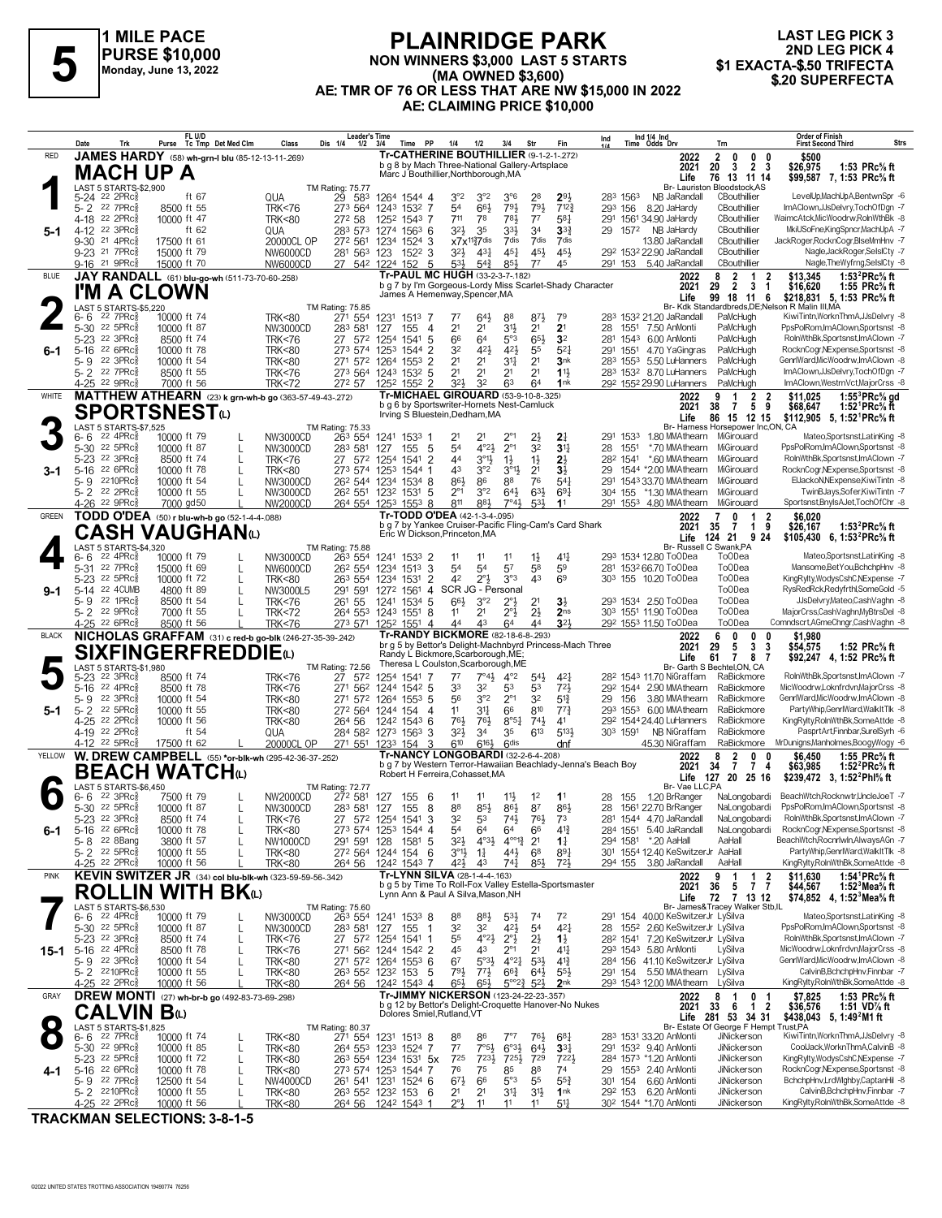

#### **PLAINRIDGE PARK NON WINNERS \$3,000 LAST 5 STARTS (MA OWNED \$3,600) AE: TMR OF 76 OR LESS THAT ARE NW \$15,000 IN 2022 AE: CLAIMING PRICE \$10,000 FLAINNIDUL PARK**<br>
NON WINNERS \$3,000 LAST 5 STARTS 301 2ND LEG PICK 4<br>
Monday, June 13, 2022<br>
A EXACTA-\$.50 TRIFECTA (MA OWNED \$3,600)<br>
A EXACTA-\$.50 TRIFECTA (MA OWNED \$3,600)

# **LAST LEG PICK 3 2ND LEG PICK 4<br>\$1 EXACTA-\$.50 TRIFECTA**

|              | Date<br>Trk                                                   | FL U/D<br>Purse Tc Tmp Det Med Clm                                         | Dis 1/4<br>Class                                               | Leader's Time<br>$1/2$ $3/4$<br>Time<br>PP      | 1/4<br>1/2                                                                                             | 3/4<br>Str                                                                  | Fin                                | Ind 1/4 Ind<br>Time Odds Drv<br>Ind                                            | <b>Order of Finish</b><br>Strs<br><b>First Second Third</b><br>Trn                                                                                          |
|--------------|---------------------------------------------------------------|----------------------------------------------------------------------------|----------------------------------------------------------------|-------------------------------------------------|--------------------------------------------------------------------------------------------------------|-----------------------------------------------------------------------------|------------------------------------|--------------------------------------------------------------------------------|-------------------------------------------------------------------------------------------------------------------------------------------------------------|
| <b>RED</b>   |                                                               | JAMES HARDY (58) wh-grn-I blu (85-12-13-11-269)                            |                                                                |                                                 | Tr-CATHERINE BOUTHILLIER (9-1-2-1-272)<br>b g 8 by Mach Three-National Gallery-Artsplace               |                                                                             |                                    | 2022<br>2021                                                                   | $\mathbf{2}$<br>0<br>$\mathbf{0}$<br>\$500<br>0<br>3<br>20<br>2 <sub>3</sub><br>1:53 PRc% ft<br>\$26,975                                                    |
|              | <b>MACH UP A</b>                                              |                                                                            |                                                                |                                                 | Marc J Bouthillier, Northborough, MA                                                                   |                                                                             |                                    | Life                                                                           | \$99,587 7, 1:53 PRc% ft<br>76 13 11 14                                                                                                                     |
|              | LAST 5 STARTS-\$2,900<br>5-24 <sup>22</sup> 2PRc <sup>5</sup> | ft 67                                                                      | <b>TM Rating: 75.77</b><br>QUA<br>29<br>583                    | 1264 1544 4                                     | $3^{\circ}2$<br>3°2                                                                                    | $3^{\circ}6$<br>28                                                          | 293                                | 283 1563<br>NB JaRandall                                                       | Br- Lauriston Bloodstock, AS<br>LevelUp,MachUpA,BentwnSpr -6<br>CBouthillier                                                                                |
|              | 5-2 22 7PRc<br>4-18 22 2PRc                                   | 8500 ft 55<br>10000 ft 47                                                  | <b>TRK&lt;76</b><br>273 564<br>272 58<br><b>TRK&lt;80</b>      | 1243 1532 7<br>1252 1543 7                      | 663<br>54<br>711<br>78                                                                                 | 791<br>791<br>781<br>$7^7$                                                  | 7123<br>581                        | 293 156<br>8.20 JaHardy<br>291 1561 34.90 JaHardy                              | ImAClown.JJsDelvry.TochOfDan -7<br>CBouthillier<br>WaimcAtck, MicWoodrw, RolnWthBk -8<br>CBouthillier                                                       |
|              | 4-12 22 3PRc                                                  | ft $62$                                                                    | 283 573<br>QUA                                                 | 1274 1563 6                                     | $3^{2}$<br>35                                                                                          | 33}<br>34                                                                   | $3^{3}$                            | 29<br>157 <sup>2</sup> NB JaHardy                                              | CBouthillier<br>MkiUSoFne.KingSpncr.MachUpA -7                                                                                                              |
|              | 9-30 21 4PRc3<br>9-23 21 7PRc                                 | 17500 ft 61<br>15000 ft 79                                                 | 272 561<br>20000CL OP<br>NW6000CD                              | 1234 1524 3<br>281 563 123<br>1522 3            | $x7x^{112}7$ dis<br>$4^{3}\frac{1}{4}$<br>32}                                                          | 7dis<br>7dis<br>$45\frac{1}{4}$<br>45}                                      | 7dis<br>45}                        | 13.80 JaRandall<br>29 <sup>2</sup> 153 <sup>2</sup> 22.90 JaRandall            | JackRoger, RocknCogr, BlseMmHnv -7<br>CBouthillier<br>CBouthillier<br>Nagle, JackRoger, SelsICty -7                                                         |
|              | 9-16 <sup>21</sup> 9PRc                                       | 15000 ft 70                                                                | NW6000CD                                                       | 27 542 1224 152<br>-5                           | 531<br>$5^{4}$<br>Tr-PAUL MC HUGH (33-2-3-7-182)                                                       | 85}<br>77                                                                   | 45                                 | 291 153 5.40 JaRandall                                                         | CBouthillier<br>Nagle, The Wyfrng, SelsICty -8                                                                                                              |
| <b>BLUE</b>  | I'M A CLOWN                                                   | JAY RANDALL (61) blu-go-wh (511-73-70-60-.258)                             |                                                                |                                                 | b g 7 by I'm Gorgeous-Lordy Miss Scarlet-Shady Character                                               |                                                                             |                                    | 2022<br>2021                                                                   | 1:53 $^{2}$ PRc $\%$ ft<br>8<br>2<br>2<br>\$13,345<br>1<br>$\overline{2}$<br>29<br>3<br>1:55 PRc% ft<br>$\mathbf 1$<br>\$16,620                             |
|              | LAST 5 STARTS-\$5,220                                         |                                                                            | TM Rating: 75.85                                               |                                                 | James A Hemenway, Spencer, MA                                                                          |                                                                             |                                    | Life                                                                           | 99 18 11<br>\$218,831 5, 1:53 PRc% ft<br>6<br>Br- Kdk Standardbreds, DE; Nelson R Malin III, MA                                                             |
|              | 6-6<br>22 7PRc3<br>$5 - 30$<br>$22.5$ PRc $\frac{5}{8}$       | 10000 ft 74<br>10000 ft 87                                                 | <b>TRK&lt;80</b><br>271 554<br>NW3000CD<br>283 581             | 1231<br>1513 7<br>127<br>155<br>4               | 643<br>77<br>2 <sup>1</sup><br>2 <sup>1</sup>                                                          | $8^{71}$<br>88<br>3½<br>2 <sup>1</sup>                                      | 79<br>2 <sup>1</sup>               | 283<br>153 <sup>2</sup> 21.20 JaRandall<br>28<br>1551 7.50 AnMonti             | KiwiTintn, WorknThmA, JJsDelvry -8<br>PaMcHugh<br>PaMcHugh<br>PpsPolRom.ImAClown.Sportsnst -8                                                               |
|              | 5-23 22 3PRc3                                                 | 8500 ft 74                                                                 | 27 572<br><b>TRK&lt;76</b>                                     | 1254 1541<br>5                                  | 66<br>64                                                                                               | $5^{\circ}3$<br>65}                                                         | 3 <sup>2</sup>                     | 1543 6.00 AnMonti<br>281                                                       | PaMcHugh<br>RolnWthBk,Sportsnst,ImAClown -7                                                                                                                 |
| 6-1          | $5 - 16$<br>22 6PRc3<br>5-9 22 3PRcs                          | 10000 ft 78<br>10000 ft 54                                                 | 273 574<br><b>TRK&lt;80</b><br><b>TRK&lt;80</b><br>271 572     | 1253<br>1544 2<br>1264 1553<br>2                | 32<br>421<br>2 <sup>1</sup><br>2 <sup>1</sup>                                                          | 42}<br>55<br>2 <sup>1</sup><br>34                                           | $5^{2}$<br>3nk                     | 291 1551 4.70 YaGingras<br>283 1553 5.50 LuHanners                             | PaMcHugh<br>RocknCogr,NExpense,Sportsnst -8<br>GenrlWard, MicWoodrw, ImAClown -8<br>PaMcHugh                                                                |
|              | 5-2 <sup>22</sup> 7PRc<br>4-25 22 9PRc                        | 8500 ft 55                                                                 | <b>TRK&lt;76</b><br>273 564                                    | 1243 1532 5                                     | 2 <sup>1</sup><br>2 <sup>1</sup><br>32<br>324                                                          | 2 <sup>1</sup><br>2 <sup>1</sup><br>6 <sup>3</sup>                          | 11<br>1nk                          | 283 1532 8.70 LuHanners                                                        | ImAClown,JJsDelvry,TochOfDgn -7<br>PaMcHugh<br>PaMcHugh<br>ImAClown, WestmVct, MajorCrss -8                                                                 |
| WHITE        |                                                               | 7000 ft 56<br><b>MATTHEW ATHEARN</b> (23) k grn-wh-b go (363-57-49-43-272) | <b>TRK&lt;72</b><br>272 57                                     | 1252 1552 2                                     | Tr-MICHAEL GIROUARD (53-9-10-8-.325)                                                                   | 64                                                                          |                                    | 292 1552 29.90 LuHanners<br>2022                                               | $1:55^3$ PRc $\%$ gd<br>2<br>2<br>\$11,025<br>9<br>-1                                                                                                       |
|              |                                                               | <b>SPORTSNEST</b> W                                                        |                                                                |                                                 | b g 6 by Sportswriter-Hornets Nest-Camluck<br>Irving S Bluestein, Dedham, MA                           |                                                                             |                                    | 2021<br>Life                                                                   | 9<br>38<br>5<br>1:52 <sup>1</sup> PRc% ft<br>$\overline{7}$<br>\$68,647<br>86 15 12 15<br>\$112,905 5, 1:52 <sup>1</sup> PRc <sup>5</sup> / <sub>8</sub> ft |
|              | LAST 5 STARTS-\$7,525<br>22 4PRc3<br>6-6                      | 10000 ft 79                                                                | <b>TM Rating: 75.33</b><br>NW3000CD<br>263 554                 | 1241 1533 1                                     | 21                                                                                                     | $2^{\circ_1}$<br>$2\frac{1}{2}$                                             | $2\frac{1}{4}$                     | 291 1533<br>1.80 MMAthearn MiGirouard                                          | Br- Harness Horsepower Inc,ON, CA<br>Mateo.SportsnstLatinKing -8                                                                                            |
|              | 5-30 <sup>22</sup> 5PRc                                       | 10000 ft 87                                                                | 283 581<br>NW3000CD                                            | 5<br>127<br>155                                 | 4°2 <sub>3</sub><br>54                                                                                 | $2^{\circ}1$<br>32                                                          | 3 <sup>11</sup>                    | 1551<br>*.70 MMAthearn<br>28                                                   | PpsPolRom,ImAClown,Sportsnst -8<br>MiGirouard                                                                                                               |
|              | 5-23 <sup>22</sup> 3PRc<br>5-16 22 6PRcs                      | 8500 ft 74<br>10000 ft 78                                                  | 27 572<br><b>TRK&lt;76</b><br>273 574<br><b>TRK&lt;80</b>      | 1254<br>1541<br>2<br>125 <sup>3</sup><br>1544 1 | 44<br>$3^{01}$<br>43<br>3°2                                                                            | $1\frac{1}{2}$<br>$1\frac{1}{2}$<br>$3^{\circ}13$<br>2 <sup>1</sup>         | $2\frac{1}{2}$<br>$3\frac{1}{2}$   | 282 1541<br>*.60 MMAthearn MiGirouard<br>1544 *2.00 MMAthearn MiGirouard<br>29 | RolnWthBk.Sportsnst.ImAClown -7<br>RocknCogr,NExpense,Sportsnst -8                                                                                          |
|              | 5-9 2210PRcs                                                  | 10000 ft 54                                                                | NW3000CD                                                       | 26 <sup>2</sup> 544 1234 1534 8                 | 86}<br>86                                                                                              | 88<br>76                                                                    | 541                                | 1543 33.70 MMAthearn MiGirouard<br>291                                         | ElJackoN, NExpense, KiwiTintn -8                                                                                                                            |
|              | 5-2 22 2PRcs<br>4-26 22 9PRc                                  | 10000 ft 55<br>7000 gd50                                                   | NW3000CD<br>26 <sup>2</sup> 551<br>NW2000CD                    | 1232 1531 5<br>264 554 1253 1553 8              | 3°2<br>$2^{\circ}1$<br>883<br>811                                                                      | $64\frac{1}{2}$<br>$63\frac{1}{2}$<br>7°41<br>53}                           | $69\frac{1}{4}$<br>11              | 304<br>155<br>*1.30 MMAthearn MiGirouard<br>291 1553 4.80 MMAthearn            | TwinBJays,Sofer,KiwiTintn -7<br>Sportsnst, Bnyls AJet, TochOfChr -8<br>MiGirouard                                                                           |
| <b>GREEN</b> |                                                               | TODD O'DEA (50) r blu-wh-b go (52-1-4-4-.088)                              |                                                                |                                                 | Tr-TODD O'DEA (42-1-3-4-095)<br>b g 7 by Yankee Cruiser-Pacific Fling-Cam's Card Shark                 |                                                                             |                                    | 2022<br>2021                                                                   | 2<br>\$6.020<br>0<br>1<br>9<br>35<br>$\overline{7}$<br>1:53 ${}^{2}$ PRc ${}^{5}_{8}$ ft<br>1<br>\$26,167                                                   |
|              |                                                               | CASH VAUGHANധ                                                              |                                                                |                                                 | Eric W Dickson, Princeton, MA                                                                          |                                                                             |                                    | Life                                                                           | 124 21<br>924<br>\$105,430 6, 1:53 <sup>2</sup> PRc <sup>5</sup> / <sub>8</sub> ft                                                                          |
|              | LAST 5 STARTS-\$4,320<br>22 4PRc3<br>6-6                      | 10000 ft 79                                                                | TM Rating: 75.88<br>NW3000CD<br>263 554                        | 1241 1533 2                                     | 11<br>11                                                                                               | $1\frac{1}{2}$<br>11                                                        | 41}                                | 293 1534 12.80 ToODea                                                          | Br- Russell C Swank, PA<br>Mateo,Sportsnst,LatinKing -8<br><b>ToODea</b>                                                                                    |
|              | 22 $7PRc8$<br>5-31<br>5-23 <sup>22</sup> 5PRc                 | 15000 ft 69<br>10000 ft 72                                                 | NW6000CD<br>26 <sup>2</sup> 554<br><b>TRK&lt;80</b><br>263 554 | 3<br>1234<br>1513<br>1531 2<br>1234             | 54<br>54<br>42<br>$2^{\circ}3$                                                                         | 57<br>58<br>43<br>3°3                                                       | 59<br>6 <sup>9</sup>               | 281 1532 66.70 ToODea<br>303 155 10.20 ToODea                                  | <b>ToODea</b><br>Mansome, Bet You, BchchpHnv -8<br>To <sub>O</sub> Dea<br>KingRylty,WodysCshC,NExpense -7                                                   |
| $9-1$        | 5-14 22 4CUMB                                                 | 4800 ft 89                                                                 | 291 591<br>NW3000L5                                            | 1272<br>1561 4                                  | SCR JG - Personal                                                                                      |                                                                             |                                    |                                                                                | ToODea<br>RysRedRck, Redyfrthl, SomeGold -5                                                                                                                 |
|              | 5-9 22 1PRc <sup>5</sup><br>5-2 22 9PRc                       | 8500 ft 54<br>7000 ft 55                                                   | 261 55<br><b>TRK&lt;76</b><br><b>TRK&lt;72</b>                 | 1241 1534 5<br>264 553 1243 1551 8              | 66}<br>3°2<br>2 <sup>1</sup><br>11                                                                     | 2°}<br>2 <sup>1</sup><br>2°}<br>$2\frac{1}{2}$                              | $3\frac{1}{2}$<br>2 <sub>ns</sub>  | 293 1534 2.50 ToODea<br>303 1551 11.90 ToODea                                  | <b>ToODea</b><br>JJsDelvry,Mateo,CashVaghn -8<br>MajorCrss,CashVaghn,MyBtrsDel -8<br>To <sub>O</sub> Dea                                                    |
| <b>BLACK</b> | 4-25 <sup>22</sup> 6PRc3                                      | 8500 ft 56<br>NICHOLAS GRAFFAM (31) c red-b go-blk (246-27-35-39-.242)     | <b>TRK&lt;76</b><br>273 571                                    | 1252 1551 4                                     | 44<br>43<br>Tr-RANDY BICKMORE (82-18-6-8-293)                                                          | 64<br>44                                                                    | $3^{21}$                           | 292 1553 11.50 ToODea<br>2022                                                  | Comndscrt, AGmeChngr, CashVaghn -8<br>To <sub>O</sub> Dea<br>6<br>0<br>0                                                                                    |
|              |                                                               | <b>SIXFINGERFREDDIE</b> (L)                                                |                                                                |                                                 | br g 5 by Bettor's Delight-Machnbyrd Princess-Mach Three<br>Randy L Bickmore, Scarborough, ME;         |                                                                             |                                    | 2021                                                                           | \$1,980<br>3<br>29<br>5<br>\$54,575<br>1:52 PRc% ft<br>3                                                                                                    |
|              | LAST 5 STARTS-\$1,980                                         |                                                                            | <b>TM Rating: 72.56</b>                                        |                                                 | Theresa L Coulston, Scarborough, ME                                                                    |                                                                             |                                    | Life                                                                           | 61<br>$\overline{7}$<br>87<br>\$92,247 4, 1:52 PRc <sup>5</sup> / <sub>8</sub> ft<br>Br- Garth S Bechtel, ON, CA                                            |
|              | 22 3PRc<br>5-23<br>$5 - 16$<br>22 4PRc3                       | 8500 ft 74<br>8500 ft 78                                                   | <b>TRK&lt;76</b><br>27 572<br>271 562<br><b>TRK&lt;76</b>      | 1254 1541<br>$154^2$ 5<br>1244                  | 77<br>$7^\circ 4\frac{1}{2}$<br>33<br>32                                                               | $4^{\circ}2$<br>$54\frac{1}{2}$<br>53<br>53                                 | 421<br>721                         | 28 <sup>2</sup> 1543 11.70 NiGraffam<br>292 1544 2.90 MMAthearn                | RolnWthBk,Sportsnst,ImAClown -7<br>RaBickmore<br>MicWoodrw,Loknfrdvn,MajorCrss -8<br>RaBickmore                                                             |
| 5-1          | 22 3PRc3<br>5-9<br>5-2 22 5PRc                                | 10000 ft 54<br>10000 ft 55                                                 | <b>TRK&lt;80</b><br>271 572<br><b>TRK&lt;80</b><br>272 564     | 1264 1553 5<br>1244 154<br>4                    | 3°2<br>56<br>11<br>34                                                                                  | $2^{\circ}1$<br>32<br>810<br>66                                             | $5^{13}$<br>$77\frac{3}{4}$        | 29<br>156<br>3.80 MMAthearn<br>293 1553 6.00 MMAthearn                         | RaBickmore<br>GenrlWard, MicWoodrw, ImAClown -8<br>PartyWhip,GenrlWard,WalkItTlk -8<br>RaBickmore                                                           |
|              | 4-25 22 2PRcs                                                 | 10000 ft 56                                                                | 264 56<br><b>TRK&lt;80</b>                                     | 1242 1543 6                                     | 761<br>761                                                                                             | $8°5\frac{1}{4}$<br>$74\frac{1}{2}$                                         | 41                                 | 29 <sup>2</sup> 1544 24.40 LuHanners                                           | KingRylty,RolnWthBk,SomeAttde -8<br>RaBickmore                                                                                                              |
|              | 4-19 22 2PRc3<br>4-12 22 5PRc                                 | ft 54<br>17500 ft 62                                                       | QUA<br>20000CL OP                                              | 284 582 1273 1563 3<br>271 551 1233 154<br>3    | 32}<br>34<br>6161<br>610                                                                               | $6^{13}$<br>35<br>6 <sup>dis</sup>                                          | 5134<br>dnf                        | 303 1591<br>NB NiGraffam<br>45.30 NiGraffam                                    | PasprtArt,Finnbar,SurelSyrh -6<br>RaBickmore<br>MrDunigns, Manholmes, Boogy Wogy -6<br>RaBickmore                                                           |
| YELLOW       |                                                               | W. DREW CAMPBELL (55) *or-blk-wh (295-42-36-37-.252)                       |                                                                |                                                 | Tr-NANCY LONGOBARDI (32-2-6-4-208)<br>b g 7 by Western Terror-Hawaiian Beachlady-Jenna's Beach Boy     |                                                                             |                                    | 2022<br>2021                                                                   | 1:55 PRc% ft<br>2<br>0<br>\$6.450<br>8<br>$\overline{7}$<br>34<br>$\overline{7}$<br>1:52 ${}^{2}$ PRc ${}^{5}$ s ft<br>4<br>\$63,985                        |
|              |                                                               | <b>BEACH WATCH</b> (L)                                                     |                                                                |                                                 | Robert H Ferreira, Cohasset, MA                                                                        |                                                                             |                                    |                                                                                | Life 127 20 25 16<br>\$239,472 3, 1:52 <sup>2</sup> Phl <sup>5</sup> / <sub>8</sub> ft                                                                      |
|              | LAST 5 STARTS-\$6,450<br>22 3PRc3<br>6- 6                     | 7500 ft 79                                                                 | <b>TM Rating: 72.77</b><br>NW2000CD<br>272 581                 | 127<br>155<br>- 6                               | 11<br>11                                                                                               | 1 <sup>2</sup><br>$11\frac{1}{2}$                                           | 11                                 | Br- Vae LLC,PA<br>1.20 BrRanger<br>28<br>155                                   | BeachWtch,Rocknwtr,UncleJoeT -7<br>NaLongobardi                                                                                                             |
|              | 5-30 22 5PRc<br>5-23 <sup>22</sup> 3PRC <sup>*</sup>          | 10000 ft 87<br>8500 ft 74                                                  | NW3000CD<br>283 581<br>IKK < 76<br>27                          | 127<br>155<br>- 8<br>574 1254 1541 3            | 88<br>85}<br>34<br>ხა                                                                                  | 86}<br>87<br>$14\frac{1}{2}$<br>$\sqrt{6}$                                  | 86}<br>$\sqrt{3}$                  | 28<br>1561 22.70 BrRanger<br>28° 1544 4.70 JaRandall                           | NaLongobardi PpsPolRom,ImAClown,Sportsnst -8<br>RolnWthBk,Sportsnst,ImAClown -7<br>NaLongobardı                                                             |
| 6-1          | 5-16 22 6PRc $\frac{5}{8}$                                    | 10000 ft 78<br>3800 ft 57                                                  | <b>TRK&lt;80</b>                                               | 273 574 1253 1544 4                             | 54<br>64                                                                                               | 66<br>64<br>$4^{\circ 12}$                                                  | $4^{13}$                           | 284 1551 5.40 JaRandall                                                        | RocknCogr, NExpense, Sportsnst -8<br>NaLongobardi<br>AaHall<br>BeachWtch,Rocnrlwin,AlwaysAGn -7                                                             |
|              | 5-8 22 8Bang<br>$5 - 2$ 22 5PRc $\frac{5}{8}$                 | 10000 ft 55                                                                | NW1000CD<br><b>TRK&lt;80</b>                                   | 291 591 128<br>1581 5<br>272 564 1244 154 6     | $3^{2}\frac{1}{2}$<br>$4^{\circ}3\frac{1}{2}$<br>$3^{\circ}1\frac{1}{2}$<br>$1\frac{1}{4}$             | 2 <sup>1</sup><br>44}<br>68                                                 | $1\frac{1}{4}$<br>$89\frac{1}{4}$  | 294 1581 *.20 AaHall<br>301 1554 12.40 KeSwitzerJr AaHall                      | PartyWhip,GenrlWard,WalkItTlk -8                                                                                                                            |
| <b>PINK</b>  | 4-25 <sup>22</sup> 2PRc                                       | 10000 ft 56<br>KEVIN SWITZER JR (34) col blu-blk-wh (323-59-59-56-342)     | 264 56<br><b>TRK&lt;80</b>                                     | 1242 1543 7                                     | 42}<br>43<br>Tr-LYNN SILVA (28-1-4-4-.163)                                                             | 741<br>85}                                                                  | $72\frac{1}{2}$                    | 294 155 3.80 JaRandall<br>2022                                                 | KingRylty,RolnWthBk,SomeAttde -8<br>AaHall<br>\$11,630<br>1:54 ${}^1$ PRc ${}^5\!$ ft<br>9<br>1<br>2<br>-1                                                  |
|              |                                                               | <b>ROLLIN WITH BK</b> w                                                    |                                                                |                                                 | b g 5 by Time To Roll-Fox Valley Estella-Sportsmaster<br>Lynn Ann & Paul A Silva, Mason, NH            |                                                                             |                                    | 2021                                                                           | 36<br>$7\bar{7}$<br>$5\phantom{.0}$<br>1:52 $3$ Mea $\%$ ft<br>\$44,567<br>72 7 13 12                                                                       |
|              | LAST 5 STARTS-\$6,530                                         |                                                                            | TM Rating: 75.60                                               |                                                 |                                                                                                        |                                                                             |                                    | Life                                                                           | \$74,852 4, 1:52 Mea % ft<br>Br- James&Tracey Walker Stb,IL                                                                                                 |
|              | $6 - 6$ 22 4PRcs<br>5-30 <sup>22</sup> 5PRc <sup>3</sup>      | 10000 ft 79<br>10000 ft 87                                                 | NW3000CD<br>263 554<br>NW3000CD<br>283 581                     | 1241 1533 8<br>155<br>127<br>-1                 | 88<br>883<br>32<br>32                                                                                  | $5^{3}\frac{1}{2}$<br>74<br>421<br>5 <sup>4</sup>                           | 72<br>$4^{2}$                      | 291 154 40.00 KeSwitzerJr LySilva<br>28 1552 2.60 KeSwitzerJr LySilva          | Mateo,Sportsnst,LatinKing -8<br>PpsPolRom,ImAClown,Sportsnst -8                                                                                             |
|              | 5-23 <sup>22</sup> 3PRcs<br>15-1 5-16 22 4PRc                 | 8500 ft 74<br>$\mathbf{I}$<br>8500 ft 78                                   | <b>TRK&lt;76</b><br>271 562<br><b>TRK&lt;76</b>                | 27 572 1254 1541 1<br>1244 1542 2               | 55<br>$4^{\circ}2\frac{1}{2}$<br>45<br>43                                                              | $2^{\circ}$<br>$2\frac{1}{2}$<br>$2^{\circ_1}$<br>2 <sup>1</sup>            | $1\frac{1}{2}$<br>41}              | 282 1541 7.20 KeSwitzerJr LySilva<br>293 1543 5.80 AnMonti                     | RolnWthBk,Sportsnst,ImAClown -7<br>LySilva<br>MicWoodrw,Loknfrdvn,MajorCrss -8                                                                              |
|              | 5-9 22 3PRc3                                                  | 10000 ft 54                                                                | <b>TRK&lt;80</b>                                               | 271 572 1264 1553 6                             | 6 <sup>7</sup><br>$5^{\circ}3\frac{1}{2}$                                                              | $4^{\circ}2^{\frac{1}{4}}$<br>$5^{31}$                                      | $4^{13}$                           | 284 156 41.10 KeSwitzerJr LySilva                                              | GenrlWard, MicWoodrw, ImAClown -8                                                                                                                           |
|              | 5-2 2210PRc<br>4-25 <sup>22</sup> 2PRc <sup>5</sup>           | 10000 ft 55<br>10000 ft 56                                                 | <b>TRK&lt;80</b><br><b>TRK&lt;80</b><br>264 56                 | 263 552 1232 153 5<br>1242 1543 4               | $77\frac{1}{2}$<br>791,<br>$65\frac{1}{2}$<br>$65\frac{1}{2}$                                          | $66\frac{3}{4}$<br>$64\frac{1}{2}$<br>$5^{\circ}2^{\frac{3}{4}}$<br>$5^{2}$ | $55\frac{1}{2}$<br>2 <sub>nk</sub> | 291 154 5.50 MMAthearn LySilva<br>293 1543 12.00 MMAthearn                     | CalvinB,BchchpHnv,Finnbar -7<br>KingRylty,RolnWthBk,SomeAttde -8<br>LySilva                                                                                 |
| GRAY         |                                                               | DREW MONTI (27) wh-br-b go (492-83-73-69-298)                              |                                                                |                                                 | <b>Tr-JIMMY NICKERSON (123-24-22-23-.357)</b><br>b g 12 by Bettor's Delight-Croquette Hanover-No Nukes |                                                                             |                                    | 2022                                                                           | 1:53 PRc% ft<br>$\mathbf{1}$<br>0 <sub>1</sub><br>\$7,825<br>8                                                                                              |
|              | CALVIN B⊕                                                     |                                                                            |                                                                | Dolores Smiel, Rutland, VT                      |                                                                                                        |                                                                             |                                    | 2021                                                                           | $\overline{2}$<br>33<br>- 6<br>$\mathbf{1}$<br>1:51 VD% ft<br>\$36,576<br>Life 281 53 34 31<br>\$438,043 5, 1:49 <sup>2</sup> M1 ft                         |
|              | LAST 5 STARTS-\$1,825<br>$6 - 6$ 22 7PRc $\frac{5}{8}$        | 10000 ft 74                                                                | <b>TM Rating: 80.37</b><br><b>TRK&lt;80</b><br>271 554         | 1231 1513 8                                     | 88<br>86                                                                                               | 7°7<br>76}                                                                  | $6^{8}$                            | 283 1531 33.20 AnMonti                                                         | Br- Estate Of George F Hempt Trust, PA<br>KiwiTintn, WorknThmA, JJsDelvry -8<br>JiNickerson                                                                 |
|              | $5-30$ 22 9PRc $\frac{5}{8}$<br>5-23 <sup>22</sup> 5PRc       | 10000 ft 85<br>L.<br>10000 ft 72<br>$\mathbf{I}$                           | <b>TRK&lt;80</b><br><b>TRK&lt;80</b>                           | 264 553 1233 1524 7<br>263 554 1234 1531 5x     | $7°5\frac{1}{2}$<br>$7^7$<br>725<br>723}                                                               | $6°3\frac{1}{2}$<br>$64\frac{1}{2}$<br>725}<br>729                          | $33\frac{1}{4}$<br>7223            | 291 1532 9.40 AnMonti<br>284 1573 *1.20 AnMonti                                | CoolJack, WorknThmA, CalvinB -8<br>JiNickerson<br>KingRylty, WodysCshC, NExpense -7<br>JiNickerson                                                          |
| 4-1          | $5-16$ 22 6PRc <sup>3</sup>                                   | 10000 ft 78                                                                | <b>TRK&lt;80</b>                                               | 273 574 1253 1544 7                             | 76<br>75                                                                                               | 85<br>88                                                                    | 74                                 | 29 1553 2.40 AnMonti                                                           | RocknCogr, NExpense, Sportsnst -8<br>JiNickerson                                                                                                            |
|              | 5-9 22 7PRc <sup>3</sup><br>5-2 2210PRc                       | 12500 ft 54<br>10000 ft 55                                                 | NW4000CD<br><b>TRK&lt;80</b>                                   | 261 541 1231 1524 6<br>263 552 1232 153 6       | $67\frac{1}{2}$<br>66<br>2 <sup>1</sup><br>21                                                          | $5^{\circ}3$<br>55<br>34<br>3 <sup>1</sup>                                  | $55\frac{3}{4}$<br>1 <sub>nk</sub> | 301 154<br>6.60 AnMonti<br>292 153 6.20 AnMonti                                | BchchpHnv,LrdWlghby,CaptanHil -8<br>JiNickerson<br>CalvinB,BchchpHnv,Finnbar -7<br>JiNickerson                                                              |
|              | 4-25 22 2PRc                                                  | 10000 ft 56                                                                | <b>TRK&lt;80</b><br>264 56                                     | 1242 1543 1                                     | 11                                                                                                     | 11<br>11                                                                    | $51\frac{1}{4}$                    | 30 <sup>2</sup> 1544 *1.70 AnMonti                                             | KingRylty,RolnWthBk,SomeAttde -8<br>JiNickerson                                                                                                             |

**TRACKMAN SELECTIONS: 3-8-1-5**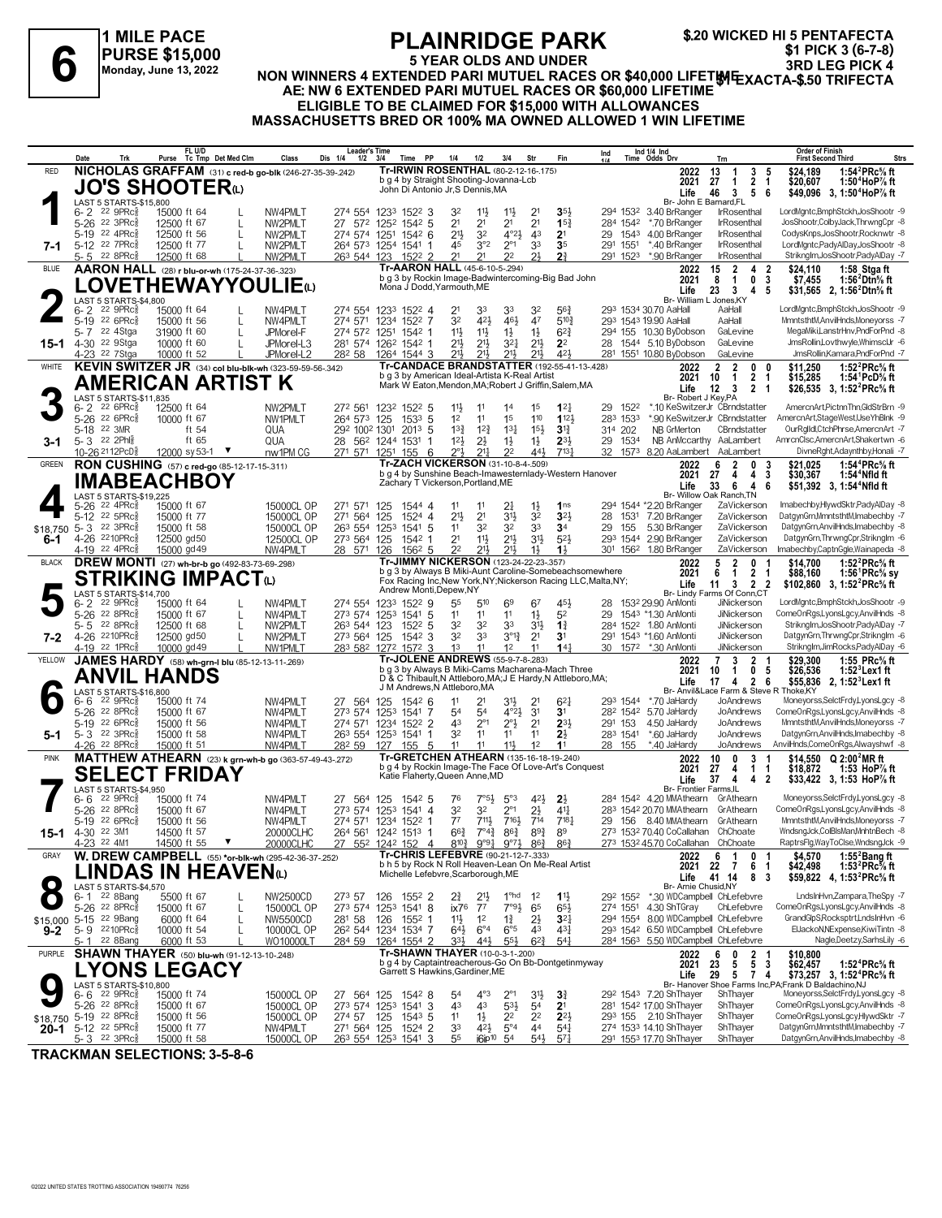**1 MILE PACE PURSE \$15,000 Monday, June 13, 2022**

# **PLAINRIDGE PARK 5 YEAR OLDS AND UNDER**

**NON WINNERS 4 EXTENDED PARI MUTUEL RACES OR \$40,000 LIFETIME** FLAINNILUSE FARK<br>4 STEAR OLDS AND UNDER 3RD LIFET MEXACTA-\$.50 TRIFECTA<br>AE: NW 6 EXTENDED PARI MUTUEL RACES OR \$40,000 LIFET MEXACTA-\$.50 TRIFECTA<br>AE: NW 6 EXTENDED PARI MUTUEL RACES OR \$60,000 LIFETIME **\$.20 WICKED HI 5 PENTAFECTA \$1 PICK 3 (6-7-8)**

# **ELIGIBLE TO BE CLAIMED FOR \$15,000 WITH ALLOWANCES**

**MASSACHUSETTS BRED OR 100% MA OWNED ALLOWED 1 WIN LIFETIME**

|                  | Date     | Trk                                                               | FL U/D<br>Tc Tmp Det Med Clm<br>Purse                    |   | Class                    | Leader's Time<br>Dis 1/4<br>1/2    | 3/4      | PP<br>Time                                         | 1/4                                                                        | 1/2                                | 3/4                                     | Str                                | Fin                                                                                                                       | Ind            |             | Ind 1/4 Ind<br>Time Odds Drv                                                         | Trn                                                                   | <b>Order of Finish</b><br><b>Strs</b><br><b>First Second Third</b>                                                    |
|------------------|----------|-------------------------------------------------------------------|----------------------------------------------------------|---|--------------------------|------------------------------------|----------|----------------------------------------------------|----------------------------------------------------------------------------|------------------------------------|-----------------------------------------|------------------------------------|---------------------------------------------------------------------------------------------------------------------------|----------------|-------------|--------------------------------------------------------------------------------------|-----------------------------------------------------------------------|-----------------------------------------------------------------------------------------------------------------------|
| <b>RED</b>       |          |                                                                   | NICHOLAS GRAFFAM (31) c red-b go-blk (246-27-35-39-.242) |   |                          |                                    |          |                                                    | Tr-IRWIN ROSENTHAL (80-2-12-16-.175)                                       |                                    |                                         |                                    |                                                                                                                           |                |             | 2022                                                                                 | 13<br>3<br>-1                                                         | 1:54 ${}^{2}$ PRc ${}^{5}$ s ft<br>\$24,189<br>5                                                                      |
|                  |          |                                                                   | JO'S SHOOTERധ                                            |   |                          |                                    |          |                                                    | b g 4 by Straight Shooting-Jovanna-Lcb<br>John Di Antonio Jr, S Dennis, MA |                                    |                                         |                                    |                                                                                                                           |                |             | 2021                                                                                 | $\overline{2}$<br>27<br>$\mathbf{1}$                                  | -1<br>\$20.607<br>1:50 <sup>4</sup> HoP% ft                                                                           |
|                  |          | LAST 5 STARTS-\$15,800                                            |                                                          |   |                          |                                    |          |                                                    |                                                                            |                                    |                                         |                                    |                                                                                                                           |                |             | Life<br>Br- John E Barnard, FL                                                       | 46<br>3<br>5                                                          | \$49,096 3, 1:50 <sup>4</sup> HoP% ft<br>6                                                                            |
|                  |          | 6-2 22 9PRc                                                       | 15000 ft 64                                              |   | NW4PMLT                  | 274 554 1233 1522 3                |          |                                                    | 32                                                                         | $11\frac{1}{2}$                    | $11\frac{1}{2}$                         | 2 <sup>1</sup>                     | 3 <sub>5</sub>                                                                                                            |                | 294 1532    | 3.40 BrRanger                                                                        | <b>IrRosenthal</b>                                                    | LordMgntc,BmphStckh,JosShootr -9                                                                                      |
|                  |          | 5-26 <sup>22</sup> 3PRc <sup>3</sup>                              | 12500 ft 67                                              | L | NW2PMLT                  | 27 572 1252 1542 5                 |          |                                                    | 2 <sup>1</sup>                                                             | 2 <sup>1</sup>                     | 2 <sup>1</sup>                          | 2 <sup>1</sup>                     | 15 <sub>1</sub>                                                                                                           |                | 284 1542    | *.70 BrRanger                                                                        | IrRosenthal                                                           | JosShootr,ColbyJack,ThrwngCpr -8                                                                                      |
|                  |          | 5-19 22 4PRc<br>5-12 22 7PRc <sup>5</sup>                         | 12500 ft 56                                              | L | NW2PMLT                  | 274 574 1251                       |          | $154^2$ 6                                          | 2 <sup>11</sup><br>45                                                      | 32<br>3°2                          | $4^{\circ}2\frac{1}{2}$<br>$2^{\circ}1$ | 4 <sup>3</sup>                     | 2 <sup>1</sup>                                                                                                            | 29<br>291 1551 | 1543        | 4.00 BrRanger<br>*.40 BrRanger                                                       | IrRosenthal<br><b>IrRosenthal</b>                                     | CodysKnps, JosShootr, Rocknwtr -8<br>LordMantc.PadvAlDav.JosShootr -8                                                 |
| 7-1              |          | 5-5 22 8PRc                                                       | 12500 ft 77<br>12500 ft 68                               |   | NW2PMLT<br>NW2PMLT       | 264 573 1254 1541 1<br>263 544 123 |          | 1522 2                                             | 21                                                                         | 21                                 | 2 <sup>2</sup>                          | 33<br>21                           | 3 <sub>5</sub><br>2 <sup>3</sup>                                                                                          |                | 291 1523    | *.90 BrRanger                                                                        | IrRosenthal                                                           | Striknglm, JosShootr, PadyAlDay -7                                                                                    |
| <b>BLUE</b>      |          |                                                                   | AARON HALL (28) r blu-or-wh (175-24-37-36-.323)          |   |                          |                                    |          |                                                    | Tr-AARON HALL (45-6-10-5-294)                                              |                                    |                                         |                                    |                                                                                                                           |                |             | 2022                                                                                 | $\overline{2}$<br>15<br>4                                             | -2<br>\$24.110<br>1:58 Stga ft                                                                                        |
|                  |          |                                                                   | <b>LOVETHEWAYYOULIE</b> (L)                              |   |                          |                                    |          |                                                    |                                                                            |                                    |                                         |                                    | b g 3 by Rockin Image-Badwintercoming-Big Bad John                                                                        |                |             | 2021                                                                                 | 0<br>8<br>$\overline{1}$                                              | 3<br>\$7,455<br>1:56 $^2$ Dtn $\%$ ft                                                                                 |
|                  |          |                                                                   |                                                          |   |                          |                                    |          |                                                    | Mona J Dodd, Yarmouth, ME                                                  |                                    |                                         |                                    |                                                                                                                           |                |             | Life<br>Br- William L Jones, KY                                                      | $\mathbf{3}$<br>23<br>4                                               | 5<br>\$31,565 2, 1:56 <sup>2</sup> Dtn <sup>5</sup> / <sub>8</sub> ft                                                 |
|                  | $6 - 2$  | LAST 5 STARTS-\$4,800<br>$22$ 9PR $c_{8}$                         | 15000 ft 64                                              |   | NW4PMLT                  | 274 554 1233 1522 4                |          |                                                    | 2 <sup>1</sup>                                                             | 33                                 | 33                                      | 32                                 | $56\frac{3}{4}$                                                                                                           |                |             | 293 1534 30.70 AaHall                                                                | AaHall                                                                | LordMgntc,BmphStckh,JosShootr -9                                                                                      |
|                  | $5 - 19$ | $22.6$ PRc $\frac{5}{8}$                                          | 15000 ft 56                                              |   | NW4PMLT                  | 274 571 1234 1522 7                |          |                                                    | 32                                                                         | 42}                                | $46\frac{1}{2}$                         | 47                                 | $5^{10.3}$                                                                                                                |                |             | 293 1543 19.90 AaHall                                                                | AaHall                                                                | MmntsthtM,AnvilHnds,Moneyorss -7                                                                                      |
|                  | 5- 7     | 22 4Stga                                                          | 31900 ft 60                                              | L | JPMorel-F                | 274 572 1251 1542 1                |          |                                                    | $11\frac{1}{2}$                                                            | $11\frac{1}{2}$                    | $1\frac{1}{2}$                          | $1\frac{1}{2}$                     | $6^{2}\frac{3}{4}$                                                                                                        |                |             | 294 155 10.30 ByDobson                                                               | GaLevine                                                              | MegaMiki,LanstrHnv,PndForPnd -8                                                                                       |
| 15-1             |          | 4-30 <sup>22</sup> 9Stga<br>4-23 <sup>22</sup> 7Stga              | 10000 ft 60<br>10000 ft 52                               | L | JPMorel-L3<br>JPMorel-L2 | 281 574<br>282 58                  |          | 126 <sup>2</sup> 154 <sup>2</sup> 1<br>1264 1544 3 | $21\frac{1}{2}$<br>$21\frac{1}{2}$                                         | $21\frac{1}{2}$<br>$21\frac{1}{2}$ | $3^{2}$<br>$21\frac{1}{2}$              | $21\frac{1}{2}$<br>$21\frac{1}{2}$ | 2 <sup>2</sup><br>421                                                                                                     |                |             | 28 1544 5.10 ByDobson<br>281 1551 10.80 ByDobson                                     | GaLevine<br>GaLevine                                                  | JmsRollin.Lovthwyle.WhimsclJr -6<br>JmsRollin, Kamara, PndForPnd -7                                                   |
| WHITE            |          |                                                                   | KEVIN SWITZER JR (34) col blu-blk-wh (323-59-59-56-342)  |   |                          |                                    |          |                                                    |                                                                            |                                    |                                         |                                    | Tr-CANDACE BRANDSTATTER (192-55-41-13-.428)                                                                               |                |             | 2022                                                                                 | $\overline{\mathbf{2}}$<br>2<br>0                                     | 1:52 $^{2}$ PRc $\%$ ft<br>0                                                                                          |
|                  |          |                                                                   |                                                          |   |                          |                                    |          |                                                    | b g 3 by American Ideal-Artista K-Real Artist                              |                                    |                                         |                                    |                                                                                                                           |                |             | 2021                                                                                 | $\overline{2}$<br>$\mathbf 1$<br>10                                   | \$11,250<br>\$15,285<br>1:54 PcD% ft<br>-1                                                                            |
|                  |          |                                                                   | AMERICAN ARTIST K                                        |   |                          |                                    |          |                                                    |                                                                            |                                    |                                         |                                    | Mark W Eaton, Mendon, MA; Robert J Griffin, Salem, MA                                                                     |                |             | Life                                                                                 | 12<br>$\overline{\mathbf{3}}$<br>$\overline{2}$                       | -1<br>\$26,535 3, 1:52 <sup>2</sup> PRc% ft                                                                           |
|                  |          | LAST 5 STARTS-\$11,835<br>$226$ PR $c_{8}$                        | 12500 ft 64                                              |   | NW2PMLT                  | 272 561                            |          | 1232 1522 5                                        | $11\frac{1}{2}$                                                            | 11                                 | 14                                      | 1 <sup>5</sup>                     | $1^{2}$                                                                                                                   | 29             | 1522        | Br- Robert J Key, PA<br>*.10 KeSwitzerJr CBrndstatter                                |                                                                       | AmercnArt, PictnnThn, GldStrBrn -9                                                                                    |
|                  | $6 - 2$  | 5-26 22 6PRcs                                                     | 10000 ft 67                                              |   | NW1PMLT                  | 264 573 125                        |          | $153^3$ 5                                          | 1 <sup>2</sup>                                                             | 11                                 | 15                                      | 110                                | 1123                                                                                                                      |                | 283 1533    | *.90 KeSwitzerJr CBrndstatter                                                        |                                                                       | AmercnArt,StageWest,UseYhBlnk -9                                                                                      |
|                  |          | 5-18 22 3MR                                                       | ft 54                                                    |   | QUA                      | 292 1002 1301                      |          | 2013 5                                             | $13\frac{3}{4}$                                                            | $12\frac{3}{4}$                    | $13\frac{1}{4}$                         | $15\frac{1}{2}$                    | 3 <sup>13</sup>                                                                                                           | 314 202        |             | NB GrMerton                                                                          | CBrndstatter                                                          | OurRglldl,CtchPhrse,AmercnArt -7                                                                                      |
| 3-1              |          | 5-3 22 2Phls                                                      | ft 65                                                    |   | QUA                      | 28 562 1244 1531                   |          | -1                                                 | 12 <sup>1</sup>                                                            | $2\frac{1}{2}$                     | $1\frac{1}{2}$                          | $1\frac{1}{2}$                     | $2^{3}$                                                                                                                   | 29             | 1534        | NB AnMccarthy AaLambert                                                              |                                                                       | AmrcnClsc,AmercnArt,Shakertwn -6                                                                                      |
|                  |          | 10-26 2112PcD <sup>5</sup>                                        | 12000 sy 53-1 ▼                                          |   | nw1PM CG                 | 271 571                            | 1251 155 | - 6                                                | $2^{\circ}3$                                                               | $21\frac{1}{4}$                    | 22                                      | 443                                | 713 <sup>1</sup>                                                                                                          | 32             |             | 1573 8.20 AaLambert                                                                  | AaLambert                                                             | DivneRght,Adaynthby,Honali -7                                                                                         |
| <b>GREEN</b>     |          |                                                                   | RON CUSHING (57) c red-go (85-12-17-15-311)              |   |                          |                                    |          |                                                    | Tr-ZACH VICKERSON (31-10-8-4-509)                                          |                                    |                                         |                                    | b g 4 by Sunshine Beach-Imawesternlady-Western Hanover                                                                    |                |             | 2022                                                                                 | $\overline{2}$<br>0<br>6                                              | 1:54 <sup>4</sup> PRc <sup>5</sup> / <sub>8</sub> ft<br>\$21,025                                                      |
|                  |          |                                                                   | IMABEACHBOY                                              |   |                          |                                    |          |                                                    | Zachary T Vickerson, Portland, ME                                          |                                    |                                         |                                    |                                                                                                                           |                |             | 2021<br>Life                                                                         | 27<br>4<br>4<br>$\overline{4}$<br>33<br>6                             | 3<br>\$30,367<br>1:54 <sup>+</sup> Nfld ft<br>\$51.392 3. 1:54 <sup>4</sup> Nfld ft<br>6                              |
|                  |          | LAST 5 STARTS-\$19,225                                            |                                                          |   |                          |                                    |          |                                                    |                                                                            |                                    |                                         |                                    |                                                                                                                           |                |             |                                                                                      | Br- Willow Oak Ranch, TN                                              |                                                                                                                       |
|                  |          | 5-26 22 4PRcs                                                     | 15000 ft 67                                              |   | 15000CL OP               | 271 571 125                        |          | 1544 4                                             | 11                                                                         | 11                                 | $2\frac{1}{4}$                          | $1\frac{1}{2}$                     | 1 <sub>ns</sub>                                                                                                           |                |             | 294 1544 *2.20 BrRanger                                                              | ZaVickerson                                                           | ImabechbyHlvwdSktr.PadvAlDav -8                                                                                       |
|                  | $5-12$   | 22 5PRc<br>5-3 22 3PRc <sup>5</sup>                               | 15000 ft 77<br>15000 ft 58                               |   | 15000CL OP<br>15000CL OP | 271 564<br>263 554 1253            | 125      | 1524 4<br>1541 5                                   | 2 <sup>11</sup><br>11                                                      | 2 <sup>1</sup><br>32               | 3 <sup>1</sup><br>32                    | 3 <sup>2</sup><br>3 <sup>3</sup>   | 3 <sup>2</sup><br>3 <sup>4</sup>                                                                                          | 28<br>29       | 1531<br>155 | 7.20 BrRanger<br>5.30 BrRanger                                                       | ZaVickerson<br>ZaVickerson                                            | DatgynGrn,MmntsthtM,Imabechby -7<br>DatgynGrn, AnvilHnds, Imabechby -8                                                |
| \$18,750<br>6-1  |          | 4-26 2210PRcs                                                     | 12500 gd50                                               |   | 12500CL OP               | 273 564 125                        |          | 1542 1                                             | 2 <sup>1</sup>                                                             | $11\frac{1}{2}$                    | $21\frac{1}{2}$                         | $3^{11}$                           | $5^{2}$                                                                                                                   |                |             | 293 1544 2.90 BrRanger                                                               | ZaVickerson                                                           | DatgynGrn, ThrwngCpr, Striknglm -6                                                                                    |
|                  |          | 4-19 22 4PRc <sup>5</sup>                                         | 15000 gd 49                                              |   | NW4PMLT                  | 28 571 126                         |          | 1562 5                                             | 2 <sup>2</sup>                                                             | 211                                | 213                                     | $1\frac{1}{2}$                     | $1\frac{1}{2}$                                                                                                            |                |             | 301 1562 1.80 BrRanger                                                               | ZaVickerson                                                           | Imabechby,CaptnGgle,Wainapeda -8                                                                                      |
| <b>BLACK</b>     |          |                                                                   | <b>DREW MONTI</b> (27) wh-br-b go (492-83-73-69-298)     |   |                          |                                    |          |                                                    | Tr-JIMMY NICKERSON (123-24-22-23-.357)                                     |                                    |                                         |                                    |                                                                                                                           |                |             | 2022                                                                                 | 5<br>$\overline{2}$<br>0                                              | \$14.700<br>1:52 $^{2}$ PRc $\%$ ft<br>-1                                                                             |
|                  |          |                                                                   | <b>STRIKING IMPACTO</b>                                  |   |                          |                                    |          |                                                    |                                                                            |                                    |                                         |                                    | b g 3 by Always B Miki-Aunt Caroline-Somebeachsomewhere<br>Fox Racing Inc, New York, NY; Nickerson Racing LLC, Malta, NY; |                |             | 2021                                                                                 | 6<br>$\overline{1}$<br>2                                              | \$88,160<br>1:56 ${}^1$ PRc ${}^5\! s$ sy<br>-1                                                                       |
|                  |          | LAST 5 STARTS-\$14,700                                            |                                                          |   |                          |                                    |          |                                                    | Andrew Monti.Depew.NY                                                      |                                    |                                         |                                    |                                                                                                                           |                |             | Life                                                                                 | $11 \quad 3$<br>$\overline{\mathbf{2}}$<br>Br- Lindy Farms Of Conn.CT | - 2<br>\$102,860 3, 1:52 <sup>2</sup> PRc <sup>5</sup> / <sub>8</sub> ft                                              |
|                  | $6 - 2$  | 22 9PRc3                                                          | 15000 ft 64                                              |   | NW4PMLT                  | 274 554 1233 1522 9                |          |                                                    | 55                                                                         | 510                                | 69                                      | 67                                 | 45}                                                                                                                       | 28             |             | 1532 29.90 AnMonti                                                                   | JiNickerson                                                           | LordMgntc,BmphStckh,JosShootr -9                                                                                      |
|                  |          | 5-26 22 8PRcs                                                     | 15000 ft 67                                              | L | NW4PMLT                  | 273 574 1253 1541 5                |          |                                                    | 11                                                                         | 11                                 | 11                                      | $1\frac{1}{2}$                     | 52                                                                                                                        | 29             |             | 1543 *1.30 AnMonti                                                                   | <b>JiNickerson</b>                                                    | ComeOnRgs,LyonsLgcy,AnvilHnds -8                                                                                      |
|                  | 5-5      | 22 8PRc <sup>3</sup><br>4-26 2210PRcs                             | 12500 ft 68                                              |   | NW2PMLT                  | 263 544 123<br>273 564 125         |          | $152^2$ 5<br>$154^2$ 3                             | 3 <sup>2</sup><br>32                                                       | 32<br>33                           | 33<br>$3^{012}$                         | 3 <sup>1</sup><br>2 <sup>1</sup>   | $1\frac{3}{4}$<br>3 <sup>1</sup>                                                                                          |                |             | 284 1522 1.80 AnMonti<br>291 1543 *1.60 AnMonti                                      | <b>JiNickerson</b><br>JiNickerson                                     | Striknglm, JosShootr, PadyAlDay -7<br>DatgynGrn,ThrwngCpr,Striknglm -6                                                |
| $7-2$            |          | 4-19 <sup>22</sup> 1PRc <sup>3</sup>                              | 12500 gd50<br>10000 gd 49                                |   | NW2PMLT<br>NW1PMLT       | 283 582 1272 1572 3                |          |                                                    | 1 <sup>3</sup>                                                             | 11                                 | 1 <sup>2</sup>                          | 11                                 | 14 <sup>1</sup>                                                                                                           |                | 30 1572     | *.30 AnMonti                                                                         | JiNickerson                                                           | Striknglm, JimRocks, Pady AlDay -6                                                                                    |
| YELLOW           |          |                                                                   | JAMES HARDY (58) wh-grn-I blu (85-12-13-11-269)          |   |                          |                                    |          |                                                    | Tr-JOLENE ANDREWS (55-9-7-8-283)                                           |                                    |                                         |                                    |                                                                                                                           |                |             | 2022                                                                                 | $\overline{7}$<br>3<br>$\overline{2}$                                 | 1:55 PRc% ft<br>\$29,300                                                                                              |
|                  |          |                                                                   | ANVIL HANDS                                              |   |                          |                                    |          |                                                    |                                                                            |                                    |                                         |                                    | b g 3 by Always B Miki-Cams Macharena-Mach Three                                                                          |                |             | 2021                                                                                 | $\mathbf{1}$<br>0<br>10                                               | 5<br>\$26,536<br>1:52 Lex1 ft                                                                                         |
|                  |          | LAST 5 STARTS-\$16,800                                            |                                                          |   |                          |                                    |          |                                                    | J M Andrews, N Attleboro, MA                                               |                                    |                                         |                                    | D & C Thibault, N Attleboro, MA; J E Hardy, N Attleboro, MA;                                                              |                |             | Life                                                                                 | 4<br>$\overline{2}$<br>17<br>Br- Anvil&Lace Farm & Steve R Thoke, KY  | \$55,836<br>2, 1:52 <sup>3</sup> Lex1 ft<br>- 6                                                                       |
|                  | 6-6      | $22$ 9PR $c_{8}^{5}$                                              | 15000 ft 74                                              |   | NW4PMLT                  | 27 564 125                         |          | 1542 6                                             | 11                                                                         | 21                                 | 31}                                     | 2 <sup>1</sup>                     | $6^{21}$                                                                                                                  |                | 293 1544    | *.70 JaHardy                                                                         | JoAndrews                                                             | Moneyorss,SelctFrdy,LyonsLgcy -8                                                                                      |
|                  |          | 5-26 <sup>22</sup> 8PRc <sup>3</sup>                              | 15000 ft 67                                              |   | NW4PMLT                  | 273 574                            |          | 1253 1541 7                                        | 54                                                                         | 54                                 | $4^{\circ}2\frac{1}{2}$                 | 3 <sup>1</sup>                     | 3 <sup>1</sup>                                                                                                            |                |             | 28 <sup>2</sup> 154 <sup>2</sup> 5.70 JaHardy                                        | JoAndrews                                                             | ComeOnRgs,LyonsLgcy,AnvilHnds -8                                                                                      |
|                  |          | 5-19 22 6PRc                                                      | 15000 ft 56                                              |   | NW4PMLT                  | 274 571 1234 1522 2                |          |                                                    | 43                                                                         | $2^{\circ}1$                       | $2^{\circ}$ <sup>1</sup> / <sub>2</sub> | 2 <sup>1</sup>                     | $2^{3}$                                                                                                                   | 291 153        |             | 4.50 JaHardy                                                                         | JoAndrews                                                             | MmntsthtM,AnvilHnds,Moneyorss -7                                                                                      |
| 5-1              |          | $5 - 3$ 22 3PRc $\frac{5}{8}$<br>4-26 22 8PRc3                    | 15000 ft 58<br>15000 ft 51                               |   | NW4PMLT<br>NW4PMLT       | 263 554 1253 1541                  |          | -1                                                 | 32<br>11                                                                   | 11<br>11                           | 11<br>$11\frac{1}{2}$                   | 11<br>1 <sup>2</sup>               | $2\frac{1}{2}$<br>1 <sup>1</sup>                                                                                          | 28 155         | 283 1541    | *.60 JaHardy<br>*.40 JaHardy                                                         | JoAndrews<br>JoAndrews                                                | DatgynGrn, AnvilHnds, Imabechby -8<br>AnvilHnds,ComeOnRgs,Alwayshwf -8                                                |
| <b>PINK</b>      |          |                                                                   | MATTHEW ATHEARN (23) k grn-wh-b go (363-57-49-43-.272)   |   |                          | 282 59                             |          | 127 155 5                                          | Tr-GRETCHEN ATHEARN (135-16-18-19-240)                                     |                                    |                                         |                                    |                                                                                                                           |                |             | 2022                                                                                 | 10<br>0<br>3                                                          | \$14.550<br>Q 2:00 <sup>2</sup> MR ft                                                                                 |
|                  |          |                                                                   |                                                          |   |                          |                                    |          |                                                    |                                                                            |                                    |                                         |                                    | b g 4 by Rockin Image-The Face Of Love-Art's Conquest                                                                     |                |             | 2021                                                                                 | 27<br>4<br>$\mathbf{1}$                                               | \$18,872<br>1:53 HoP% ft<br>-1                                                                                        |
|                  |          |                                                                   | <b>SELECT FRIDAY</b>                                     |   |                          |                                    |          |                                                    | Katie Flaherty, Queen Anne, MD                                             |                                    |                                         |                                    |                                                                                                                           |                |             | Life                                                                                 | 37<br>4 <sub>2</sub><br>4                                             | \$33,422 3, 1:53 HoP% ft                                                                                              |
|                  | 6-6      | LAST 5 STARTS-\$4,950<br>$22$ 9PR $c_{8}$                         | 15000 ft 74                                              |   | NW4PMLT                  | 27 564                             | 125      | 1542 5                                             | 76                                                                         | $7°5\frac{1}{2}$                   | $5^{\circ}3$                            | 421                                | $2\frac{1}{2}$                                                                                                            |                |             | <b>Br- Frontier Farms.IL</b><br>284 1542 4.20 MMAthearn GrAthearn                    |                                                                       | Moneyorss,SelctFrdy,LyonsLgcy -8                                                                                      |
|                  | 5-26     | 22 8PRc3                                                          | 15000 ft 67                                              |   | NW4PMLT                  | 273 574 1253 1541 4                |          |                                                    | 32                                                                         | 32                                 | $2^{\circ}1$                            | $2\frac{1}{2}$                     | 41                                                                                                                        |                |             | 283 1542 20.70 MMAthearn                                                             | GrAthearn                                                             | ComeOnRgs,LyonsLgcy,AnvilHnds -8                                                                                      |
|                  | $5-19$   | $22.6$ PRc $\frac{5}{8}$                                          | 15000 ft 56                                              |   | NW4PMLT                  | 274 571 1234 1522 1                |          |                                                    | $7^7$                                                                      | 7111,                              | 7161                                    | 714                                | $7^{18}$                                                                                                                  |                |             | 29 156 8.40 MMAthearn                                                                | GrAthearn                                                             | MmntsthtM,AnvilHnds,Moneyorss -7                                                                                      |
| 15-1             |          | 4-30 22 3M1                                                       | 14500 ft 57                                              |   | 20000CLHC                | 264 561 1242 1513 1                |          |                                                    | $66\frac{3}{4}$                                                            | $7^{\circ}4^{\frac{3}{4}}$         | 863                                     | 893                                | 8 <sup>9</sup>                                                                                                            |                |             | 273 1532 70.40 CoCallahan ChChoate                                                   |                                                                       | WndsngJck,ColBlsMan,MnhtnBech -8                                                                                      |
|                  |          | 4-23 <sup>22</sup> 4M1                                            | 14500 ft 55                                              |   | 20000CLHC                | 27                                 |          |                                                    | 552 1242 152 4 8103 9°91 9°71 863                                          |                                    |                                         |                                    | $86\frac{3}{4}$                                                                                                           |                |             | 273 1532 45.70 CoCallahan ChChoate                                                   |                                                                       | RaptrsFlg, Way To Clse, Wndsng Jck -9                                                                                 |
| GRAY             |          |                                                                   | W. DREW CAMPBELL (55) *or-blk-wh (295-42-36-37-.252)     |   |                          |                                    |          |                                                    | Tr-CHRIS LEFEBVRE (90-21-12-7-.333)                                        |                                    |                                         |                                    | b h 5 by Rock N Roll Heaven-Lean On Me-Real Artist                                                                        |                |             | 2022                                                                                 | 6<br>-1<br>0<br>2021 22 7<br>6                                        | \$4,570<br>1:55 $2$ Bang ft<br>-1<br>1:53 $^{2}$ PRc $%$ ft<br>\$42,498<br>-1                                         |
|                  |          |                                                                   | LINDAS IN HEAVENω                                        |   |                          |                                    |          |                                                    | Michelle Lefebvre, Scarborough, ME                                         |                                    |                                         |                                    |                                                                                                                           |                |             | Life                                                                                 | 41 14<br>8                                                            | -3<br>\$59,822 4, 1:53 <sup>2</sup> PRc <sup>5</sup> / <sub>8</sub> ft                                                |
|                  |          | LAST 5 STARTS-\$4,570                                             |                                                          |   |                          |                                    |          |                                                    |                                                                            |                                    |                                         |                                    |                                                                                                                           |                |             | Br- Arnie Chusid, NY                                                                 |                                                                       |                                                                                                                       |
|                  |          | 6-1 <sup>22</sup> 8Bang<br>5-26 <sup>22</sup> 8PRc <sup>3</sup>   | 5500 ft 67<br>15000 ft 67                                | L | NW2500CD<br>15000CL OP   | 273 57<br>273 574 1253 1541 8      | 126      | 1552 2                                             | $2\frac{3}{4}$<br>ix76                                                     | $21\frac{1}{2}$<br>$7^7$           | 1 <sup>o</sup> hd<br>$7°9\frac{1}{2}$   | $1^2$<br>65                        | $11\frac{1}{2}$<br>$65\frac{1}{2}$                                                                                        |                |             | 29 <sup>2</sup> 155 <sup>2</sup> *.30 WDCampbell ChLefebvre<br>274 1551 4.30 ShTGray | ChLefebvre                                                            | LndsInHvn,Zampara,TheSpy -7<br>ComeOnRgs,LyonsLgcy,AnvilHnds -8                                                       |
|                  |          | \$15,000 5-15 22 9Bang                                            | 6000 ft 64                                               | L | NW5500CD                 | 281 58                             | 126      | $155^2$ 1                                          | 11}                                                                        | 1 <sup>2</sup>                     | $1\frac{3}{4}$                          | $2\frac{1}{2}$                     | 3 <sup>2</sup>                                                                                                            |                |             | 294 1554 8.00 WDCampbell ChLefebvre                                                  |                                                                       | GrandGlpS,Rocksptrt,LndsInHvn -6                                                                                      |
| $9 - 2$          |          | 5-9 2210PRc                                                       | 10000 ft 54                                              |   | 10000CL OP               | 26 <sup>2</sup> 544 1234 1534 7    |          |                                                    | $64\frac{1}{2}$                                                            | $6^{\circ}4$                       | $6^{\circ}5$                            | 4 <sup>3</sup>                     | $4^{3}\frac{1}{4}$                                                                                                        |                |             | 293 1542 6.50 WDCampbell ChLefebvre                                                  |                                                                       | ElJackoN, NExpense, KiwiTintn -8                                                                                      |
|                  |          | 5-1 22 8Bang                                                      | 6000 ft 53                                               |   | WO10000LT                | 284 59                             |          | 1264 1554 2                                        | 333                                                                        | $44\frac{1}{2}$                    | $55\frac{1}{2}$                         | $6^{2}3$                           | $5^{41}$                                                                                                                  |                |             | 284 1563 5.50 WDCampbell ChLefebvre                                                  |                                                                       | Nagle,Deetzy,SarhsLily -6                                                                                             |
| PURPLE           |          |                                                                   | SHAWN THAYER (50) blu-wh (91-12-13-10-248)               |   |                          |                                    |          |                                                    | Tr-SHAWN THAYER (10-0-3-1-.200)                                            |                                    |                                         |                                    | b g 4 by Captaintreacherous-Go On Bb-Dontgetinmyway                                                                       |                |             | 2022                                                                                 | 2<br>6<br>0<br>$\overline{5}$                                         | \$10,800<br>-1                                                                                                        |
|                  |          |                                                                   | YONS LEGACY.                                             |   |                          |                                    |          |                                                    | Garrett S Hawkins, Gardiner, ME                                            |                                    |                                         |                                    |                                                                                                                           |                |             | 2021<br>Life                                                                         | 23<br>5<br>29<br>5 7 4                                                | $\mathbf{3}$<br>\$62,457<br>1:52 $^4$ PRc $\%$ ft<br>\$73,257 3, 1:52 <sup>4</sup> PRc <sup>5</sup> / <sub>8</sub> ft |
|                  |          | LAST 5 STARTS-\$10,800                                            |                                                          |   |                          |                                    |          |                                                    |                                                                            |                                    |                                         |                                    |                                                                                                                           |                |             |                                                                                      |                                                                       | Br- Hanover Shoe Farms Inc, PA; Frank D Baldachino, NJ                                                                |
|                  | 6-6      | 22 9PRc <sup>3</sup>                                              | 15000 ft 74                                              |   | 15000CL OP               | 27 564 125 1542 8                  |          |                                                    | 5 <sup>4</sup>                                                             | $4^{\circ}3$                       | $2^{\circ}1$                            | 3 <sup>1</sup>                     | $3\frac{3}{4}$                                                                                                            |                |             | 292 1543 7.20 ShThayer                                                               | ShThayer                                                              | Moneyorss,SelctFrdy,LyonsLgcy -8                                                                                      |
|                  |          | 5-26 <sup>22</sup> 8PRc <sup>3</sup><br>5-19 22 8PRc <sup>5</sup> | 15000 ft 67<br>15000 ft 56                               |   | 15000CL OP<br>15000CL OP | 273 574 1253 1541 3<br>274 57 125  |          | 1543 5                                             | 43<br>11                                                                   | 43<br>$1\frac{1}{2}$               | $5^{31}$<br>2 <sup>2</sup>              | 5 <sup>4</sup><br>2 <sup>2</sup>   | 2 <sup>1</sup><br>$2^{2}$                                                                                                 |                |             | 281 1542 17.00 ShThayer<br>293 155 2.10 ShThayer                                     | ShThayer<br>ShThayer                                                  | ComeOnRgs,LyonsLgcy,AnvilHnds -8<br>ComeOnRgs,LyonsLgcy,HlywdSktr -7                                                  |
| \$18,750<br>20-1 |          | $5-12$ $22$ $5PRc\frac{5}{8}$                                     | 15000 ft 77                                              |   | NW4PMLT                  | 271 564 125                        |          | 1524 2                                             | 33                                                                         | 42}                                | $5^{\circ}4$                            | 44                                 | $5^{41}$                                                                                                                  |                |             | 274 1533 14.10 ShThayer                                                              | ShThayer                                                              | DatgynGrn,MmntsthtM,Imabechby -7                                                                                      |
|                  |          | $5 - 3$ 22 3PRc $\frac{5}{8}$                                     | 15000 ft 58                                              |   | 15000CL OP               | 263 554 1253 1541 3                |          |                                                    | 55                                                                         |                                    | i6ip <sup>10</sup> 5 <sup>4</sup>       | 541                                | 57 <sub>1</sub>                                                                                                           |                |             | 291 1553 17.70 ShThayer                                                              | ShThayer                                                              | DatgynGrn, AnvilHnds, Imabechby -8                                                                                    |

**TRACKMAN SELECTIONS: 3-5-8-6**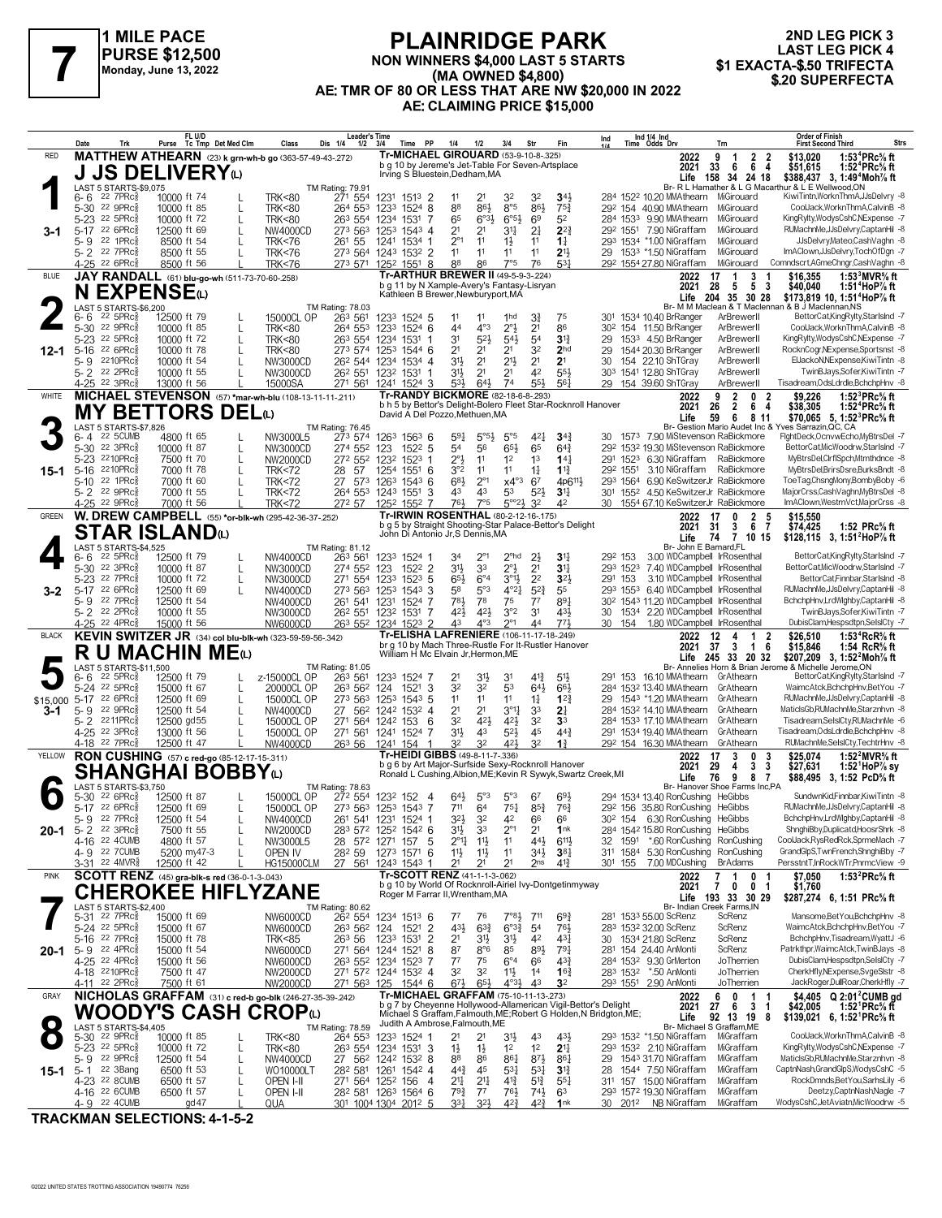

### **PLAINRIDGE PARK NON WINNERS \$4,000 LAST 5 STARTS (MA OWNED \$4,800) AE: TMR OF 80 OR LESS THAT ARE NW \$20,000 IN 2022 AE: CLAIMING PRICE \$15,000 FLAINNIDUL PARK**<br>PURSE \$12,500 MON WINNERS \$4,000 LAST 5 STARTS 61 AST LEG PICK 4<br>Monday, June 13, 2022 (MA OWNED \$4,800)<br>AE: TMP OF 80 OR LESS THAT ARE NW \$30,000 IN 2022 (ALSO SUPERFECTA

|                 | Date                          | Trk                                                             |                            | FL U/D<br>Purse Tc Tmp Det Med Clm                       | Class                                | Leader's Time<br>Dis 1/4<br>$1/2$ $3/4$                                      |                                                                                                 | Time PP             | 1/4                                       | 1/2                              | 3/4                               | Str                              | Fin                                   | <b>Order of Finish</b><br>Ind 1/4 Ind<br>Time Odds Drv<br>Ind<br><b>First Second Third</b><br>Strs<br>Trn                                                                                                         |
|-----------------|-------------------------------|-----------------------------------------------------------------|----------------------------|----------------------------------------------------------|--------------------------------------|------------------------------------------------------------------------------|-------------------------------------------------------------------------------------------------|---------------------|-------------------------------------------|----------------------------------|-----------------------------------|----------------------------------|---------------------------------------|-------------------------------------------------------------------------------------------------------------------------------------------------------------------------------------------------------------------|
| RED             |                               |                                                                 |                            | MATTHEW ATHEARN (23) k grn-wh-b go (363-57-49-43-272)    |                                      |                                                                              | <b>Tr-MICHAEL GIROUARD (53-9-10-8-.325)</b><br>b g 10 by Jereme's Jet-Table For Seven-Artsplace |                     |                                           |                                  |                                   |                                  |                                       | 2 <sub>2</sub><br>1:53 <sup>4</sup> PRc <sup>5</sup> / <sub>8</sub> ft<br>2022<br>9<br>\$13.020<br>$\overline{1}$                                                                                                 |
|                 |                               |                                                                 |                            | <b>J JS DELIVERY</b> ധ                                   |                                      |                                                                              | Irving S Bluestein, Dedham, MA                                                                  |                     |                                           |                                  |                                   |                                  |                                       | 2021<br>33<br>664<br>\$51,615<br>1:52 <sup>4</sup> PRc% ft<br>Life 158 34 24 18 \$388,437 3, 1:49 <sup>4</sup> Moh <sup>7</sup> / <sub>8</sub> ft Br- R L Hamather & L G Macarthur & L E Wellwood, ON             |
|                 | 6- 6                          | LAST 5 STARTS-\$9,075<br>$22$ $7$ $PRc\frac{5}{8}$              | 10000 ft 74                |                                                          | <b>TRK&lt;80</b>                     | <b>TM Rating: 79.91</b><br>271 554                                           | 1231 1513 2                                                                                     |                     | 11                                        | 21                               | 32                                | 32                               | $34\frac{1}{2}$                       | 284 1522 10.20 MMAthearn MiGirouard<br>KiwiTintn, Workn Thm A, JJsDelvry -8                                                                                                                                       |
|                 |                               | 5-30 22 9PRc                                                    | 10000 ft 85                | L                                                        | <b>TRK&lt;80</b>                     | 264 553                                                                      | 1233 1524 8                                                                                     |                     | 88                                        | 86}                              | $8^{\circ}5$                      | 86}                              | $75\frac{3}{4}$                       | MiGirouard<br>CoolJack.WorknThmA.CalvinB -8<br>29 <sup>2</sup> 154 40.90 MMAthearn                                                                                                                                |
|                 |                               | 5-23 22 5PRc<br>5-17 22 6PRcs                                   | 10000 ft 72                | $\mathbf{I}$                                             | <b>TRK&lt;80</b>                     | 263 554                                                                      | 1234 1531                                                                                       | -7                  | 65                                        | 6°3 <sup>1</sup>                 | $6^{\circ 5\frac{1}{2}}$          | 69                               | 52                                    | 284 1533 9.90 MMAthearn<br>KingRylty, WodysCshC, NExpense -7<br>MiGirouard<br>292 1551 7.90 NiGraffam<br>MiGirouard<br>RUMachnMe, JJsDelvry, CaptanHil -8                                                         |
| 3-1             | 5-9                           | 22 1PRc3                                                        | 12500 ft 69<br>8500 ft 54  |                                                          | NW4000CD<br><b>TRK&lt;76</b>         | 273 563 1253 1543 4<br>261 55                                                | 1241 1534 1                                                                                     |                     | 2 <sup>1</sup><br>$2^{\circ}1$            | 2 <sup>1</sup><br>11             | 31<br>$1\frac{1}{2}$              | 2 <sup>1</sup><br>11             | $2^{2}$<br>$1\frac{1}{4}$             | 293 1534 *1.00 NiGraffam<br>JJsDelvry,Mateo,CashVaghn -8<br>MiGirouard                                                                                                                                            |
|                 |                               | 5-2 <sup>22</sup> 7PRc                                          | 8500 ft 55                 |                                                          | <b>TRK&lt;76</b>                     | 273 564 1243 1532 2                                                          |                                                                                                 |                     | 11                                        | 11                               | 11                                | 11                               | 2 <sup>11</sup>                       | ImAClown,JJsDelvry,TochOfDgn -7<br>29 1533 *1.50 NiGraffam<br>MiGirouard                                                                                                                                          |
| <b>BLUE</b>     |                               | 4-25 <sup>22</sup> 6PRc                                         | 8500 ft 56                 | JAY RANDALL (61) blu-go-wh (511-73-70-60-.258)           | <b>TRK&lt;76</b>                     | 273 571 1252 1551 8                                                          | <b>Tr-ARTHUR BREWER II (49-5-9-3-224)</b>                                                       |                     | 88                                        | 86                               | 7°5                               | 76                               | 531                                   | Comndscrt, AGmeChngr, CashVaghn -8<br>MiGirouard<br>29 <sup>2</sup> 1554 27.80 NiGraffam<br>3<br>\$16.355<br>1:53 $3$ MVR $\%$ ft<br>2022<br>17<br>-1                                                             |
|                 |                               |                                                                 | <b>EXPENSE</b>             |                                                          |                                      |                                                                              | b g 11 by N Xample-Avery's Fantasy-Lisryan<br>Kathleen B Brewer, Newburyport, MA                |                     |                                           |                                  |                                   |                                  |                                       | $\overline{\phantom{a}}$<br>2021<br>28<br>5<br>- 3<br>\$40,040<br>1:51 <sup>4</sup> HoP $\%$ ft                                                                                                                   |
|                 |                               | LAST 5 STARTS-\$6,200                                           |                            |                                                          |                                      | TM Rating: 78.03                                                             |                                                                                                 |                     |                                           |                                  |                                   |                                  |                                       | 35 30 28<br>204<br>\$173,819 10, 1:51 <sup>4</sup> HoP% ft<br>Life<br>Br- M M Maclean & T Maclennan & B J Maclennan, NS                                                                                           |
|                 | 6- 6                          | $22\,5$ PRc $\frac{5}{8}$<br>22 9PRc                            | 12500 ft 79                |                                                          | 15000CL OP                           | 263 561                                                                      | 1233 1524 5                                                                                     |                     | 11                                        | 11                               | 1hd                               | 31                               | 75                                    | 301 1534 10.40 BrRanger<br>BettorCat,KingRylty,StarIsInd -7<br>ArBrewerll<br>CoolJack.WorknThmA.CalvinB -8                                                                                                        |
|                 | 5-30<br>5-23                  | 22 5PRc                                                         | 10000 ft 85<br>10000 ft 72 | L<br>$\mathbf{I}$                                        | <b>TRK&lt;80</b><br><b>TRK&lt;80</b> | 264 553 1233 1524 6<br>263 554                                               | 1234 1531                                                                                       | -1                  | 44<br>31                                  | $4^{\circ}3$<br>$5^{2}$          | $2^{\circ}3$<br>$54\frac{1}{2}$   | 2 <sup>1</sup><br>54             | 86<br>$3^{12}$                        | 30 <sup>2</sup> 154 11.50 BrRanger<br>ArBrewerll<br>KingRylty, WodysCshC, NExpense -7<br>1533 4.50 BrRanger<br>29<br>ArBrewerll                                                                                   |
| 12-1            |                               | 5-16 22 6PRcs                                                   | 10000 ft 78                |                                                          | <b>TRK&lt;80</b>                     | 273 574 1253 1544 6                                                          |                                                                                                 |                     | 2 <sup>1</sup>                            | 2 <sup>1</sup>                   | 2 <sup>1</sup>                    | 32                               | 2 <sub>hd</sub>                       | 1544 20.30 BrRanger<br>ArBrewerll<br>RocknCogr, NExpense, Sportsnst -8<br>29                                                                                                                                      |
|                 | 5- 9                          | 2210PRc<br>5-2 <sup>22</sup> 2PRc                               | 10000 ft 54<br>10000 ft 55 |                                                          | NW3000CD<br>NW3000CD                 | 26 <sup>2</sup> 544 1234 1534 4<br>26 <sup>2</sup> 551                       | 1232 1531                                                                                       | -1                  | 31}<br>31}                                | 2 <sup>1</sup><br>2 <sup>1</sup> | 2 <sup>11</sup><br>2 <sup>1</sup> | 2 <sup>1</sup><br>42             | 2 <sup>1</sup><br>554                 | ElJackoN, NExpense, KiwiTintn -8<br>154 22.10 ShTGray<br>ArBrewerll<br>30<br>TwinBJays,Sofer,KiwiTintn -7<br>303 1541 12.80 ShTGray<br>ArBrewerll                                                                 |
|                 |                               | 4-25 <sup>22</sup> 3PRc <sup>5</sup>                            | 13000 ft 56                |                                                          | 15000SA                              | 271 561 1241 1524 3                                                          |                                                                                                 |                     | 53}                                       | $64\frac{1}{2}$                  | 74                                | 554                              | 56 <sup>1</sup>                       | Tisadream, OdsLdrdle, BchchpHnv -8<br>154 39.60 ShTGray<br>29<br>ArBrewerll                                                                                                                                       |
| WHITE           |                               |                                                                 |                            | MICHAEL STEVENSON (57) *mar-wh-blu (108-13-11-11-211)    |                                      |                                                                              | <b>Tr-RANDY BICKMORE</b> (82-18-6-8-293)                                                        |                     |                                           |                                  |                                   |                                  |                                       | 1:52 ${}^{3}$ PRc ${}^{5}$ s ft<br>9<br>$\overline{2}$<br>0<br>$\overline{\mathbf{2}}$<br>\$9.226<br>2022<br>b h 5 by Bettor's Delight-Bolero Fleet Star-Rocknroll Hanover<br>26<br>$\overline{2}$<br>6 4<br>2021 |
|                 |                               |                                                                 |                            | <b>MY BETTORS DEL</b> t                                  |                                      |                                                                              | David A Del Pozzo, Methuen, MA                                                                  |                     |                                           |                                  |                                   |                                  |                                       | \$38,305<br>1:52 $4$ PRc $\%$ ft<br>Life<br>59<br>6<br>\$70,065 5, 1:52 <sup>3</sup> PRc <sup>5</sup> / <sub>8</sub> ft<br>811                                                                                    |
|                 | 6-4                           | LAST 5 STARTS-\$7,826<br>22 5 CUMB                              | 4800 ft 65                 |                                                          | NW3000L5                             | TM Rating: 76.45<br>273 574                                                  | 1263 1563 6                                                                                     |                     | 591                                       | $5^{\circ}5_{2}$                 | $5^{\circ}5$                      | $4^{2}$                          | $34\frac{3}{4}$                       | Br- Gestion Mario Audet Inc & Yves Sarrazin, QC, CA<br>30 1573 7.90 MiStevenson RaBickmore<br>FightDeck,OcnvwEcho,MyBtrsDel -7                                                                                    |
|                 |                               | 5-30 22 3PRc <sup>5</sup>                                       | 10000 ft 87                | L                                                        | NW3000CD                             | 274 552                                                                      | 123                                                                                             | $152^2$ 5           | 54                                        | 56                               | 65}                               | 65                               | $64\frac{3}{4}$                       | 292 1532 19.30 MiStevenson RaBickmore<br>BettorCat, MicWoodrw, StarlsInd -7                                                                                                                                       |
| 15-1            |                               | 5-23 2210PRcs<br>5-16 2210PRcs                                  | 7500 ft 70<br>7000 ft 78   | $\mathbf{I}$                                             | NW2000CD<br><b>TRK&lt;72</b>         | 272 552<br>57<br>28                                                          | 1232<br>1254 1551 6                                                                             | $1523$ 1            | $2^{\circ}3$<br>3°2                       | 11<br>11                         | 1 <sup>2</sup><br>11              | 1 <sup>3</sup><br>$1\frac{1}{4}$ | $14\frac{1}{4}$<br>$1^{13}$           | 291 1523 6.30 NiGraffam RaBickmore<br>MyBtrsDel,ClrflSpch,Mtmthdnce -8<br>29 <sup>2</sup> 155 <sup>1</sup> 3.10 NiGraffam<br>MyBtrsDel,BrirsDsre,BurksBndt -8<br>RaBickmore                                       |
|                 |                               | 5-10 22 1PRcs                                                   | 7000 ft 60                 |                                                          | <b>TRK&lt;72</b>                     | 27 573 1263 1543 6                                                           |                                                                                                 |                     | 681                                       | $2^{\circ}1$                     | $x4^{\circ}3$                     | 67                               | 4p6 <sup>11</sup> }                   | 293 1564 6.90 KeSwitzerJr RaBickmore<br>ToeTag.ChsngMonv.BombvBoby -6                                                                                                                                             |
|                 |                               | 5-2 22 9PRcs                                                    | 7000 ft 55                 |                                                          | <b>TRK&lt;72</b>                     | 264 553 1243 1551                                                            |                                                                                                 | -3                  | 43                                        | 43                               | 53<br>$5^{\circ}23$               | $5^{2}$                          | 3 <sup>11</sup>                       | MajorCrss,CashVaghn,MyBtrsDel -8<br>301 1552 4.50 KeSwitzerJr RaBickmore<br>ImAClown, Westrn Vct, MajorCrss -8                                                                                                    |
| <b>GREEN</b>    |                               | 4-25 <sup>22</sup> 9PRc <sup>3</sup>                            | 7000 ft 56                 | W. DREW CAMPBELL (55) *or-blk-wh (295-42-36-37-.252)     | <b>TRK&lt;72</b>                     | 272 57 1252 1552 7                                                           | Tr-IRWIN ROSENTHAL (80-2-12-16-.175)                                                            |                     | 761,                                      | 7°5                              |                                   | 3 <sup>2</sup>                   | 42                                    | 30 1554 67.10 KeSwitzerJr RaBickmore<br>$\overline{2}$<br>- 5<br>\$15,550<br>2022<br>17<br>0                                                                                                                      |
|                 |                               |                                                                 | STAR ISLANDய               |                                                          |                                      |                                                                              | b g 5 by Straight Shooting-Star Palace-Bettor's Delight<br>John Di Antonio Jr, S Dennis, MA     |                     |                                           |                                  |                                   |                                  |                                       | 2021<br>31<br>3<br>67<br>\$74,425<br>1:52 PRc% ft                                                                                                                                                                 |
|                 |                               | LAST 5 STARTS-\$4,525                                           |                            |                                                          |                                      | TM Rating: 81.12                                                             |                                                                                                 |                     |                                           |                                  |                                   |                                  |                                       | $\overline{7}$<br>10 15<br>\$128,115 3, 1:51 <sup>2</sup> HoP <sup>7</sup> / <sub>8</sub> ft<br>Life<br>74<br>Br- John E Barnard, FL                                                                              |
|                 | 6- 6                          | $22\,5$ PRc $\frac{5}{8}$<br>22 3PRc                            | 12500 ft 79                |                                                          | NW4000CD                             | 263 561                                                                      | 1233 1524 1                                                                                     |                     | 34                                        |                                  | 2 <sup>ohd</sup>                  | $2\frac{1}{2}$                   | 3 <sup>1</sup><br>$31\frac{1}{2}$     | BettorCat,KingRylty,StarIsInd -7<br>3.00 WDCampbell IrRosenthal<br>292 153<br>BettorCat, MicWoodrw, StarlsInd -7                                                                                                  |
|                 | 5-30<br>5-23                  | 22 7PRc                                                         | 10000 ft 87<br>10000 ft 72 | L<br>L                                                   | NW3000CD<br>NW3000CD                 | 274 552<br>271 554                                                           | 123<br>1233                                                                                     | 1522 2<br>$152^3$ 5 | 3 <sup>1</sup><br>$65\frac{1}{2}$         | 33<br>$6^{\circ}4$               | 2°}<br>$3^{01}$                   | 2 <sup>1</sup><br>2 <sup>2</sup> | 3 <sup>2</sup>                        | 293 1523 7.40 WDCampbell IrRosenthal<br>291 153<br>3.10 WDCampbell IrRosenthal<br>BettorCat,Finnbar,StarIsInd -8                                                                                                  |
| 3-2             | 5-17                          | 22 6PRc3                                                        | 12500 ft 69                |                                                          | NW4000CD                             | 273 563 1253 1543 3                                                          |                                                                                                 |                     | 58                                        | 5°3                              | $4^{\circ}2\frac{1}{4}$           | $5^{2}$                          | 55                                    | RUMachnMe,JJsDelvry,CaptanHil -8<br>293 1553 6.40 WDCampbell IrRosenthal                                                                                                                                          |
|                 |                               | 5-9 22 7PRc<br>5-2 <sup>22</sup> 2PRc                           | 12500 ft 54<br>10000 ft 55 |                                                          | NW4000CD<br>NW3000CD                 | 261 541<br>26 <sup>2</sup> 55 <sup>1</sup> 123 <sup>2</sup> 153 <sup>1</sup> | 1231                                                                                            | 1524 7<br>-7        | 781<br>421,                               | 78<br>$4^{2}\frac{1}{2}$         | 75<br>3°2                         | $7^7$<br>3 <sup>1</sup>          | 891<br>431                            | 30 <sup>2</sup> 1543 11.20 WDCampbell IrRosenthal<br>BchchpHnv,LrdWlghby,CaptanHil -8<br>TwinBJays,Sofer,KiwiTintn -7<br>30<br>1534 2.20 WDCampbell IrRosenthal                                                   |
|                 |                               | 4-25 22 4PRc <sup>5</sup>                                       | 15000 ft 56                |                                                          | NW6000CD                             | 263 552 1234 1523 2                                                          |                                                                                                 |                     | 43                                        | 4°3                              | $2^{\circ}1$                      | 44                               | 773                                   | DubisClam,Hespsdtpn,SelslCty -7<br>154 1.80 WDCampbell IrRosenthal<br>30                                                                                                                                          |
| <b>BLACK</b>    |                               |                                                                 |                            | KEVIN SWITZER JR (34) col blu-blk-wh (323-59-59-56-342)  |                                      |                                                                              | Tr-ELISHA LAFRENIERE (106-11-17-18-249)<br>br g 10 by Mach Three-Rustle For It-Rustler Hanover  |                     |                                           |                                  |                                   |                                  |                                       | 12<br>\$26.510<br>1:53 ${}^4$ RcR ${}^5\!$ ft<br>2022<br>4<br>1<br>-2<br>2021 37 3<br>-6<br>\$15,846<br>1:54 $RcR%$ ft<br>$\overline{1}$                                                                          |
|                 |                               |                                                                 |                            | R U MACHIN MEO                                           |                                      |                                                                              | William H Mc Elvain Jr, Hermon, ME                                                              |                     |                                           |                                  |                                   |                                  |                                       | Life 245 33 20 32<br>\$207,209 3, 1:52 <sup>2</sup> Moh% ft                                                                                                                                                       |
|                 | 6- 6                          | LAST 5 STARTS-\$11,500<br>$22$ 5PR $c_{8}$                      | 12500 ft 79                |                                                          | z-15000CL OP                         | TM Rating: 81.05<br>263 561                                                  | 1233 1524 7                                                                                     |                     | 21                                        | 31}                              | 31                                | 41}                              | 5 <sup>1</sup>                        | Br- Annelies Horn & Brian Jerome & Michelle Jerome,ON<br>BettorCatKingRylty,StarIsInd -7<br>291 153 16.10 MMAthearn GrAthearn                                                                                     |
|                 |                               | 5-24 22 5PRc<br>$22.6$ PRc $\frac{2}{3}$                        | 15000 ft 67                | L                                                        | 20000CL OP                           | 263 562                                                                      | 124<br>1521                                                                                     | 3                   | 32<br>11                                  | 3 <sup>2</sup><br>11             | 53<br>11                          | 64}                              | 66}                                   | WaimcAtck,BchchpHnv,BetYou -7<br>284 1532 13.40 MMAthearn GrAthearn<br>RUMachnMe,JJsDelvry,CaptanHil -8                                                                                                           |
| \$15,000<br>3-1 | 5-17                          | 5-9 22 9PRc                                                     | 12500 ft 69<br>12500 ft 54 |                                                          | 15000CL OP<br>NW4000CD               | 273 563<br>27 562 1242 1532 4                                                | 125 <sup>3</sup>                                                                                | $154^3$ 5           | 2 <sup>1</sup>                            | 2 <sup>1</sup>                   | $3^{\circ}1_{4}^{1}$              | $1\frac{1}{4}$<br>33             | $1^{2}3$<br>2 <sup>1</sup>            | 29 1543 *1.20 MMAthearn<br>GrAthearn<br>MaticlsGb,RUMachnMe,Starznhvn -8<br>284 1532 14.10 MMAthearn GrAthearn                                                                                                    |
|                 | $5 - 2$                       | 2211PRc                                                         | 12500 gd55                 |                                                          | 15000CL OP                           | 271 564 1242 153                                                             |                                                                                                 | 6                   | 32                                        | 421                              | 42}                               | 32                               | 3 <sup>3</sup>                        | 284 1533 17.10 MMAthearn GrAthearn<br>Tisadream,SelslCty,RUMachnMe -6                                                                                                                                             |
|                 |                               | 4-25 <sup>22</sup> 3PRc<br>4-18 <sup>22</sup> 7PRc <sup>5</sup> | 13000 ft 56<br>12500 ft 47 |                                                          | 15000CL OP<br>NW4000CD               | 271 561 1241 1524 7<br>263 56 1241 154                                       |                                                                                                 | 1                   | 31}<br>32                                 | 43<br>3 <sup>2</sup>             | 52}<br>421,                       | 45<br>32                         | $44\frac{3}{4}$<br>$1\frac{3}{4}$     | Tisadream, OdsLdrdle, BchchpHnv -8<br>291 1534 19.40 MMAthearn GrAthearn<br>RUMachnMe,SeIsICty,TechtrHnv -8<br>29 <sup>2</sup> 154 16.30 MMAthearn<br>GrAthearn                                                   |
| YELLOW          |                               |                                                                 |                            | RON CUSHING (57) c red-go (85-12-17-15-311)              |                                      |                                                                              | <b>Tr-HEIDI GIBBS</b> (49-8-11-7-.336)                                                          |                     |                                           |                                  |                                   |                                  |                                       | 1:52 $^{2}$ MVR <sup>5</sup> / <sub>8</sub> ft<br>17<br>3<br>0<br>\$25,074<br>2022<br>3                                                                                                                           |
|                 |                               |                                                                 |                            | SHANGHAI BOBBYധ                                          |                                      |                                                                              | b g 6 by Art Major-Surfside Sexy-Rocknroll Hanover                                              |                     |                                           |                                  |                                   |                                  |                                       | 2021<br>29<br>3<br>3<br>\$27,631<br>1:52 HoP $\%$ sy<br>4<br>Ronald L Cushing, Albion, ME; Kevin R Sywyk, Swartz Creek, MI<br>9<br>Life<br>76<br>8 7<br>\$88,495 3, 1:52 PcD% ft                                  |
|                 |                               | LAST 5 STARTS-\$3,750<br>5-30 <sup>22</sup> 6PRc <sup>5</sup>   |                            |                                                          |                                      | TM Rating: 78.63                                                             |                                                                                                 |                     | 64}                                       |                                  | $5^{\circ}3$                      |                                  |                                       | Br- Hanover Shoe Farms Inc,PA<br>SundwnKid,Finnbar,KiwiTintn -8<br>294 1534 13.40 RonCushing HeGibbs                                                                                                              |
|                 |                               | 5-17 22 6PRc <sup>5</sup>                                       | 12500 ft 87<br>12500 ft 69 | L                                                        | 15000CL OP<br>15000CL OP             | 272 554 1232 152 4<br>273 563 1253 1543 7                                    |                                                                                                 |                     | 711                                       | $5^{\circ}3$<br>64               | $75\frac{1}{4}$                   | 67<br>$8^{5}_{4}$                | 693<br>76}                            | 29 <sup>2</sup> 156 35.80 RonCushing HeGibbs<br>RUMachnMe.JJsDelvrv.CaptanHil -8                                                                                                                                  |
|                 |                               | 5-9 22 7PRc $\frac{5}{8}$                                       | 12500 ft 54                |                                                          | NW4000CD                             | 261 541 1231 1524 1                                                          |                                                                                                 |                     | $3^{21}$                                  | $3^2\,$                          |                                   | 66                               | 66                                    | 30 <sup>2</sup> 154 6.30 RonCushing<br>BchchpHnv,LrdWlghby,CaptanHil -8<br>HeGibbs                                                                                                                                |
| 20-1            |                               | 5-2 22 3PRc <sup>5</sup><br>4-16 22 4CUMB                       | 7500 ft 55<br>4800 ft 57   | L                                                        | NW2000CD<br>NW3000L5                 | 283 572 1252 1542 6<br>28 572 1271                                           | 157                                                                                             | - 5                 | 3 <sup>1</sup><br>$2^{\circ}1\frac{1}{4}$ | 33<br>11号                        | $2^{\circ}1$<br>11                | 2 <sup>1</sup><br>44}            | 1nk<br>$6^{11}\frac{1}{2}$            | 284 1542 15.80 RonCushing HeGibbs<br>ShnghiBby,Duplicatd,HoosrShrk -8<br>32 1591 *.60 RonCushing RonCushing<br>CoolJack,RysRedRck,SprmeMach -7                                                                    |
|                 |                               | 4-9 22 7 CUMB                                                   | 5200 my47-3                |                                                          | OPEN IV                              | 28 <sup>2</sup> 59 127 <sup>3</sup> 1571 6                                   |                                                                                                 |                     | $11\frac{1}{2}$                           | $11\frac{1}{2}$                  | 11                                | 34}                              | $3^{8}$                               | GrandGlpS,TwnFrench,ShnghiBby -7<br>311 1584 5.30 RonCushing RonCushing                                                                                                                                           |
| <b>PINK</b>     |                               | 3-31 <sup>22</sup> 4MVR <sup>3</sup>                            | 12500 ft 42                | SCOTT RENZ (45) gra-blk-s red (36-0-1-3-.043)            | <b>HG15000CLM</b>                    | 27 561 1243 1543 1                                                           | Tr-SCOTT RENZ (41-1-1-3-.062)                                                                   |                     | 2 <sup>1</sup>                            | 2 <sup>1</sup>                   | 2 <sup>1</sup>                    | 2 <sub>ns</sub>                  | $4^{13}$                              | PersstntT,InRockWTr,PnrmcView -9<br>301 155 7.00 MDCushing<br><b>BrAdams</b><br>1:53 ${}^{2}$ PRc ${}^{5}_{8}$ ft<br>2022<br>7<br>0 <sub>1</sub><br>\$7,050<br>1                                                  |
|                 |                               |                                                                 |                            | <b>CHEROKEE HIFLYZANE</b>                                |                                      |                                                                              | b g 10 by World Of Rocknroll-Airiel Ivy-Dontgetinmyway<br>Roger M Farrar II, Wrentham, MA       |                     |                                           |                                  |                                   |                                  |                                       | 0 <sub>1</sub><br>2021<br>7<br>$\mathbf{0}$<br>\$1,760                                                                                                                                                            |
|                 |                               | LAST 5 STARTS-\$2,400                                           |                            |                                                          |                                      | TM Rating: 80.62                                                             |                                                                                                 |                     |                                           |                                  |                                   |                                  |                                       | Life 193 33 30 29<br>\$287,274 6, 1:51 PRc% ft<br>Br- Indian Creek Farms.IN                                                                                                                                       |
|                 |                               | 5-31 <sup>22</sup> 7PRc <sup>5</sup><br>5-24 <sup>22</sup> 5PRc | 15000 ft 69                |                                                          | NW6000CD                             | 26 <sup>2</sup> 554 1234 1513 6                                              |                                                                                                 |                     | $7^7$<br>43}                              | 76                               | $7°8\frac{1}{2}$                  | 711                              | $69\frac{3}{4}$                       | Mansome, Bet You, BchchpHnv -8<br>281 1533 55.00 ScRenz<br>ScRenz<br>WaimcAtck.BchchpHnv.BetYou -7                                                                                                                |
|                 |                               | 5-16 22 7PRc                                                    | 15000 ft 67<br>15000 ft 78 |                                                          | NW6000CD<br>TRK<85                   | 263 562 124<br>263 56                                                        | 1233 1531 2                                                                                     | 1521 2              | 2 <sup>1</sup>                            | $63\frac{3}{4}$<br>31}           | $6^{o_{32}}$<br>3 <sup>1</sup>    | 5 <sup>4</sup><br>42             | 761<br>431                            | 283 1532 32.00 ScRenz<br>ScRenz<br>BchchpHnv, Tisadream, WyattJ -6<br>30 1534 21.80 ScRenz<br>ScRenz                                                                                                              |
| 20-1            | $5 - 9$ 22 4PRc $\frac{5}{8}$ |                                                                 | 15000 ft 54                |                                                          | NW6000CD                             | 271 564 1244 1521 8                                                          |                                                                                                 |                     | 87                                        | $8^{\circ}6$                     | 85                                | 893                              | $79\frac{1}{4}$                       | Patrkthpr, WaimcAtck, TwinBJays -8<br>281 154 24.40 AnMonti<br>ScRenz                                                                                                                                             |
|                 |                               | 4-25 22 4PRc <sub>8</sub><br>4-18 2210PRc <sup>5</sup>          | 15000 ft 56<br>7500 ft 47  |                                                          | NW6000CD<br>NW2000CD                 | 263 552 1234 1523 7<br>271 572 1244 1532 4                                   |                                                                                                 |                     | $7^7$<br>32                               | 75<br>32                         | $6^{\circ}4$<br>$11\frac{1}{2}$   | 66<br>1 <sup>4</sup>             | $4^{3}\frac{3}{4}$<br>$16\frac{3}{4}$ | JoTherrien<br>DubisClam, Hespsdtpn, SelsICty -7<br>284 1532 9.30 GrMerton<br>CherkHfly,NExpense,SvgeSlstr -8<br>283 1532 *.50 AnMonti<br>JoTherrien                                                               |
|                 |                               | 4-11 22 2PRc <sup>3</sup>                                       | 7500 ft 61                 |                                                          | NW2000CD                             | 271 563 125                                                                  |                                                                                                 | 1544 6              | $6^{7\frac{1}{2}}$                        | $65\frac{1}{2}$                  | $4^{03}\frac{1}{2}$               | 43                               | 3 <sup>2</sup>                        | JackRoger,DullRoar,CherkHfly -7<br>293 1551 2.90 AnMonti<br>JoTherrien                                                                                                                                            |
| GRAY            |                               |                                                                 |                            | NICHOLAS GRAFFAM (31) c red-b go-blk (246-27-35-39-.242) |                                      |                                                                              | Tr-MICHAEL GRAFFAM (75-10-11-13-273)                                                            |                     |                                           |                                  |                                   |                                  |                                       | \$4,405 $Q$ 2:01 <sup>2</sup> CUMB gd<br>6<br>0<br>1<br>2022<br>b g 7 by Cheyenne Hollywood-Allamerican Vigil-Bettor's Delight<br>27<br>2021<br>6<br>31<br>\$42,005<br>1:52 <sup>1</sup> PRc% ft                  |
|                 |                               |                                                                 |                            | WOODY'S CASH CROPധ                                       |                                      |                                                                              | Judith A Ambrose, Falmouth, ME                                                                  |                     |                                           |                                  |                                   |                                  |                                       | Michael S Graffam, Falmouth, ME; Robert G Holden, N Bridgton, ME;<br>92 13 19 8<br>Life<br>\$139,021 6, 1:52 PRc <sup>5</sup> / <sub>8</sub> ft                                                                   |
| $\bullet$       |                               | LAST 5 STARTS-\$4,405<br>5-30 <sup>22</sup> 9PRc <sup>5</sup>   | 10000 ft 85                |                                                          | <b>TRK&lt;80</b>                     | TM Rating: 78.59<br>264 553 1233 1524 1                                      |                                                                                                 |                     | 21                                        | 21                               | 3 <sup>1</sup>                    | 43                               | 431                                   | Br- Michael S Graffam, ME<br>CoolJack, WorknThmA, CalvinB -8<br>293 1532 *1.50 NiGraffam<br>MiGraffam                                                                                                             |
|                 |                               | 5-23 <sup>22</sup> 5PRc <sup>5</sup>                            | 10000 ft 72                | L                                                        | <b>TRK&lt;80</b>                     | 263 554 1234 1531 3                                                          |                                                                                                 |                     | $1\frac{1}{2}$                            | $1\frac{1}{2}$                   | 1 <sup>2</sup>                    | 1 <sup>2</sup>                   | 2 <sup>11</sup>                       | KingRylty,WodysCshC,NExpense -7<br>293 1532 2.10 NiGraffam<br>MiGraffam                                                                                                                                           |
| 15-1            |                               | 5-9 22 9PRc<br>5-1 22 3Bang                                     | 12500 ft 54<br>6500 ft 53  | L                                                        | NW4000CD<br>WO10000LT                | 27 562 1242 1532 8<br>28 <sup>2</sup> 581 1261 1542 4                        |                                                                                                 |                     | 88<br>$44\frac{3}{4}$                     | 86<br>45                         | $86\frac{1}{4}$<br>$5^{3}$        | $8^{71}$<br>$5^{31}$             | 861<br>$3\frac{13}{4}$                | 29 1543 31.70 NiGraffam<br>MaticlsGb,RUMachnMe,Starznhvn -8<br>MiGraffam<br>CaptnNash,GrandGlpS,WodysCshC -5<br>MiGraffam<br>28 1544 7.50 NiGraffam                                                               |
|                 |                               | 4-23 22 8CUMB                                                   | 6500 ft 57                 |                                                          | OPEN I-II                            | 271 564 1252 156 4                                                           |                                                                                                 |                     | 2 <sup>11</sup>                           | $21\frac{1}{4}$                  | $4^{13}$                          | $5^{13}$                         | $55\frac{1}{4}$                       | 311 157 15.00 NiGraffam<br>MiGraffam<br>RockDmnds,BetYou,SarhsLily -6                                                                                                                                             |
|                 |                               | 4-16 22 6CUMB<br>4-9 22 4CUMB                                   | 6500 ft 57                 | gd47                                                     | OPEN I-II<br>QUA                     | 28 <sup>2</sup> 581 1263 1564 6<br>301 1004 1304 2012 5                      |                                                                                                 |                     | $79\frac{3}{4}$<br>331                    | $7^7$<br>321                     | $76\frac{1}{2}$<br>423            | $74\frac{1}{2}$<br>423           | 63<br>1nk                             | Deetzy,CaptnNash,Nagle -7<br>293 1572 19.30 NiGraffam<br>MiGraffam<br>WodysCshC,JetAviatn,MicWoodrw -5<br>MiGraffam<br>30 201 <sup>2</sup> NB NiGraffam                                                           |

**TRACKMAN SELECTIONS: 4-1-5-2**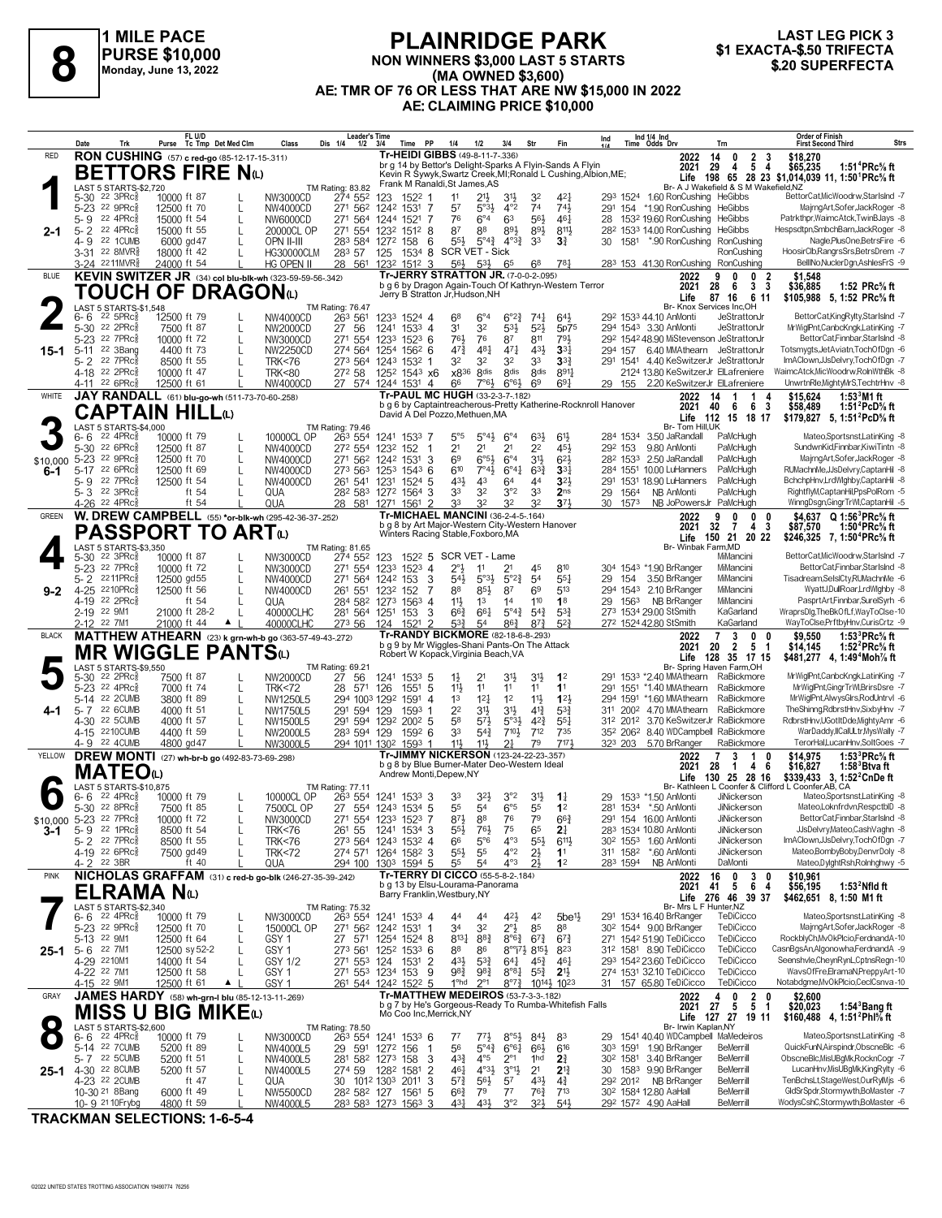

### **PLAINRIDGE PARK NON WINNERS \$3,000 LAST 5 STARTS (MA OWNED \$3,600) AE: TMR OF 76 OR LESS THAT ARE NW \$15,000 IN 2022 AE: CLAIMING PRICE \$10,000 1 EXACTA-\$.50 TRIFFECTA**<br> **81 EXACTA-\$.50 TRIFECTA**<br>
Monday, June 13, 2022<br> **820 SUPERFECTA**<br>
Monday, June 13, 2022<br> **821 EXACTA-\$.50 TRIFECTA**<br> **820 SUPERFECTA**



|                 | Date                 | Trk                                                                   |                            | FL U/D<br>Purse Tc Tmp Det Med Clm |              | Class                                                               | Leader's Time<br>Dis 1/4<br>$1/2$ $3/4$                       |                                      | Time PP                | 1/4                                                                                                  | 1/2                                       | 3/4                                                            | Str                                                    | Fin                                   | Ind                                                            |                      | Ind 1/4 Ind<br>Time Odds Drv                                                               | Trn                                            | <b>Order of Finish</b><br><b>First Second Third</b>                                 | <b>Strs</b>                                                             |
|-----------------|----------------------|-----------------------------------------------------------------------|----------------------------|------------------------------------|--------------|---------------------------------------------------------------------|---------------------------------------------------------------|--------------------------------------|------------------------|------------------------------------------------------------------------------------------------------|-------------------------------------------|----------------------------------------------------------------|--------------------------------------------------------|---------------------------------------|----------------------------------------------------------------|----------------------|--------------------------------------------------------------------------------------------|------------------------------------------------|-------------------------------------------------------------------------------------|-------------------------------------------------------------------------|
| <b>RED</b>      |                      | RON CUSHING (57) c red-go (85-12-17-15-311)                           |                            |                                    |              |                                                                     |                                                               |                                      |                        | Tr-HEIDI GIBBS (49-8-11-7-.336)                                                                      |                                           |                                                                |                                                        |                                       |                                                                |                      | 2022                                                                                       | 14<br>0                                        | $\frac{2}{5}$<br>\$18,270<br>- 3                                                    |                                                                         |
|                 |                      | <b>BETTORS FIRE NO</b>                                                |                            |                                    |              |                                                                     |                                                               |                                      |                        | br g 14 by Bettor's Delight-Sparks A Flyin-Sands A Flyin                                             |                                           |                                                                |                                                        |                                       | Kevin R Sywyk, Swartz Creek, MI; Ronald L Cushing, Albion, ME; |                      | 2021                                                                                       | 29<br>4                                        | \$65,235<br>- 4<br>Life 198 65 28 23 \$1.014.039 11. 1:50 <sup>1</sup> PRc% ft      | 1:51 <sup>4</sup> PRc <sup>5</sup> / <sub>8</sub> ft                    |
|                 |                      | LAST 5 STARTS-\$2,720                                                 |                            |                                    |              |                                                                     | TM Rating: 83.82                                              |                                      |                        | Frank M Ranaldi, St James, AS                                                                        |                                           |                                                                |                                                        |                                       |                                                                |                      |                                                                                            |                                                | Br- A J Wakefield & S M Wakefield, NZ                                               |                                                                         |
|                 |                      | 5-30 <sup>22</sup> 3PRc<br>5-23 22 9PRc                               | 10000 ft 87<br>12500 ft 70 |                                    |              | NW3000CD<br>NW4000CD                                                | 274 552<br>271 562                                            | 123<br>1242 1531                     | $152^2$ 1              | 11<br>57<br>-7                                                                                       | $21\frac{1}{2}$                           | 3 <sup>1</sup><br>$4^{\circ}2$<br>$5^{\circ}3\frac{1}{2}$      | 32<br>74                                               | 421<br>741                            |                                                                |                      | 293 1524 1.60 RonCushing HeGibbs<br>291 154 *1.90 RonCushing                               | HeGibbs                                        | BettorCat,MicWoodrw,StarIsInd -7<br>MajrngArt,Sofer,JackRoger -8                    |                                                                         |
|                 | 5-9                  | 22 4PRc                                                               | 15000 ft 54                |                                    | L            | NW6000CD                                                            | 271 564                                                       | 1244 1521                            |                        | 76<br>7                                                                                              | $6^{\circ}4$                              | 63                                                             | 56}                                                    | $46\frac{1}{4}$                       | 28                                                             |                      | 153 <sup>2</sup> 19.60 RonCushing                                                          | HeGibbs                                        | Patrkthpr, WaimcAtck, TwinBJays -8                                                  |                                                                         |
| 2-1             | $5 - 2$              | 22 4PRc<br>22 1CUMB                                                   | 15000 ft 55<br>6000 gd 47  |                                    |              | 20000CL OP                                                          | 271 554 1232<br>283 584 1272 158                              |                                      | 1512 8                 | 87<br>$55\frac{1}{2}$                                                                                | 88                                        | 893<br>$5^{\circ}4^{\frac{3}{4}}$ $4^{\circ}3^{\frac{3}{4}}$   | 893<br>33                                              | $8^{11}\frac{1}{2}$<br>3 <sup>3</sup> |                                                                | 30 1581              | 282 1533 14.00 RonCushing<br>* 90 RonCushing                                               | HeGibbs<br>RonCushing                          | Hespsdtpn,SmbchBarn,JackRoger -8<br>Nagle,PlusOne,BetrsFire -6                      |                                                                         |
|                 | 4- 9                 | 3-31 22 8MVR <sup>5</sup>                                             | 18000 ft 42                |                                    |              | OPN II-III<br><b>HG30000CLM</b>                                     | 283 57                                                        | 125                                  | 1534 8                 | 6                                                                                                    | <b>SCR VET - Sick</b>                     |                                                                |                                                        |                                       |                                                                |                      |                                                                                            | RonCushing                                     | HoosirClb,RangrsSrs,BetrsDrem -7                                                    |                                                                         |
|                 |                      | 3-24 2211MVR§                                                         | 24000 ft 54                |                                    |              | HG OPEN II                                                          | 28                                                            | 561 1232 1512 3                      |                        | 56}                                                                                                  | $5^{3}\frac{1}{2}$                        | 65                                                             | 68                                                     | 781                                   |                                                                |                      | 283 153 41.30 RonCushing RonCushing                                                        |                                                | BellINo, Nucler Dgn, Ashles FrS -9                                                  |                                                                         |
| <b>BLUE</b>     |                      |                                                                       |                            |                                    |              | KEVIN SWITZER JR (34) col blu-blk-wh (323-59-59-56-342)             |                                                               |                                      |                        | <b>Tr-JERRY STRATTON JR. (7-0-0-2-.095)</b><br>b g 6 by Dragon Again-Touch Of Kathryn-Western Terror |                                           |                                                                |                                                        |                                       |                                                                |                      | 2022<br>2021                                                                               | 9<br>$\mathbf{0}$<br>28<br>6                   | $\bf{0}$<br>-2<br>\$1,548<br>3<br>-3<br>\$36,885                                    | 1:52 $PRc$ % ft                                                         |
|                 |                      | TOUCH OF DRAGONω                                                      |                            |                                    |              |                                                                     |                                                               |                                      |                        | Jerry B Stratton Jr, Hudson, NH                                                                      |                                           |                                                                |                                                        |                                       |                                                                |                      | Life                                                                                       | 87<br>16                                       | \$105,988 5, 1:52 PRc% ft<br>6 11                                                   |                                                                         |
|                 | 6-6                  | LAST 5 STARTS-\$1.548<br>$22\,5$ PR $c_{8}^{5}$                       | 12500 ft 79                |                                    |              | NW4000CD                                                            | <b>TM Rating: 76.47</b><br>263 561                            | 1233 1524 4                          |                        | 68                                                                                                   | $6^\circ 4$                               | $6^{o}2^{3}$                                                   | $74\frac{1}{4}$                                        | 643                                   |                                                                |                      | 292 1533 44.10 AnMonti                                                                     | Br- Knox Services Inc.OH<br>JeStrattonJr       | BettorCatKingRylty,StarIsInd -7                                                     |                                                                         |
|                 |                      | 5-30 22 2PRc                                                          | 7500 ft 87                 |                                    |              | NW2000CD                                                            | 27 56                                                         | 1241                                 | 1533 4                 | 3 <sup>1</sup>                                                                                       | 32                                        | 53}                                                            | $5^{2}$                                                | 5p75                                  |                                                                |                      | 294 1543 3.30 AnMonti                                                                      | JeStrattonJr                                   | MrWiglPnt,CanbcKngk,LatinKing -7                                                    |                                                                         |
| 15-1            | $5 - 23$<br>$5 - 11$ | 22 7PRc<br>22 3Bang                                                   | 10000 ft 72<br>4400 ft 73  |                                    | L            | NW3000CD<br>NW2250CD                                                | 271 554<br>274 564 1254                                       | 1233                                 | $152^3$ 6<br>$156^2$ 6 | 76}                                                                                                  | 76<br>$4^{8}$<br>$47\frac{3}{4}$          | 87<br>$47\frac{1}{4}$                                          | 811<br>431                                             | 791<br>$33\frac{1}{4}$                |                                                                | 294 157              | 292 1542 48.90 MiStevenson JeStrattonJr<br>6.40 MMAthearn JeStrattonJr                     |                                                | BettorCat,Finnbar,StarIsInd -8<br>Totsmygts, JetAviatn, TochOfDgn -6                |                                                                         |
|                 | 5-2                  | 22 7PRc                                                               | 8500 ft 55                 |                                    |              | <b>TRK&lt;76</b>                                                    | 273 564 1243 1532 1                                           |                                      |                        | 32                                                                                                   | 3 <sup>2</sup>                            | 32                                                             | 33                                                     | $3^{32}$                              |                                                                |                      | 291 1541 4.40 KeSwitzerJr JeStrattonJr                                                     |                                                | ImAClown,JJsDelvry,TochOfDgn -7                                                     |                                                                         |
|                 |                      | 4-18 <sup>22</sup> 2PRc <sup>3</sup><br>4-11 22 6PRc§                 | 10000 ft 47<br>12500 ft 61 |                                    |              | <b>TRK&lt;80</b><br>NW4000CD                                        | 272 58<br>27 574 1244 1531 4                                  | 125 <sup>2</sup> 154 <sup>3</sup> x6 |                        | 66                                                                                                   | x836<br>8 <sub>dis</sub>                  | 8 <sup>dis</sup><br>$6^{\circ}6^{\circ}$<br>$7°6\frac{1}{2}$   | <b>8dis</b><br>69                                      | 8911<br>$69\frac{1}{4}$               |                                                                |                      | 2124 13.80 KeSwitzerJr ElLafreniere<br>29 155 2.20 KeSwitzerJr ElLafreniere                |                                                | /aimcAtck,MicWoodrw,RolnWthBk -8<br>UnwrtnRle, Mighty MrS, TechtrHnv -8             |                                                                         |
| WHITE           |                      | JAY RANDALL (61) blu-go-wh (511-73-70-60-.258)                        |                            |                                    |              |                                                                     |                                                               |                                      |                        | <b>Tr-PAUL MC HUGH (33-2-3-7-182)</b>                                                                |                                           |                                                                |                                                        |                                       |                                                                |                      | 2022                                                                                       | 14                                             | 1<br>\$15,624<br>4                                                                  | 1:53 $3$ M1 ft                                                          |
|                 |                      | <b>CAPTAIN HILL(L)</b>                                                |                            |                                    |              |                                                                     |                                                               |                                      |                        | David A Del Pozzo, Methuen, MA                                                                       |                                           |                                                                |                                                        |                                       | b g 6 by Captaintreacherous-Pretty Katherine-Rocknroll Hanover |                      | 2021                                                                                       | 40<br>- 6                                      | - 6<br>-3<br>\$58,489                                                               | 1:51 $^{2}$ PcD $\%$ ft                                                 |
|                 |                      | LAST 5 STARTS-\$4,000                                                 |                            |                                    |              |                                                                     | TM Rating: 79.46                                              |                                      |                        |                                                                                                      |                                           |                                                                |                                                        |                                       |                                                                |                      | Br- Tom Hill, UK                                                                           | Life 112 15 18 17                              | \$179,827 5, 1:51 <sup>2</sup> PcD% ft                                              |                                                                         |
|                 | 6-6<br>5-30          | $22$ 4PR $c_{8}^{5}$<br>22 6PRc                                       | 10000 ft 79<br>12500 ft 87 |                                    |              | 10000CL OP<br>NW4000CD                                              | 263 554<br>272 554                                            | 1241 1533 7<br>1232                  |                        | $5^{\circ}5$<br>2 <sup>1</sup><br>-1                                                                 | 2 <sup>1</sup>                            | $5^\circ 43$<br>$6^{\circ}4$<br>2 <sup>1</sup>                 | 633<br>2 <sup>2</sup>                                  | $6^{11}$<br>45}                       |                                                                | 284 1534<br>292 153  | 3.50 JaRandall<br>9.80 AnMonti                                                             | PaMcHugh<br>PaMcHugh                           | Mateo,Sportsnst,LatinKing -8<br>SundwnKid.Finnbar.KiwiTintn -8                      |                                                                         |
| \$10,000        | $5 - 23$             | 22 9PRc                                                               | 12500 ft 70                |                                    | L            | NW4000CD                                                            | 271 562                                                       | 1242 1531                            | 152                    | 69<br>3                                                                                              |                                           | $6^{\circ 5}$<br>$6^{\circ}4$                                  | 3 <sup>1</sup>                                         | 62}                                   |                                                                | 282 1533             | 2.50 JaRandall                                                                             | PaMcHugh                                       | MajrngArt,Sofer,JackRoger -8                                                        |                                                                         |
| 6-1             |                      | 5-17 22 6PRcs                                                         | 12500 ft 69                |                                    |              | NW4000CD                                                            | 273 563 1253                                                  |                                      | 1543                   | 610<br>6                                                                                             |                                           | 7°43<br>$6^{\circ}4^{\frac{1}{4}}$                             | $63\frac{3}{4}$                                        | 3 <sup>3</sup>                        |                                                                |                      | 284 1551 10.00 LuHanners                                                                   | PaMcHugh                                       | RUMachnMe, JJsDelvry, CaptanHil -8                                                  |                                                                         |
|                 |                      | 5-9 22 7PRcs<br>5-3 <sup>22</sup> 3PRc                                | 12500 ft 54                | ft 54                              |              | NW4000CD<br>QUA                                                     | 261 541 1231<br>282 583 1272 1564                             |                                      | 1524                   | 431<br>5<br>33<br>3                                                                                  | 43<br>32                                  | 64<br>3°2                                                      | 44<br>3 <sup>3</sup>                                   | $3^{21}$<br>2 <sub>ns</sub>           | 29                                                             | 1564                 | 291 1531 18.90 LuHanners<br>NB AnMonti                                                     | PaMcHugh<br>PaMcHugh                           | BchchpHnv,LrdWlghby,CaptanHil -8<br>RightflyM,CaptanHil,PpsPolRom -5                |                                                                         |
|                 | 4-26                 | $22$ 4PR $c_8^5$                                                      |                            | ft 54                              |              | QUA                                                                 | 28 581 1271 1561                                              |                                      |                        | 33<br>-2                                                                                             | 32                                        | 32                                                             | 32                                                     | $3^{7}$                               | 30                                                             | 1573                 |                                                                                            | NB JoPowersJr PaMcHugh                         | WinngDsgn,GingrTrWl,CaptanHil -5                                                    |                                                                         |
| <b>GREEN</b>    |                      |                                                                       |                            |                                    |              | W. DREW CAMPBELL (55) *or-blk-wh (295-42-36-37-252)                 |                                                               |                                      |                        | <b>Tr-MICHAEL MANCINI (36-2-4-5-164)</b><br>b q 8 by Art Major-Western City-Western Hanover          |                                           |                                                                |                                                        |                                       |                                                                |                      | 2022<br>2021                                                                               | 9<br>$\mathbf{0}$<br>32<br>$\overline{7}$      | \$4.637<br>0<br>0<br>$\overline{4}$<br>\$87,570<br>-3                               | $Q 1:56^3$ PRc% ft<br>1:50 <sup>4</sup> PRc% ft                         |
|                 |                      | PASSPORT TO ARTω                                                      |                            |                                    |              |                                                                     |                                                               |                                      |                        | Winters Racing Stable, Foxboro, MA                                                                   |                                           |                                                                |                                                        |                                       |                                                                |                      | Life                                                                                       | 150 21 20 22                                   | \$246,325 7, 1:50 <sup>4</sup> PRc <sup>5</sup> / <sub>8</sub> ft                   |                                                                         |
|                 |                      | LAST 5 STARTS-\$3.350<br>5-30 22 3PRc3                                | 10000 ft 87                |                                    |              | NW3000CD                                                            | TM Rating: 81.65<br>274 552                                   | 123                                  |                        | 1522 5 SCR VET - Lame                                                                                |                                           |                                                                |                                                        |                                       |                                                                |                      |                                                                                            | Br- Winbak Farm, MD<br>MiMancini               | BettorCat,MicWoodrw,StarIsInd -7                                                    |                                                                         |
|                 |                      | 5-23 22 7PRc                                                          | 10000 ft 72                |                                    |              | NW3000CD                                                            | 271 554                                                       | 1233                                 | $152^3$ 4              | $2^{\circ}$                                                                                          | 11                                        | 2 <sup>1</sup>                                                 | 45                                                     | 810                                   |                                                                |                      | 304 1543 *1.90 BrRanger                                                                    | MiMancini                                      | BettorCat,Finnbar,StarIsInd -8                                                      |                                                                         |
|                 | 5-2                  | 2211PRc<br>2210PRc                                                    | 12500 gd55<br>12500 ft 56  |                                    | L            | NW4000CD                                                            | 271 564                                                       | 1242 153                             |                        | 543<br>3<br>88                                                                                       | 85}                                       | $5°3\frac{1}{2}$<br>$5^{\circ}2^{\frac{3}{4}}$<br>87           | 5 <sup>4</sup><br>6 <sup>9</sup>                       | $55\frac{1}{4}$<br>513                | 29                                                             | 154                  | 3.50 BrRanger<br>294 1543 2.10 BrRanger                                                    | MiMancini<br>MiMancini                         | Tisadream,SelslCty,RUMachnMe -6<br>WyattJ,DullRoar,LrdWlghby -8                     |                                                                         |
| $9 - 2$         | $4 - 25$             | 4-19 22 2PRcs                                                         |                            | ft $54$                            |              | NW4000CD<br>QUA                                                     | 261 551<br>284 582 1273                                       | 1232                                 | 152<br>1563            | 7<br>$11\frac{1}{2}$<br>$\overline{4}$                                                               | 1 <sup>3</sup>                            | 1 <sup>4</sup>                                                 | 110                                                    | 1 <sup>8</sup>                        |                                                                |                      | 29 156 <sup>3</sup> NB BrRanger                                                            | MiMancini                                      | PasprtArt,Finnbar,SurelSyrh -6                                                      |                                                                         |
|                 |                      | 2-19 22 9M1                                                           |                            | 21000 ft 28-2                      |              | 40000CLHC                                                           | 281 564 1251                                                  |                                      | 153                    | $66\frac{3}{4}$<br>3                                                                                 | 661                                       | $5^{\circ}4^{\circ}$                                           | $5^{4}$                                                | $5^{3}$                               |                                                                |                      | 273 1534 29.00 StSmith                                                                     | KaGarland                                      | WraprsDlg,TheBkOfLf,WayToClse-10                                                    |                                                                         |
| <b>BLACK</b>    |                      | 2-12 22 7M1                                                           | 21000 ft 44                | $\blacktriangle$                   |              | 40000CLHC<br>MATTHEW ATHEARN (23) k grn-wh-b go (363-57-49-43-.272) | 273 56                                                        | 124                                  | 1521                   | $\overline{2}$<br>Tr-RANDY BICKMORE (82-18-6-8-293)                                                  | $5^{3}_{4}$<br>5 <sup>4</sup>             | $86\frac{3}{4}$                                                | $8^{73}$                                               | $5^{2}$                               |                                                                |                      | 272 1524 42.80 StSmith<br>2022                                                             | KaGarland<br>3<br>7                            | WayToClse,PrftbyHnv,CurisCrtz -9<br>$\mathbf{0}$<br>\$9,550<br>- 0                  | 1:53 ${}^{3}$ PRc ${}^{5}$ s ft                                         |
|                 |                      | MR WIGGLE PANTSധ                                                      |                            |                                    |              |                                                                     |                                                               |                                      |                        | b g 9 by Mr Wiggles-Shani Pants-On The Attack<br>Robert W Kopack, Virginia Beach, VA                 |                                           |                                                                |                                                        |                                       |                                                                |                      | 2021                                                                                       | $\overline{2}$<br>20                           | 5<br>\$14,145<br>-1                                                                 | 1:52 $^{2}$ PRc $\%$ ft                                                 |
|                 |                      | LAST 5 STARTS-\$9,550                                                 |                            |                                    |              |                                                                     | TM Rating: 69.21                                              |                                      |                        |                                                                                                      |                                           |                                                                |                                                        |                                       |                                                                |                      |                                                                                            | Life 128 35 17 15<br>Br- Spring Haven Farm, OH | \$481,277 4, 1:49 <sup>4</sup> Moh <sup>7</sup> / <sub>8</sub> ft                   |                                                                         |
|                 |                      | 5-30 22 2PRcs<br>5-23 22 4PRc                                         | 7500 ft 87<br>7000 ft 74   |                                    |              | NW2000CD                                                            | 27 56<br>28                                                   | 1241                                 | $153^3$ 5<br>1551 5    | $1\frac{1}{2}$<br>11}                                                                                | 21<br>11                                  | 31,<br>11                                                      | 3 <sup>1</sup><br>11                                   | 1 <sup>2</sup><br>11                  |                                                                |                      | 291 1533 *2.40 MMAthearn<br>291 1551 *1.40 MMAthearn                                       | RaBickmore<br>RaBickmore                       | MrWiglPnt,CanbcKngk,LatinKing -7<br>MrWiglPnt, GingrTrWl, BrirsDsre -7              |                                                                         |
|                 |                      | 5-14 22 2CUMB                                                         | 3800 ft 89                 |                                    | L            | <b>TRK&lt;72</b><br>NW1250L5                                        | 571<br>294 1003 1292                                          | 126                                  | 1591                   | 1 <sup>3</sup><br>4                                                                                  | 12 <sup>1</sup>                           | 1 <sup>2</sup>                                                 | 11}                                                    | $1^{2}$                               |                                                                |                      | 294 1591 *1.60 MMAthearn                                                                   | RaBickmore                                     | MrWiglPnt,AlwysGlrs,RodUntrvl -6                                                    |                                                                         |
| 4-1             | $5 - 7$              | 22 6CUMB                                                              | 4000 ft 51                 |                                    |              | NW1750L5                                                            | 291 594 129                                                   |                                      | 1593                   | 2 <sup>2</sup>                                                                                       | 3 <sup>1</sup>                            | 3 <sup>1</sup>                                                 | $4^{13}$                                               | $5^{3}\frac{3}{4}$                    |                                                                |                      | 311 2002 4.70 MMAthearn                                                                    | RaBickmore                                     | TheShinng,RdbrstHnv,SixbyHnv -7                                                     |                                                                         |
|                 |                      | 4-30 22 5CUMB<br>4-15 2210 CUMB                                       | 4000 ft 57<br>4400 ft 59   |                                    |              | NW1500L5<br>NW2000L5                                                | 291 594 1292<br>283 594 129                                   |                                      | $200^2$ 5<br>$159^2$ 6 | 58<br>33                                                                                             | $5^{7}\frac{1}{2}$<br>$5^{4}$             | $5°3\frac{1}{2}$<br>$7^{10}$                                   | $4^{2}\frac{3}{4}$<br>712                              | $55\frac{1}{4}$<br>735                |                                                                | 312 2012             | 3.70 KeSwitzerJr RaBickmore<br>35 <sup>2</sup> 206 <sup>2</sup> 8.40 WDCampbell RaBickmore |                                                | RdbrstHnv,UGotItDde,MightyAmr -6<br>WarDaddy,IICalULtr,MysWally -7                  |                                                                         |
|                 |                      | 4-9 22 4 CUMB                                                         | 4800 gd 47                 |                                    |              | NW3000L5                                                            | 294 1011 1302                                                 |                                      | 1593                   | 11<br>-1                                                                                             | 11}                                       | 21                                                             | 79                                                     | 7171                                  |                                                                | 323 203              | 5.70 BrRanger                                                                              | RaBickmore                                     | TerorHal.LucanHnv.SoltGoes -7                                                       |                                                                         |
| YELLOW          |                      | DREW MONTI (27) wh-br-b go (492-83-73-69-298)                         |                            |                                    |              |                                                                     |                                                               |                                      |                        | <b>Tr-JIMMY NICKERSON</b> (123-24-22-23-.357)<br>b g 8 by Blue Burner-Mater Deo-Western Ideal        |                                           |                                                                |                                                        |                                       |                                                                |                      | 2022<br>2021                                                                               | 7<br>3<br>28<br>-1                             | 1<br>0<br>\$14,975<br>6<br>\$16,827<br>4                                            | 1:53 <sup>3</sup> PRc <sup>5</sup> / <sub>8</sub> ft<br>$1:583B$ tva ft |
|                 |                      | MATEOധ                                                                |                            |                                    |              |                                                                     |                                                               |                                      |                        | Andrew Monti, Depew, NY                                                                              |                                           |                                                                |                                                        |                                       |                                                                |                      | Life                                                                                       | 130 25 28 16                                   | \$339.433 3. 1:52 <sup>2</sup> CnDe ft                                              |                                                                         |
|                 |                      | LAST 5 STARTS-\$10,875<br>$6 - 6$ 22 4PRc $\frac{5}{8}$               | 10000 ft 79                |                                    |              | 10000CL OP                                                          | TM Rating: 77.11<br>263 554 1241 1533 3                       |                                      |                        | 33                                                                                                   | 3 <sup>2</sup>                            | 3°2                                                            | 3 <sup>1</sup>                                         | $1\frac{1}{4}$                        |                                                                |                      | 29 153 <sup>3</sup> *1.50 AnMonti                                                          | <b>JiNickerson</b>                             | Br- Kathleen L Coonfer & Clifford L Coonfer, AB, CA<br>Mateo,Sportsnst,LatinKing -8 |                                                                         |
|                 |                      | 5-30 22 8PRc                                                          | 7500 ft 85                 |                                    |              | 7500CL OP                                                           | 27 554 1243 1534 5                                            |                                      |                        | 55                                                                                                   | 5 <sup>4</sup>                            | $6^{\circ 5}$                                                  | 55                                                     | 1 <sup>2</sup>                        |                                                                |                      | 281 1534 *.50 AnMonti                                                                      | JiNickerson                                    | MateoLoknfrdvn.RespctblD -8                                                         |                                                                         |
| \$10,000<br>3-1 |                      | 5-23 22 7PRcs<br>5-9 22 1PRc <sup>3</sup>                             | 10000 ft 72<br>8500 ft 54  |                                    |              | NW3000CD<br><b>TRK&lt;76</b>                                        | 271 554 1233 1523 7<br>261 55                                 | 1241 1534 3                          |                        | $55\frac{1}{2}$                                                                                      | $8^{71}$<br>88<br>761                     | 76<br>75                                                       | 79<br>65                                               | $66\frac{3}{4}$<br>2 <sup>1</sup>     |                                                                |                      | 291 154 16.00 AnMonti<br>283 1534 10.80 AnMonti                                            | JiNickerson<br>JiNickerson                     | BettorCat,Finnbar,StarIsInd -8<br>JJsDelvry,Mateo,CashVaghn -8                      |                                                                         |
|                 |                      | 5-2 22 7PRc3                                                          | 8500 ft 55                 |                                    |              | <b>TRK&lt;76</b>                                                    | 273 564 1243 1532 4                                           |                                      |                        | 66                                                                                                   | $5^{\circ}6$                              | $4^{\circ}3$                                                   | $55\frac{1}{2}$                                        | $6^{11}\frac{1}{2}$                   |                                                                |                      | 30 <sup>2</sup> 155 <sup>3</sup> 1.60 AnMonti                                              | JiNickerson                                    | ImAClown,JJsDelvry,TochOfDgn -7                                                     |                                                                         |
|                 |                      | 4-19 22 6PRc <sup>5</sup><br>4-2 <sup>22</sup> 3BR                    | 7500 gd 49                 | ft $40$                            |              | <b>TRK&lt;72</b><br>QUA                                             | 274 571 1264 1582 3<br>294 100                                | 1303 1594 5                          |                        | $55\frac{1}{2}$<br>55                                                                                | 55<br>5 <sup>4</sup>                      | $4^{\circ}2$<br>$4^{\circ}3$                                   | $2\frac{1}{2}$<br>2 <sup>1</sup>                       | 1 <sup>1</sup><br>1 <sup>2</sup>      |                                                                | 311 1582<br>283 1594 | *.60 AnMonti<br>NB AnMonti                                                                 | JiNickerson<br>DaMonti                         | Mateo,BombyBoby,DenvrDoly -8<br>Mateo,DylghtRsh,Rolnhghwy -5                        |                                                                         |
| <b>PINK</b>     |                      |                                                                       |                            |                                    |              | NICHOLAS GRAFFAM (31) c red-b go-blk (246-27-35-39-.242)            |                                                               |                                      |                        | Tr-TERRY DI CICCO (55-5-8-2-.184)                                                                    |                                           |                                                                |                                                        |                                       |                                                                |                      | 2022                                                                                       | 16<br>$\mathbf 0$                              | 3 <sub>0</sub><br>\$10,961                                                          |                                                                         |
|                 |                      | ELRAMA Nω                                                             |                            |                                    |              |                                                                     |                                                               |                                      |                        | b g 13 by Elsu-Lourama-Panorama<br>Barry Franklin, Westbury, NY                                      |                                           |                                                                |                                                        |                                       |                                                                |                      | 2021                                                                                       | 41<br>5<br>Life 276 46 39 37                   | 6<br>\$56,195<br>-4<br>\$462,651 8, 1:50 M1 ft                                      | 1:53 $^2$ Nfld ft                                                       |
|                 |                      | LAST 5 STARTS-\$2,340                                                 |                            |                                    |              |                                                                     | TM Rating: 75.32                                              |                                      |                        |                                                                                                      |                                           |                                                                |                                                        |                                       |                                                                |                      |                                                                                            | Br- Mrs L F Hunter, NZ                         |                                                                                     |                                                                         |
|                 |                      | $6 - 6$ 22 4PRc $\frac{5}{8}$<br>5-23 <sup>22</sup> 9PRc <sup>5</sup> | 10000 ft 79<br>12500 ft 70 |                                    | $\mathbf{L}$ | NW3000CD<br>15000CL OP                                              | 263 554 1241 1533 4<br>271 562 1242 1531 1                    |                                      |                        | 44<br>3 <sup>4</sup>                                                                                 | 44<br>3 <sup>2</sup>                      | 42}<br>$2^{\circ}1\overline{2}$                                | 42<br>85                                               | 5be <sup>11</sup><br>88               |                                                                |                      | 291 1534 16.40 BrRanger<br>30 <sup>2</sup> 1544 9.00 BrRanger                              | TeDiCicco<br>TeDiCicco                         | Mateo,Sportsnst,LatinKing -8<br>MajrngArt,Sofer,JackRoger -8                        |                                                                         |
|                 |                      | 5-13 22 9M1                                                           | 12500 ft 64                |                                    | $\mathsf{L}$ | GSY <sub>1</sub>                                                    | 27 571                                                        | 1254 1524 8                          |                        |                                                                                                      | $8^{13}\frac{1}{4}$<br>$8^{8}\frac{3}{4}$ |                                                                | $8^{\circ}6^{\frac{3}{4}}$ 6 <sup>7</sup> <sup>3</sup> | $6^{73}$                              |                                                                |                      | 271 1542 51.90 TeDiCicco                                                                   | TeDiCicco                                      | RockblyCh,MvOkPlcio,FerdnandA-10                                                    |                                                                         |
| 25-1            |                      | 5-6 22 7M1                                                            |                            | 12500 sy 52-2                      |              | GSY <sub>1</sub>                                                    | 273 561 1252 1533 6                                           |                                      |                        | 88                                                                                                   | 86                                        |                                                                | $8^{\circ\circ}$ $73\,8^{153}$                         | 823                                   |                                                                |                      | 312 1581 8.90 TeDiCicco<br>293 1542 23.60 TeDiCicco                                        | TeDiCicco<br>TeDiCicco                         | CasnBgsAn,Algonowha,FerdnandA -9<br>Seenshvle.ChevnRvnL.CptnsRean-10                |                                                                         |
|                 |                      | 4-29 2210M1<br>4-22 <sup>22</sup> 7M1                                 | 14000 ft 54<br>12500 ft 58 |                                    |              | GSY 1/2<br>GSY <sub>1</sub>                                         | 271 553 124<br>271 553 1234 153                               |                                      | 1531                   | $4^{3}\frac{1}{2}$<br>2<br>983<br>9                                                                  | $5^{3}\frac{3}{4}$<br>98}                 | $64\frac{1}{4}$<br>$8^{\circ}8^{\frac{1}{4}}$                  | $45\frac{3}{4}$<br>$55\frac{3}{4}$                     | $46\frac{1}{4}$<br>2 <sup>11</sup>    |                                                                |                      | 274 1531 32.10 TeDiCicco                                                                   | TeDiCicco                                      | WavsOfFre,ElramaN,PreppyArt-10                                                      |                                                                         |
|                 |                      | 4-15 22 9M1                                                           | 12500 ft 61                | ▲                                  |              | GSY <sub>1</sub>                                                    | 261 544 1242 1522 5                                           |                                      |                        |                                                                                                      | 1 <sup>o</sup> hd<br>$2^{\circ}1$         | $8^{\circ}7^{\circ}2$                                          |                                                        | 10143 1023                            |                                                                |                      | 31 157 65.80 TeDiCicco                                                                     | TeDiCicco                                      | Notabdgme, MvOkPlcio, CeclCsnva-10                                                  |                                                                         |
| GRAY            |                      | JAMES HARDY (58) wh-grn-I blu (85-12-13-11-269)                       |                            |                                    |              |                                                                     |                                                               |                                      |                        | <b>Tr-MATTHEW MEDEIROS (53-7-3-3-182)</b>                                                            |                                           |                                                                |                                                        |                                       | b g 7 by He's Gorgeous-Ready To Rumba-Whitefish Falls          |                      | 2022<br>2021                                                                               | 0<br>4<br>27<br>5                              | $\mathbf{2}$<br>\$2,600<br>0<br>5<br>\$20,023<br>-1                                 | 1:54 <sup>3</sup> Bang ft                                               |
|                 |                      | MISS U BIG MIKEധ                                                      |                            |                                    |              |                                                                     |                                                               |                                      |                        | Mo Coo Inc, Merrick, NY                                                                              |                                           |                                                                |                                                        |                                       |                                                                |                      |                                                                                            | Life 127 27 19 11                              | \$160,488 4, 1:51 <sup>2</sup> Phl <sup>5</sup> / <sub>8</sub> ft                   |                                                                         |
|                 |                      | LAST 5 STARTS-\$2,600<br>$6 - 6$ 22 4PRc $\frac{5}{8}$                | 10000 ft 79                |                                    |              | NW3000CD                                                            | TM Rating: 78.50<br>263 554 1241 1533 6                       |                                      |                        | $7^7$                                                                                                | $77\frac{1}{2}$                           | $8^{\circ 5\frac{1}{2}}$                                       | $84\frac{1}{2}$                                        | 83                                    |                                                                |                      | 29 1541 40.40 WDCampbell MaMedeiros                                                        | Br- Irwin Kaplan, NY                           | Mateo,Sportsnst,LatinKing -8                                                        |                                                                         |
|                 |                      | 5-14 22 7 CUMB                                                        | 5200 ft 89                 |                                    | L            | NW4000L5                                                            | 29 591                                                        | 1272 156                             |                        | 56<br>-1                                                                                             |                                           | $5^\circ 4\frac{3}{4}$<br>$6^{\circ}6^{\frac{1}{4}}$           | $66\frac{1}{2}$                                        | 616                                   |                                                                |                      | 303 1591 1.90 BrRanger                                                                     | <b>BeMerrill</b>                               | QuickFunN,Airspindr,ObscneBlc -6                                                    |                                                                         |
| 25-1            |                      | 5-7 22 5CUMB<br>4-30 22 8 CUMB                                        | 5200 ft 51<br>5200 ft 57   |                                    | L<br>L       | NW4000L5<br>NW4000L5                                                | 281 582 1273 158<br>274 59 1282 1581                          |                                      |                        | $4^{3}\frac{3}{4}$<br>3<br>$\overline{2}$<br>$46\frac{1}{4}$                                         | $4^{\circ}5$                              | $2^{\circ}1$<br>$4^{\circ}3\frac{1}{2}$<br>$3^{01}\frac{1}{2}$ | 1 <sup>hd</sup><br>2 <sup>1</sup>                      | 2 <sup>3</sup><br>$2^{13}$            |                                                                | 30 <sup>2</sup> 1581 | 3.40 BrRanger<br>30 1583 9.90 BrRanger                                                     | <b>BeMerrill</b><br><b>BeMerrill</b>           | ObscneBlc, MisUBgMk, RocknCogr -7<br>LucanHnv, MisUBgMk, KingRylty -6               |                                                                         |
|                 |                      | 4-23 22 2CUMB                                                         |                            | ft 47                              |              | QUA                                                                 | 30 1012 1303 2011                                             |                                      |                        | $5^{7}$<br>3                                                                                         | $56\frac{1}{2}$                           | 57                                                             | $43\frac{1}{2}$                                        | $4\frac{3}{4}$                        |                                                                |                      | 29 <sup>2</sup> 201 <sup>2</sup> NB BrRanger                                               | <b>BeMerrill</b>                               | TenBchsLt,StageWest,OurRyMjs -6                                                     |                                                                         |
|                 |                      | 10-30 <sup>21</sup> 8Bang<br>10-9 21 10 Frybg                         | 6000 ft 49<br>4800 ft 59   |                                    |              | NW5500CD<br>NW4000L5                                                | 28 <sup>2</sup> 58 <sup>2</sup> 127 1561<br>283 583 1273 1563 |                                      |                        | $66\frac{3}{4}$<br>5<br>3                                                                            | 79<br>431<br>431                          | $7^7$<br>3°2                                                   | $76\frac{3}{4}$<br>323                                 | $7^{13}$<br>543                       |                                                                |                      | 30 <sup>2</sup> 1584 12.80 AaHall<br>292 1572 4.90 AaHal                                   | <b>BeMerrill</b><br><b>BeMerrill</b>           | GldSrSpdr,Stormywth,BoMaster -7<br>WodysCshC,Stormywth,BoMaster -6                  |                                                                         |

**TRACKMAN SELECTIONS: 1-6-5-4**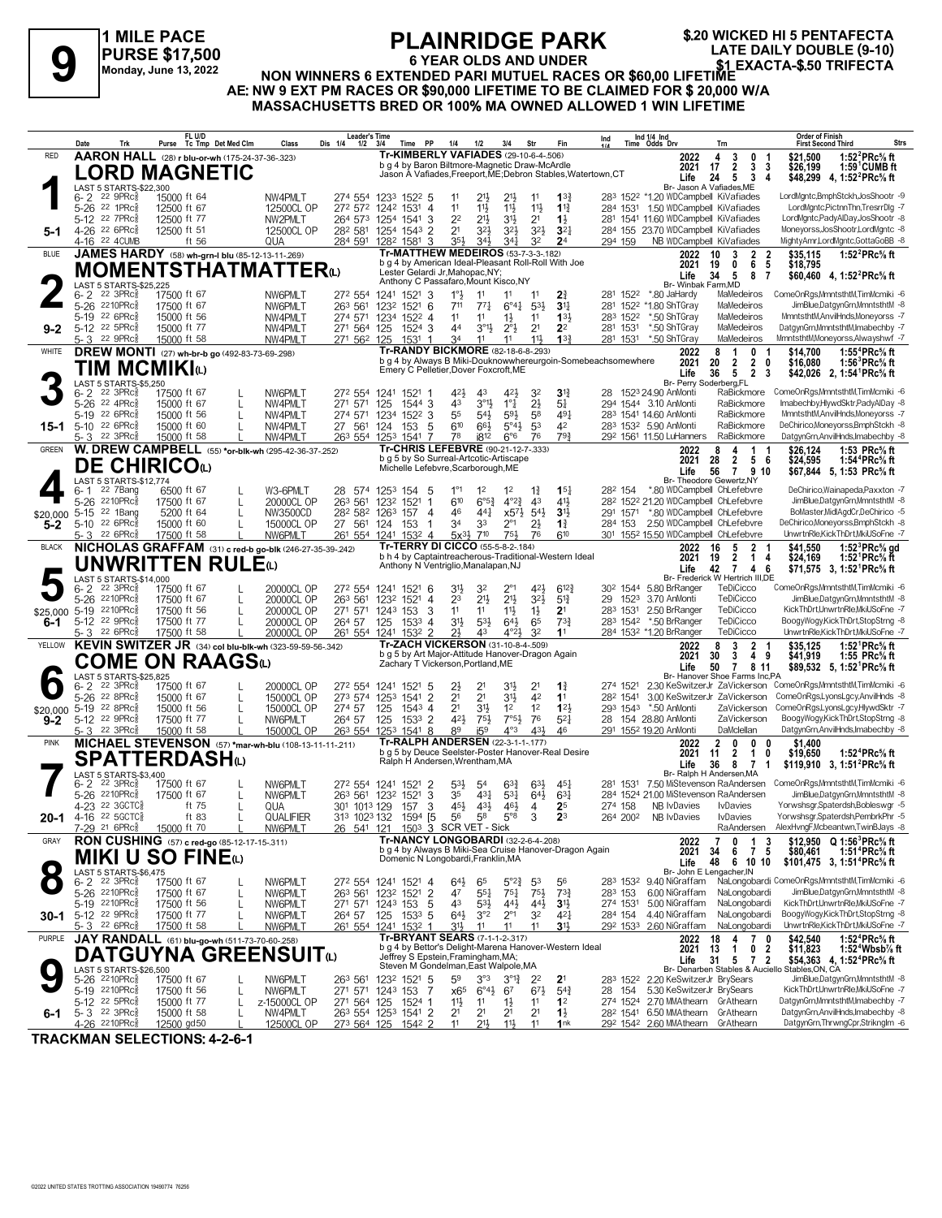**1 MILE PACE PURSE \$17,500 Monday, June 13, 2022**

# **PLAINRIDGE PARK**

**\$.20 WICKED HI 5 PENTAFECTA**

# **6 YEAR OLDS AND UNDER** FLAINNIDUL FARK<br>
FLAINNIDUL FARK<br>
Monday, June 13, 2022<br>
Monday, June 13, 2022<br> **ALL NON WINNERS 6 EXTENDED PARI MUTUEL RACES OR \$60,00 LIFETIME**<br>
ALL NON WINNERS 6 EXTENDED PARI MUTUEL RACES OR \$60,00 LIFETIME<br>
TO BE CLAI **AE: NW 9 EXT PM RACES OR \$90,000 LIFETIME TO BE CLAIMED FOR \$ 20,000 W/A MASSACHUSETTS BRED OR 100% MA OWNED ALLOWED 1 WIN LIFETIME**

|               | Trk<br>Date                                                  | FL U/D<br>Purse Tc Tmp Det Med Clm                                      | Dis 1/4<br>Class                                         | <b>Leader's Time</b><br>$1/2$ $3/4$ | Time PP                                                                                |                | 1/4                      | 1/2                                        | 3/4                                             | Str                               | Fin                                                           | <b>Order of Finish</b><br>Ind 1/4 Ind<br>Time Odds Drv<br>Ind<br><b>First Second Third</b><br><b>Strs</b><br>Trn                                                                                                                        |
|---------------|--------------------------------------------------------------|-------------------------------------------------------------------------|----------------------------------------------------------|-------------------------------------|----------------------------------------------------------------------------------------|----------------|--------------------------|--------------------------------------------|-------------------------------------------------|-----------------------------------|---------------------------------------------------------------|-----------------------------------------------------------------------------------------------------------------------------------------------------------------------------------------------------------------------------------------|
| <b>RED</b>    |                                                              | AARON HALL (28) r blu-or-wh (175-24-37-36-.323)                         |                                                          |                                     | <b>Tr-KIMBERLY VAFIADES</b> (29-10-6-4-.506)                                           |                |                          |                                            |                                                 |                                   |                                                               | 0<br>1:52 $^{2}$ PRc $\%$ ft<br>2022<br>4<br>3<br>\$21.500<br>-1                                                                                                                                                                        |
|               |                                                              | <b>LORD MAGNETIC</b>                                                    |                                                          |                                     | b g 4 by Baron Biltmore-Magnetic Draw-McArdle                                          |                |                          |                                            |                                                 |                                   | Jason A Vafiades, Freeport, ME; Debron Stables, Watertown, CT | 17<br>$\overline{2}$<br>3<br>$1:59^{\circ}$ CUMB ft<br>2021<br>- 3<br>\$26,199<br>24<br>5 <sub>5</sub><br>3<br>Life<br>4<br>\$48,299 4, 1:52 <sup>2</sup> PRc <sup>5</sup> / <sub>8</sub> ft                                            |
|               | LAST 5 STARTS-\$22.300                                       |                                                                         |                                                          |                                     |                                                                                        |                |                          |                                            |                                                 |                                   |                                                               | Br- Jason A Vafiades.ME                                                                                                                                                                                                                 |
|               | $6 - 2$ 22 9PRc $\frac{5}{8}$                                | 15000 ft 64                                                             | NW4PMLT                                                  |                                     | 274 554 1233 1522 5                                                                    |                | 11                       | 213                                        | 2 <sup>1</sup>                                  | 11                                | $13\frac{3}{4}$                                               | LordMgntc,BmphStckh,JosShootr -9<br>283 1522 *1.20 WDCampbell KiVafiades                                                                                                                                                                |
|               | 5-26 22 1PRcs<br>5-12 22 7PRcs                               | 12500 ft 67<br>12500 ft 77                                              | 12500CL OP<br>NW2PMLT                                    |                                     | 272 572 1242 1531<br>26 <sup>4</sup> 57 <sup>3</sup> 1254 1541                         | 4<br>3         | 11<br>2 <sup>2</sup>     | $11\frac{1}{2}$<br>$21\frac{1}{2}$         | $11\frac{1}{2}$<br>3 <sup>1</sup>               | 11}<br>2 <sup>1</sup>             | $1\frac{13}{4}$<br>$1\frac{1}{2}$                             | 284 1531 1.50 WDCampbell KiVafiades<br>LordMgntc,PictnnThn,TresrrDlg -7<br>281 1541 11.60 WDCampbell KiVafiades<br>LordMgntc,PadyAlDay,JosShootr -8                                                                                     |
| $5-1$         | 4-26 22 6PRc <sup>5</sup>                                    | 12500 ft 51                                                             | 12500CL OP                                               |                                     | 28 <sup>2</sup> 581 1254 1543 2                                                        |                | 2 <sup>1</sup>           | 32}                                        | 3 <sup>2</sup>                                  | $3^{2}\frac{1}{2}$                | $3^{2}$                                                       | Moneyorss, JosShootr, LordMgntc -8<br>284 155 23.70 WDCampbell KiVafiades                                                                                                                                                               |
|               | 4-16 22 4 CUMB                                               | ft 56                                                                   | QUA                                                      |                                     | 284 591 1282 1581                                                                      | 3              | 35}                      | 34}                                        | $34\frac{1}{4}$                                 | 32                                | 2 <sup>4</sup>                                                | NB WDCampbell KiVafiades<br>MightyAmr,LordMgntc,GottaGoBB -8<br>294 159                                                                                                                                                                 |
| <b>BLUE</b>   |                                                              | JAMES HARDY (58) wh-grn-I blu (85-12-13-11-269)                         |                                                          |                                     | <b>Tr-MATTHEW MEDEIROS (53-7-3-3-182)</b>                                              |                |                          |                                            |                                                 |                                   |                                                               | 2022<br>10<br>2<br>-2<br>\$35,115<br>1:52 $^{2}$ PRc $\%$ ft<br>3                                                                                                                                                                       |
|               |                                                              | <b>MOMENTSTHATMATTER</b> to                                             |                                                          |                                     | b g 4 by American Ideal-Pleasant Roll-Roll With Joe<br>Lester Gelardi Jr, Mahopac, NY; |                |                          |                                            |                                                 |                                   |                                                               | 5<br>2021<br>19<br>6<br>\$18,795<br>0<br>34<br>5<br>8<br>\$60,460 4, 1:52 <sup>2</sup> PRc <sup>5</sup> / <sub>8</sub> ft<br>Life<br>7                                                                                                  |
|               | LAST 5 STARTS-\$25,225                                       |                                                                         |                                                          |                                     | Anthony C Passafaro, Mount Kisco, NY                                                   |                |                          |                                            |                                                 |                                   |                                                               | Br- Winbak Farm, MD                                                                                                                                                                                                                     |
|               | 22 3PRc <sup>3</sup><br>6-2                                  | 17500 ft 67                                                             | NW6PMLT<br>272 554 1241                                  |                                     | 1521                                                                                   | 3              | $1^{\circ}$              | 11                                         | 11                                              | 11                                | 21                                                            | ComeOnRgs,MmntsthtM,TimMcmiki -6<br>281 1522 *.80 JaHardy<br>MaMedeiros                                                                                                                                                                 |
|               | 5-26 2210PRc <sup>5</sup><br>5-19 22 6PRc <sup>5</sup>       | 17500 ft 67<br>15000 ft 56                                              | NW6PMLT<br>263 561<br>NW4PMLT<br>274 571 1234            |                                     | 1232 1521<br>$152^2$ 4                                                                 | 6              | 711<br>11                | $77\frac{1}{4}$<br>11                      | $6^{\circ}4^{\frac{1}{4}}$<br>$1\frac{1}{2}$    | $5^{3}$<br>11                     | 3 <sup>11</sup><br>133                                        | MaMedeiros<br>JimBlue,DatgynGrn,MmntsthtM -8<br>281 1522 *1.80 ShTGray<br>MmntsthtM,AnvilHnds,Moneyorss -7<br>283 1522<br>*.50 ShTGray<br>MaMedeiros                                                                                    |
| $9 - 2$       | 5-12 22 5PRc                                                 | 15000 ft 77                                                             | NW4PMLT<br>271 564 125                                   |                                     | 1524 3                                                                                 |                | 44                       | $3^{\circ}1\frac{1}{2}$                    | $2^{\circ}$                                     | 2 <sup>1</sup>                    | 2 <sup>2</sup>                                                | DatgynGrn,MmntsthtM,Imabechby -7<br>281 1531<br>*.50 ShTGray<br>MaMedeiros                                                                                                                                                              |
|               | 5-3 22 9PRc                                                  | 15000 ft 58                                                             | 271 562 125<br>NW4PMLT                                   |                                     | 1531                                                                                   | -1             | 34                       | 11                                         | 11                                              | 11}                               | $13\frac{3}{4}$                                               | MaMedeiros<br>MmntsthtM.Monevorss.Alwayshwf -7<br>281 1531<br>*.50 ShTGray                                                                                                                                                              |
| <b>WHITE</b>  |                                                              | <b>DREW MONTI</b> (27) wh-br-b go (492-83-73-69-.298)                   |                                                          |                                     | Tr-RANDY BICKMORE (82-18-6-8-.293)                                                     |                |                          |                                            |                                                 |                                   |                                                               | 2022<br>1:55 ${}^4$ PRc ${}^5\!$ sft<br>8<br>1<br>0<br>\$14.700<br>-1                                                                                                                                                                   |
|               | TIM MCMIKIധ                                                  |                                                                         |                                                          |                                     | Emery C Pelletier, Dover Foxcroft, ME                                                  |                |                          |                                            |                                                 |                                   |                                                               | b g 4 by Always B Miki-Douknowwhereurgoin-Somebeachsomewhere<br>2 <sub>0</sub><br>2021<br>20<br>$\mathbf{2}$<br>\$16,080<br>1:56 ${}^3$ PRc ${}^5\!\!$ ft<br>5 <sub>5</sub><br>2 <sub>3</sub><br>Life<br>36<br>\$42,026 2, 1:54 PRc% ft |
|               | LAST 5 STARTS-\$5,250                                        |                                                                         |                                                          |                                     |                                                                                        |                |                          |                                            |                                                 |                                   |                                                               | Br- Perry Soderberg,FL                                                                                                                                                                                                                  |
|               | $6 - 2$ 22 3PRc $\frac{5}{8}$<br>5-26 22 4PRc3               | 17500 ft 67                                                             | NW6PMLT<br>272 554                                       |                                     | 1521<br>1241                                                                           |                | 42}<br>43                | 43<br>$3^{01}$                             | $4^{2}\frac{1}{2}$<br>$1^{\circ}$ $\frac{1}{4}$ | 32                                | $3\frac{13}{4}$                                               | RaBickmore ComeOnRgs,MmntsthtM,TimMcmiki -6<br>1523 24.90 AnMonti<br>28<br>Imabechby,HlywdSktr,PadyAlDay -8<br>RaBickmore                                                                                                               |
|               | 5-19 22 6PRcs                                                | 15000 ft 67<br>L<br>15000 ft 56<br>$\mathbf{L}$                         | 271 571<br>NW4PMLT<br>NW4PMLT<br>274 571                 | 125                                 | 1544 3<br>1234<br>$152^2$ 3                                                            |                | 55                       | 54}                                        | 593                                             | $2\frac{1}{2}$<br>5 <sup>8</sup>  | $5\frac{1}{4}$<br>491                                         | 294 1544 3.10 AnMonti<br>RaBickmore<br>MmntsthtM,AnvilHnds,Moneyorss -7<br>283 1541 14.60 AnMonti                                                                                                                                       |
| $15 - 1$      | 5-10 22 6PRc $\frac{5}{8}$                                   | 15000 ft 60                                                             | 27 561<br>NW4PMLT                                        | 124                                 | 153                                                                                    | -5             | 610                      | 66}                                        | $5^{\circ}4\frac{1}{2}$                         | 53                                | 42                                                            | RaBickmore<br>DeChirico,Moneyorss,BmphStckh -8<br>283 1532 5.90 AnMonti                                                                                                                                                                 |
|               | 5-3 <sup>22</sup> 3PRc <sup>3</sup>                          | 15000 ft 58                                                             | NW4PMLT                                                  |                                     | 263 554 1253 1541 7                                                                    |                | 78                       | i8 <sup>12</sup>                           | $6^{\circ}6$                                    | 76                                | 793                                                           | DatgynGrn, AnvilHnds, Imabechby -8<br>292 1561 11.50 LuHanners<br>RaBickmore                                                                                                                                                            |
| <b>GREEN</b>  |                                                              | W. DREW CAMPBELL (55) *or-blk-wh (295-42-36-37-.252)                    |                                                          |                                     | Tr-CHRIS LEFEBVRE (90-21-12-7-.333)<br>b q 5 by So Surreal-Artcotic-Artiscape          |                |                          |                                            |                                                 |                                   |                                                               | 4<br>$\mathbf{1}$<br>\$26,124<br>1:53 PRc% ft<br>2022<br>8<br>- 1<br>28<br>$\overline{2}$<br>56<br>1:54 <sup>4</sup> PRc% ft                                                                                                            |
|               | <b>DE CHIRICO</b> W                                          |                                                                         |                                                          |                                     | Michelle Lefebvre, Scarborough, ME                                                     |                |                          |                                            |                                                 |                                   |                                                               | 2021<br>\$24,595<br>56<br>7 9 10<br>Life<br>\$67,844 5, 1:53 PRc <sup>5</sup> / <sub>8</sub> ft                                                                                                                                         |
|               | <b>LAST 5 STARTS-\$12.774</b>                                |                                                                         |                                                          |                                     |                                                                                        |                |                          |                                            |                                                 |                                   |                                                               | Br- Theodore Gewertz, NY                                                                                                                                                                                                                |
|               | 22 7Bang<br>6- 1<br>5-26 2210PRcs                            | 6500 ft 67<br>17500 ft 67                                               | W3-6PMLT<br>20000CL OP<br>263 561                        |                                     | 28 574 125 <sup>3</sup> 154<br>1521<br>1232                                            | -5<br>-1       | $1^{\circ}1$<br>$6^{10}$ | 1 <sup>2</sup><br>$6^{\circ 5\frac{3}{4}}$ | 1 <sup>2</sup><br>$4^{\circ}2^{\frac{3}{4}}$    | $1\frac{3}{4}$<br>4 <sup>3</sup>  | $15\frac{1}{4}$<br>$4^{11}$                                   | *.80 WDCampbell ChLefebvre<br>DeChirico, Wainapeda, Paxxton - 7<br>28 <sup>2</sup> 154<br>JimBlue,DatgynGrn,MmntsthtM -8<br>28 <sup>2</sup> 152 <sup>2</sup> 21.20 WDCampbell ChLefebvre                                                |
| \$20,000      | 5-15 <sup>22</sup> 1Bang                                     | 5200 ft 64                                                              | NW3500CD                                                 |                                     | 282 582 1263 157                                                                       | $\overline{4}$ | 46                       | 441                                        | $x5^{7}\frac{1}{2}$                             | $5^{4}$                           | 3 <sup>1</sup>                                                | 291 1571 *.80 WDCampbell ChLefebvre<br>BoMaster.MidlAadCr.DeChirico -5                                                                                                                                                                  |
| $5 - 2$       | 5-10 $22$ 6PRc $\frac{5}{8}$                                 | 15000 ft 60<br>$\mathbf{L}$                                             | 27 561 124<br>15000CL OP                                 |                                     | 153                                                                                    |                | 34                       | 33                                         | $2^{\circ}1$                                    | $2\frac{1}{2}$                    | $1\frac{3}{4}$                                                | 2.50 WDCampbell ChLefebvre<br>DeChirico,Moneyorss,BmphStckh -8<br>284 153                                                                                                                                                               |
|               | 5-3 22 6PRc <sup>3</sup>                                     | 17500 ft 58                                                             | NW6PMLT                                                  |                                     | 261 554 1241 1532 4                                                                    |                | $5x^{3}\frac{1}{2}$      | 710                                        | 75}                                             | 76                                | 610                                                           | 301 1552 15.50 WDCampbell ChLefebvre<br>UnwrtnRle,KickThDrt,MkiUSoFne -7                                                                                                                                                                |
| <b>BLACK</b>  |                                                              |                                                                         | NICHOLAS GRAFFAM (31) c red-b go-blk (246-27-35-39-.242) |                                     | <b>Tr-TERRY DI CICCO (55-5-8-2-184)</b>                                                |                |                          |                                            |                                                 |                                   | b h 4 by Captaintreacherous-Traditional-Western Ideal         | 1:52 ${}^{3}$ PRc ${}^{5}$ s gd<br>2022<br>16<br>5<br>2<br>\$41,550<br>19<br>$\overline{2}$<br>\$24,169<br>2021<br>1<br>1:52 $\text{PRc\%}$ ft<br>4                                                                                     |
|               |                                                              | <b>UNWRITTEN RULE</b> <sup>0</sup>                                      |                                                          |                                     | Anthony N Ventriglio, Manalapan, NJ                                                    |                |                          |                                            |                                                 |                                   |                                                               | 42 7<br>Life<br>4<br>6<br>\$71,575 3, 1:52 <sup>1</sup> PRc <sup>5</sup> / <sub>8</sub> ft                                                                                                                                              |
|               | LAST 5 STARTS-\$14,000<br>$6 - 2$ $22$ $3$ PRc $\frac{3}{2}$ | 17500 ft 67                                                             | 20000CL OP                                               |                                     | 272 554 1241 1521 6                                                                    |                | 3 <sup>1</sup>           | 32                                         | $2^{\circ}1$                                    | 42}                               | $6^{12}$                                                      | Br- Frederick W Hertrich III,DE<br>TeDiCicco<br>ComeOnRgs, MmntsthtM, TimMcmiki -6<br>30 <sup>2</sup> 1544 5.80 BrRanger                                                                                                                |
|               | 5-26 2210PRc <sup>5</sup>                                    | 17500 ft 67                                                             | 263 561<br>20000CL OP                                    |                                     | 1232 1521 4                                                                            |                | 23                       | $21\frac{1}{2}$                            | $21\frac{1}{2}$                                 | $3^{21}$                          | $5^{13}$                                                      | TeDiCicco<br>JimBlue,DatgynGrn,MmntsthtM -8<br>29 1523 3.70 AnMonti                                                                                                                                                                     |
|               | \$25,000 5-19 2210PRcs                                       | 17500 ft 56                                                             | 20000CL OP                                               |                                     | 271 571 1243 153                                                                       | 3              | 11                       | 11                                         | $11\frac{1}{2}$                                 | $1\frac{1}{2}$                    | 2 <sup>1</sup>                                                | 2.50 BrRanger<br>TeDiCicco<br>KickThDrt,UnwrtnRle,MkiUSoFne -7<br>283 1531                                                                                                                                                              |
| 6-1           | 5-12 22 9PRcs                                                | 17500 ft 77                                                             | 20000CL OP<br>264 57                                     | 125                                 | 1533                                                                                   | 4              | $3^{11}$                 | $5^{31}$                                   | $64\frac{1}{2}$                                 | 65                                | $73\frac{3}{4}$                                               | BoogyWogy,KickThDrt,StopStrng -8<br>283 1542 *.50 BrRanger<br>TeDiCicco                                                                                                                                                                 |
| YELLOW        | $5 - 3$ 22 6PRc                                              | 17500 ft 58<br>KEVIN SWITZER JR (34) col blu-blk-wh (323-59-59-56-.342) | 20000CL OP                                               |                                     | 261 554 1241 1532 2<br>Tr-ZACH VICKERSON (31-10-8-4-.509)                              |                | 2 <sup>1</sup>           | 43                                         | $4^{\circ}2\frac{1}{2}$                         | 3 <sup>2</sup>                    | 1 <sup>1</sup>                                                | 284 1532 *1.20 BrRanger<br>TeDiCicco<br>UnwrtnRle,KickThDrt,MkiUSoFne -7                                                                                                                                                                |
|               |                                                              |                                                                         |                                                          |                                     | b g 5 by Art Major-Attitude Hanover-Dragon Again                                       |                |                          |                                            |                                                 |                                   |                                                               | 8<br>3<br>$\mathbf{2}$<br>1:52 ${}^1$ PRc ${}^5\!$ ft<br>2022<br>- 1<br>\$35,125<br>30<br>2021<br>3<br>49<br>\$41,919<br>1:55 PRc% ft                                                                                                   |
|               |                                                              | COME ON RAAGSധ                                                          |                                                          |                                     | Zachary T Vickerson, Portland, ME                                                      |                |                          |                                            |                                                 |                                   |                                                               | $7^{\circ}$<br>\$89,532 5, 1:52 <sup>1</sup> PRc <sup>5</sup> / <sub>8</sub> ft<br>Life<br>50<br>8 11                                                                                                                                   |
|               | LAST 5 STARTS-\$25,825<br>$6 - 2$ 22 3PRc $\frac{5}{8}$      | 17500 ft 67                                                             | 20000CL OP                                               |                                     | 272 554 1241 1521                                                                      | -5             | 2}                       | $2^1$                                      | 31}                                             | 2 <sup>1</sup>                    | $1\frac{3}{4}$                                                | Br- Hanover Shoe Farms Inc,PA<br>2.30 KeSwitzerJr ZaVickerson ComeOnRgs,MmntsthtM,TimMcmiki -6<br>274 1521                                                                                                                              |
|               | 5-26 22 8PRcs                                                | 15000 ft 67                                                             | 273 574 1253<br>15000CL OP                               |                                     | 1541                                                                                   | $\overline{2}$ | 2 <sup>1</sup>           | 2 <sup>1</sup>                             | 31}                                             | 4 <sup>2</sup>                    | 1 <sup>1</sup>                                                | ComeOnRgs,LyonsLgcy,AnvilHnds -8<br>282 1541<br>3.00 KeSwitzerJr ZaVickerson                                                                                                                                                            |
| \$20,000      | 5-19 22 8PRc <sup>5</sup>                                    | 15000 ft 56<br>L                                                        | 274 57<br>15000CL OP                                     | 125                                 | $154^3$ 4                                                                              |                | 2 <sup>1</sup>           | 3 <sup>1</sup>                             | $1^2$                                           | 1 <sup>2</sup>                    | 123                                                           | 293 1543 *.50 AnMonti<br>ComeOnRgs,LyonsLgcy,HlywdSktr -7<br>ZaVickerson                                                                                                                                                                |
| $9 - 2$       | 5-12 22 9PRc <sup>5</sup><br>$5 - 3$ 22 3PRc $\frac{5}{8}$   | 17500 ft 77<br>15000 ft 58                                              | NW6PMLT<br>264 57<br>15000CL OP                          | 125                                 | $1533$ 2<br>263 554 1253 1541 8                                                        |                | 421<br>89                | $75\frac{1}{2}$<br>i5 <sup>9</sup>         | $7°5\frac{1}{2}$<br>$4^{\circ}3$                | 76<br>431                         | $5^{2}$<br>46                                                 | BoogyWogy,KickThDrt,StopStrng -8<br>28 154 28.80 AnMonti<br>ZaVickerson<br>DaMclellan<br>DatgynGrn, AnvilHnds, Imabechby -8<br>291 1552 19.20 AnMonti                                                                                   |
| <b>PINK</b>   |                                                              |                                                                         | MICHAEL STEVENSON (57) *mar-wh-blu (108-13-11-11-211)    |                                     | Tr-RALPH ANDERSEN (22-3-1-1-177)                                                       |                |                          |                                            |                                                 |                                   |                                                               | 2022<br>$\mathbf{2}$<br>0<br>$\bf{0}$<br>0<br>\$1.400                                                                                                                                                                                   |
|               |                                                              | SPATTERDASHധ                                                            |                                                          |                                     |                                                                                        |                |                          |                                            |                                                 |                                   | b g 5 by Deuce Seelster-Poster Hanover-Real Desire            | 2021<br>$\overline{2}$<br>$\mathbf{1}$<br>0<br>1:52 <sup>4</sup> PRc <sup>5</sup> / <sub>8</sub> ft<br>11<br>\$19,650                                                                                                                   |
|               | LAST 5 STARTS-\$3,400                                        |                                                                         |                                                          |                                     | Ralph H Andersen, Wrentham, MA                                                         |                |                          |                                            |                                                 |                                   |                                                               | 36<br>8<br>$\overline{7}$<br>\$119,910 3, 1:51 <sup>2</sup> PRc <sup>5</sup> / <sub>8</sub> ft<br>Life<br>$\overline{1}$<br>Br- Ralph H Andersen, MA                                                                                    |
|               | 22 3PRc <sup>3</sup><br>$6 - 2$                              | 17500 ft 67                                                             | NW6PMLT<br>272 554 1241                                  |                                     | 1521                                                                                   | -2             | $5^{31}$                 | 54                                         | $63\frac{3}{4}$                                 | 63}                               | $45\frac{1}{4}$                                               | ComeOnRgs,MmntsthtM,TimMcmiki -6<br>281 1531 7.50 MiStevenson RaAndersen                                                                                                                                                                |
|               | 2210PRc융<br>$5 - 26$                                         | 17500 ft 67                                                             | 263 561<br>NW6PMLT                                       |                                     | 1232 1521                                                                              | 3              | 35                       | $4^{3}\frac{1}{4}$                         | $53\frac{1}{4}$                                 | $64\frac{1}{2}$                   | $63\frac{1}{4}$                                               | 284 1524 21.00 MiStevenson RaAndersen<br>JimBlue,DatgynGrn,MmntsthtM -8                                                                                                                                                                 |
|               | 4-23 22 3GCTC§<br>20-1 4-16 22 5GCTC§                        | ft 75<br>ft 83                                                          | 301 1013 129<br>QUA<br>QUALIFIER                         |                                     | 157<br>1594 [5                                                                         | 3              | 45}<br>56                | 431<br>58                                  | 46}<br>$5^{\circ}8$                             | 4<br>3                            | 2 <sup>5</sup><br>2 <sup>3</sup>                              | Yorwshsgr,Spaterdsh,Bobleswgr -5<br>NB IvDavies<br>274 158<br><b>I</b> vDavies<br>Yorwshsgr,Spaterdsh,PembrkPhr -5<br>NB IvDavies<br><b>I</b> vDavies                                                                                   |
|               | 7-29 <sup>21</sup> 6PRc <sup>3</sup>                         | 15000 ft 70                                                             | 313 1023 132<br>NW6PMLT                                  |                                     | 26 541 121 1503 3 SCR VET - Sick                                                       |                |                          |                                            |                                                 |                                   |                                                               | 264 2002<br>AlexHvngF, Mcbeantwn, TwinBJays -8<br>RaAndersen                                                                                                                                                                            |
| GRAY          |                                                              | RON CUSHING (57) c red-go (85-12-17-15-.311)                            |                                                          |                                     | Tr-NANCY LONGOBARDI (32-2-6-4-.208)                                                    |                |                          |                                            |                                                 |                                   |                                                               | \$12,950 $Q$ 1:56 <sup>3</sup> PRc <sup>5</sup> / <sub>8</sub> ft<br>2022<br>7<br>1<br>3<br>0                                                                                                                                           |
|               |                                                              | MIKI U SO FINE©                                                         |                                                          |                                     | Domenic N Longobardi, Franklin, MA                                                     |                |                          |                                            |                                                 |                                   | b g 4 by Always B Miki-Sea Cruise Hanover-Dragon Again        | \$80,461<br>2021<br>34<br>7<br>-5<br>1:51 <sup>4</sup> PRc% ft<br>6                                                                                                                                                                     |
|               | LAST 5 STARTS-\$6,475                                        |                                                                         |                                                          |                                     |                                                                                        |                |                          |                                            |                                                 |                                   |                                                               | 48<br>6 10 10<br>Life<br>\$101,475 3, 1:51 <sup>4</sup> PRc <sup>5</sup> / <sub>8</sub> ft<br>Br- John E Lengacher, IN                                                                                                                  |
|               | $6 - 2$ 22 3PRc $\frac{5}{8}$                                | 17500 ft 67                                                             | NW6PMLT                                                  |                                     | 272 554 1241 1521 4                                                                    |                | $64\frac{1}{2}$          | 65                                         | $5^{\circ}2_{4}^{3}$                            | 53                                | 56                                                            | NaLongobardi ComeOnRgs,MmntsthtM,TimMcmiki -6<br>9.40 NiGraffam<br>283 1532                                                                                                                                                             |
|               | 5-26 2210PRc <sup>5</sup>                                    | 17500 ft 67<br>$\mathbf{I}$                                             | NW6PMLT                                                  |                                     | 263 561 1232 1521 2                                                                    |                | 47                       | $55\frac{1}{4}$                            | $75\frac{1}{4}$                                 | $75\frac{1}{2}$                   | $73\frac{3}{4}$                                               | NaLongobardi<br>JimBlue,DatgynGrn,MmntsthtM -8<br>283 153<br>6.00 NiGraffam<br>KickThDrt,UnwrtnRle,MkiUSoFne -7                                                                                                                         |
| 30-1          | 5-19 2210PRc <sup>5</sup><br>5-12 22 9PRc <sup>5</sup>       | 17500 ft 56<br>$\mathbf{I}$<br>17500 ft 77                              | NW6PMLT<br>NW6PMLT<br>264 57                             | 125                                 | 271 571 1243 153<br>1533 5                                                             | -5             | 43<br>643                | $5^{3}\frac{1}{2}$<br>3°2                  | $44\frac{1}{2}$<br>$2^{\circ}1$                 | $44\frac{1}{2}$<br>3 <sup>2</sup> | $3\frac{11}{2}$<br>421                                        | NaLongobardi<br>274 1531<br>5.00 NiGraffam<br>NaLongobardi<br>BoogyWogy,KickThDrt,StopStrng -8<br>4.40 NiGraffam<br>284 154                                                                                                             |
|               | 5- 3 $226PRc_8^5$                                            | 17500 ft 58                                                             | NW6PMLT                                                  |                                     | 261 554 1241 1532 1                                                                    |                | 31}                      | 11                                         | 11                                              | 11                                | 31                                                            | UnwrtnRle,KickThDrt,MkiUSoFne -7<br>292 1533<br>2.60 NiGraffam<br>NaLongobardi                                                                                                                                                          |
| <b>PURPLE</b> |                                                              | JAY RANDALL (61) blu-go-wh (511-73-70-60-.258)                          |                                                          |                                     | Tr-BRYANT SEARS (7-1-1-2-.317)                                                         |                |                          |                                            |                                                 |                                   |                                                               | 18<br>4<br>$\mathbf{7}$<br>\$42,540<br>1:52 <sup>4</sup> PRc <sup>5</sup> / <sub>8</sub> ft<br>2022<br>0                                                                                                                                |
|               |                                                              | DATGUYNA GREENSUITଢ                                                     |                                                          |                                     | Jeffrey S Epstein, Framingham, MA;                                                     |                |                          |                                            |                                                 |                                   | b g 4 by Bettor's Delight-Marena Hanover-Western Ideal        | 13<br>2021<br>0 <sub>2</sub><br>\$11,823<br>1:52 $4$ Wbsb $\%$ ft<br>$\mathbf{1}$<br>31<br>Life<br>5 7 2<br>\$54,363 4, 1:52 <sup>4</sup> PRc <sup>5</sup> / <sub>8</sub> ft                                                            |
|               | LAST 5 STARTS-\$26,500                                       |                                                                         |                                                          |                                     | Steven M Gondelman, East Walpole, MA                                                   |                |                          |                                            |                                                 |                                   |                                                               | Br- Denarben Stables & Auciello<br>Stables, ON, CA                                                                                                                                                                                      |
|               | 5-26 2210PRcs                                                | 17500 ft 67                                                             | NW6PMLT                                                  |                                     | 263 561 1232 1521 5                                                                    |                | 59                       | $3^{\circ}3$                               | $3^{012}$                                       | 22                                | 2 <sup>1</sup>                                                | JimBlue,DatgynGrn,MmntsthtM -8<br>2.20 KeSwitzerJr BrySears<br>283 1522                                                                                                                                                                 |
|               | 5-19 2210 PRcs<br>5-12 22 5PRc <sup>5</sup>                  | 17500 ft 56<br>15000 ft 77                                              | NW6PMLT<br>z-15000CL OP<br>271 564 125                   |                                     | 271 571 1243 153<br>1524 1                                                             | -7             | x65<br>$11\frac{1}{2}$   | $6^{\circ}4\frac{1}{2}$<br>11              | 67<br>$1\frac{1}{2}$                            | $6^{71}$<br>11                    | $5^{4}$<br>1 <sup>2</sup>                                     | KickThDrt,UnwrtnRle,MkiUSoFne -7<br>5.30 KeSwitzerJr BrySears<br>28 154<br>274 1524 2.70 MMAthearn GrAthearn<br>DatgynGrn,MmntsthtM,Imabechby -7                                                                                        |
| 6-1           | 5-3 <sup>22</sup> 3PRc <sup>3</sup>                          | 15000 ft 58<br>$\mathbf{I}$                                             | NW4PMLT                                                  |                                     | 26 <sup>3</sup> 554 125 <sup>3</sup> 1541 2                                            |                | 2 <sup>1</sup>           | 21                                         | 2 <sup>1</sup>                                  | 2 <sup>1</sup>                    | $1\frac{1}{2}$                                                | 28 <sup>2</sup> 1541 6.50 MMAthearn GrAthearn<br>DatgynGrn, AnvilHnds, Imabechby -8                                                                                                                                                     |
|               | 4-26 2210PRcs                                                | 12500 gd50                                                              | 12500CL OP<br>273 564 125                                |                                     | 1542 2                                                                                 |                | 11                       | $21\frac{1}{2}$                            | 11}                                             | 11                                | 1nk                                                           | DatgynGrn,ThrwngCpr,StrikngIm -6<br>292 1542 2.60 MMAthearn GrAthearn                                                                                                                                                                   |

**TRACKMAN SELECTIONS: 4-2-6-1**